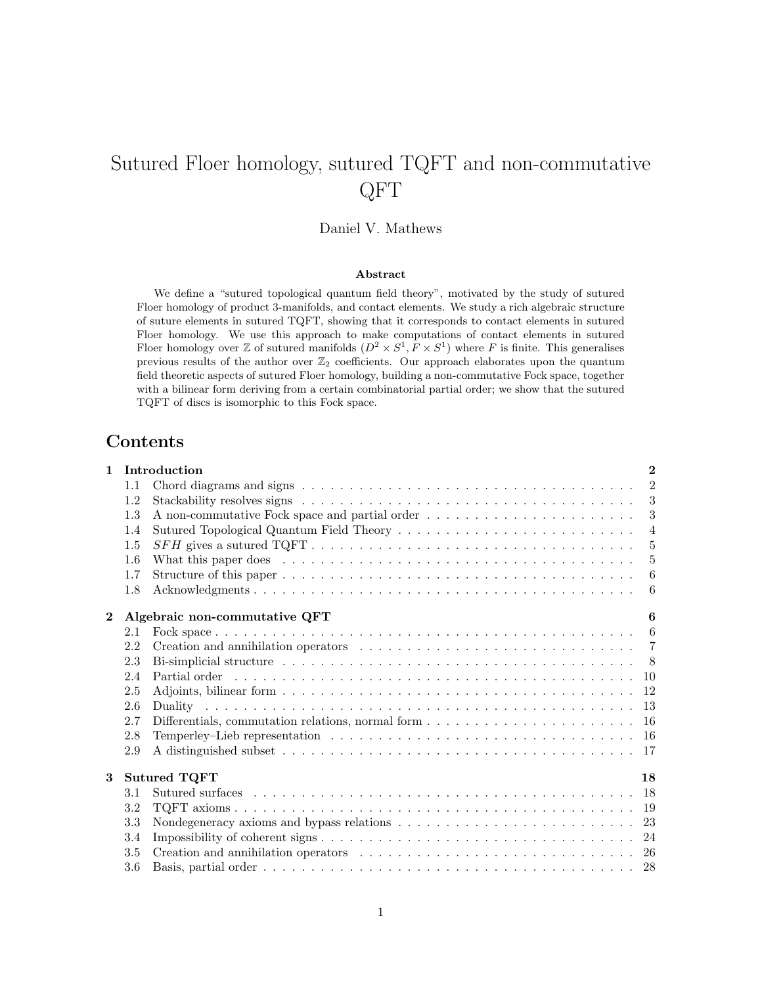# Sutured Floer homology, sutured TQFT and non-commutative QFT

# Daniel V. Mathews

#### Abstract

We define a "sutured topological quantum field theory", motivated by the study of sutured Floer homology of product 3-manifolds, and contact elements. We study a rich algebraic structure of suture elements in sutured TQFT, showing that it corresponds to contact elements in sutured Floer homology. We use this approach to make computations of contact elements in sutured Floer homology over Z of sutured manifolds  $(D^2 \times S^1, F \times S^1)$  where F is finite. This generalises previous results of the author over  $\mathbb{Z}_2$  coefficients. Our approach elaborates upon the quantum field theoretic aspects of sutured Floer homology, building a non-commutative Fock space, together with a bilinear form deriving from a certain combinatorial partial order; we show that the sutured TQFT of discs is isomorphic to this Fock space.

# Contents

| $\mathbf{1}$ |     | Introduction                                                                                                      | $\mathbf{2}$   |
|--------------|-----|-------------------------------------------------------------------------------------------------------------------|----------------|
|              | 1.1 |                                                                                                                   | 2              |
|              | 1.2 |                                                                                                                   | 3              |
|              | 1.3 |                                                                                                                   | 3              |
|              | 1.4 |                                                                                                                   | $\overline{4}$ |
|              | 1.5 |                                                                                                                   | $-5$           |
|              | 1.6 | What this paper does $\ldots \ldots \ldots \ldots \ldots \ldots \ldots \ldots \ldots \ldots \ldots \ldots \ldots$ | $-5$           |
|              | 1.7 |                                                                                                                   | $-6$           |
|              | 1.8 |                                                                                                                   | - 6            |
| $\mathbf{2}$ |     | Algebraic non-commutative QFT                                                                                     | 6              |
|              | 2.1 |                                                                                                                   |                |
|              | 2.2 |                                                                                                                   |                |
|              | 2.3 |                                                                                                                   |                |
|              | 2.4 |                                                                                                                   |                |
|              | 2.5 |                                                                                                                   |                |
|              | 2.6 |                                                                                                                   |                |
|              | 2.7 | Differentials, commutation relations, normal form $\dots \dots \dots \dots \dots \dots \dots \dots \dots$         |                |
|              | 2.8 | Temperley-Lieb representation $\ldots \ldots \ldots \ldots \ldots \ldots \ldots \ldots \ldots \ldots \ldots 16$   |                |
|              | 2.9 |                                                                                                                   |                |
| 3            |     | <b>Sutured TQFT</b>                                                                                               | 18             |
|              | 3.1 |                                                                                                                   |                |
|              | 3.2 |                                                                                                                   |                |
|              | 3.3 |                                                                                                                   |                |
|              | 3.4 |                                                                                                                   |                |
|              | 3.5 |                                                                                                                   |                |
|              | 3.6 |                                                                                                                   |                |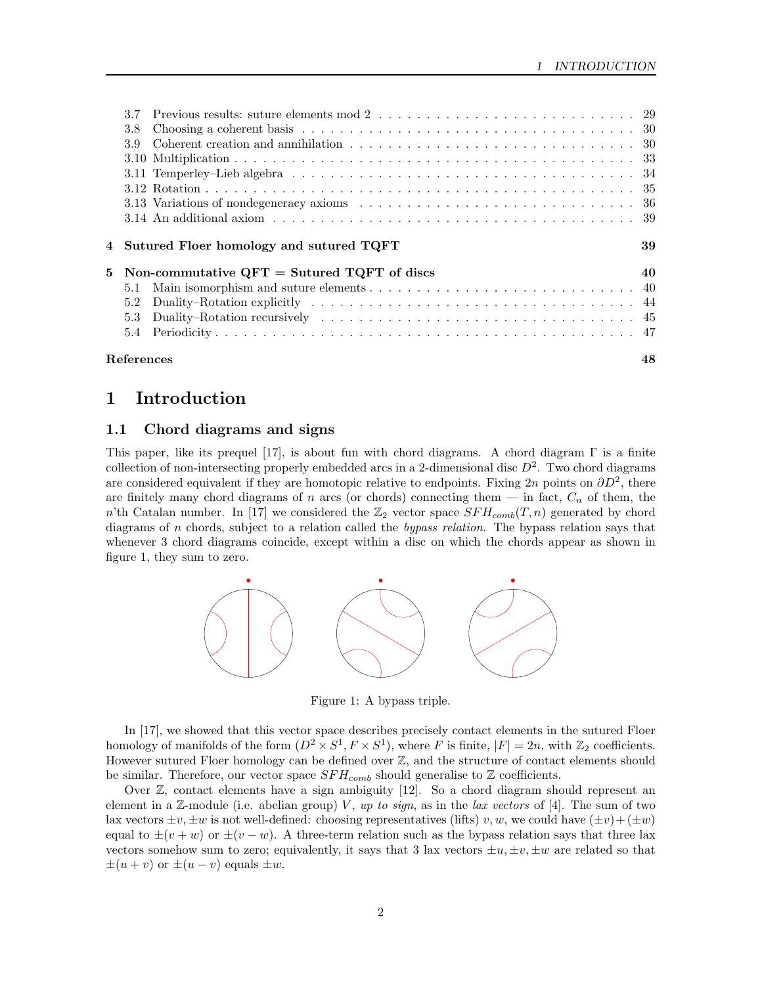| 3.8 |                                                 |    |
|-----|-------------------------------------------------|----|
| 3.9 |                                                 |    |
|     |                                                 |    |
|     |                                                 |    |
|     |                                                 |    |
|     |                                                 |    |
|     |                                                 |    |
|     |                                                 |    |
|     | 4 Sutured Floer homology and sutured TQFT       | 39 |
|     | 5 Non-commutative $QFT =$ Sutured TQFT of discs | 40 |
| 5.1 |                                                 |    |
| 5.2 |                                                 |    |
| 5.3 |                                                 |    |
|     |                                                 |    |

# 1 Introduction

## 1.1 Chord diagrams and signs

This paper, like its prequel [17], is about fun with chord diagrams. A chord diagram  $\Gamma$  is a finite collection of non-intersecting properly embedded arcs in a 2-dimensional disc  $D^2$ . Two chord diagrams are considered equivalent if they are homotopic relative to endpoints. Fixing 2n points on  $\partial D^2$ , there are finitely many chord diagrams of n arcs (or chords) connecting them  $-$  in fact,  $C_n$  of them, the n'th Catalan number. In [17] we considered the  $\mathbb{Z}_2$  vector space  $SFH_{comb}(T, n)$  generated by chord diagrams of n chords, subject to a relation called the bypass relation. The bypass relation says that whenever 3 chord diagrams coincide, except within a disc on which the chords appear as shown in figure 1, they sum to zero.



Figure 1: A bypass triple.

In [17], we showed that this vector space describes precisely contact elements in the sutured Floer homology of manifolds of the form  $(D^2 \times S^1, F \times S^1)$ , where F is finite,  $|F| = 2n$ , with  $\mathbb{Z}_2$  coefficients. However sutured Floer homology can be defined over  $\mathbb{Z}$ , and the structure of contact elements should be similar. Therefore, our vector space  $SFH_{comb}$  should generalise to  $\mathbb Z$  coefficients.

Over  $\mathbb{Z}$ , contact elements have a sign ambiguity [12]. So a chord diagram should represent an element in a Z-module (i.e. abelian group) V, up to sign, as in the lax vectors of [4]. The sum of two lax vectors  $\pm v, \pm w$  is not well-defined: choosing representatives (lifts) v, w, we could have  $(\pm v)+ (\pm w)$ equal to  $\pm(v+w)$  or  $\pm(v-w)$ . A three-term relation such as the bypass relation says that three lax vectors somehow sum to zero; equivalently, it says that 3 lax vectors  $\pm u, \pm v, \pm w$  are related so that  $\pm(u + v)$  or  $\pm(u - v)$  equals  $\pm w$ .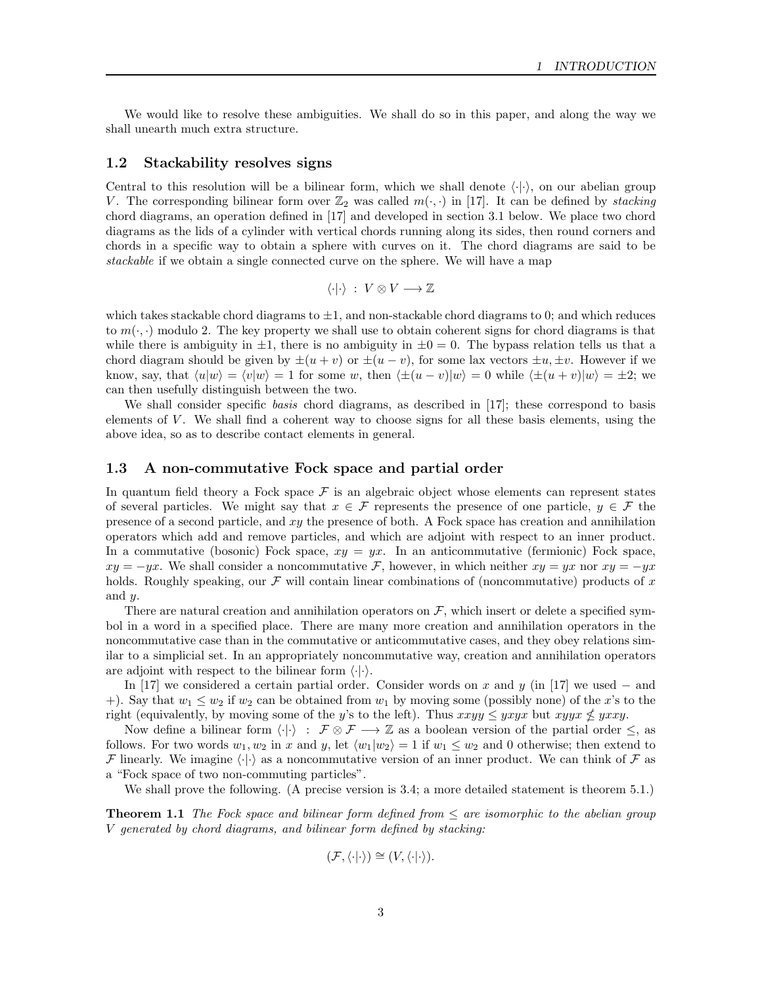We would like to resolve these ambiguities. We shall do so in this paper, and along the way we shall unearth much extra structure.

## 1.2 Stackability resolves signs

Central to this resolution will be a bilinear form, which we shall denote  $\langle \cdot | \cdot \rangle$ , on our abelian group V. The corresponding bilinear form over  $\mathbb{Z}_2$  was called  $m(\cdot, \cdot)$  in [17]. It can be defined by stacking chord diagrams, an operation defined in [17] and developed in section 3.1 below. We place two chord diagrams as the lids of a cylinder with vertical chords running along its sides, then round corners and chords in a specific way to obtain a sphere with curves on it. The chord diagrams are said to be stackable if we obtain a single connected curve on the sphere. We will have a map

$$
\langle \cdot | \cdot \rangle \; : \; V \otimes V \longrightarrow \mathbb{Z}
$$

which takes stackable chord diagrams to  $\pm 1$ , and non-stackable chord diagrams to 0; and which reduces to  $m(\cdot, \cdot)$  modulo 2. The key property we shall use to obtain coherent signs for chord diagrams is that while there is ambiguity in  $\pm 1$ , there is no ambiguity in  $\pm 0 = 0$ . The bypass relation tells us that a chord diagram should be given by  $\pm(u+v)$  or  $\pm(u-v)$ , for some lax vectors  $\pm u, \pm v$ . However if we know, say, that  $\langle u|w\rangle = \langle v|w\rangle = 1$  for some w, then  $\langle \pm(u - v)|w\rangle = 0$  while  $\langle \pm(u + v)|w\rangle = \pm 2$ ; we can then usefully distinguish between the two.

We shall consider specific basis chord diagrams, as described in [17]; these correspond to basis elements of  $V$ . We shall find a coherent way to choose signs for all these basis elements, using the above idea, so as to describe contact elements in general.

#### 1.3 A non-commutative Fock space and partial order

In quantum field theory a Fock space  $\mathcal F$  is an algebraic object whose elements can represent states of several particles. We might say that  $x \in \mathcal{F}$  represents the presence of one particle,  $y \in \mathcal{F}$  the presence of a second particle, and xy the presence of both. A Fock space has creation and annihilation operators which add and remove particles, and which are adjoint with respect to an inner product. In a commutative (bosonic) Fock space,  $xy = yx$ . In an anticommutative (fermionic) Fock space,  $xy = -yx$ . We shall consider a noncommutative F, however, in which neither  $xy = yx$  nor  $xy = -yx$ . holds. Roughly speaking, our  $\mathcal F$  will contain linear combinations of (noncommutative) products of x and y.

There are natural creation and annihilation operators on  $\mathcal{F}$ , which insert or delete a specified symbol in a word in a specified place. There are many more creation and annihilation operators in the noncommutative case than in the commutative or anticommutative cases, and they obey relations similar to a simplicial set. In an appropriately noncommutative way, creation and annihilation operators are adjoint with respect to the bilinear form  $\langle \cdot | \cdot \rangle$ .

In [17] we considered a certain partial order. Consider words on x and y (in [17] we used – and +). Say that  $w_1 \leq w_2$  if  $w_2$  can be obtained from  $w_1$  by moving some (possibly none) of the x's to the right (equivalently, by moving some of the y's to the left). Thus  $xxyy \leq yxyx$  but  $xyyx \nleq yxxy$ .

Now define a bilinear form  $\langle \cdot | \cdot \rangle : \mathcal{F} \otimes \mathcal{F} \longrightarrow \mathbb{Z}$  as a boolean version of the partial order  $\leq$ , as follows. For two words  $w_1, w_2$  in x and y, let  $\langle w_1|w_2\rangle = 1$  if  $w_1 \leq w_2$  and 0 otherwise; then extend to F linearly. We imagine  $\langle \cdot | \cdot \rangle$  as a noncommutative version of an inner product. We can think of F as a "Fock space of two non-commuting particles".

We shall prove the following. (A precise version is 3.4; a more detailed statement is theorem 5.1.)

**Theorem 1.1** The Fock space and bilinear form defined from  $\leq$  are isomorphic to the abelian group V generated by chord diagrams, and bilinear form defined by stacking:

$$
(\mathcal{F}, \langle \cdot | \cdot \rangle) \cong (V, \langle \cdot | \cdot \rangle).
$$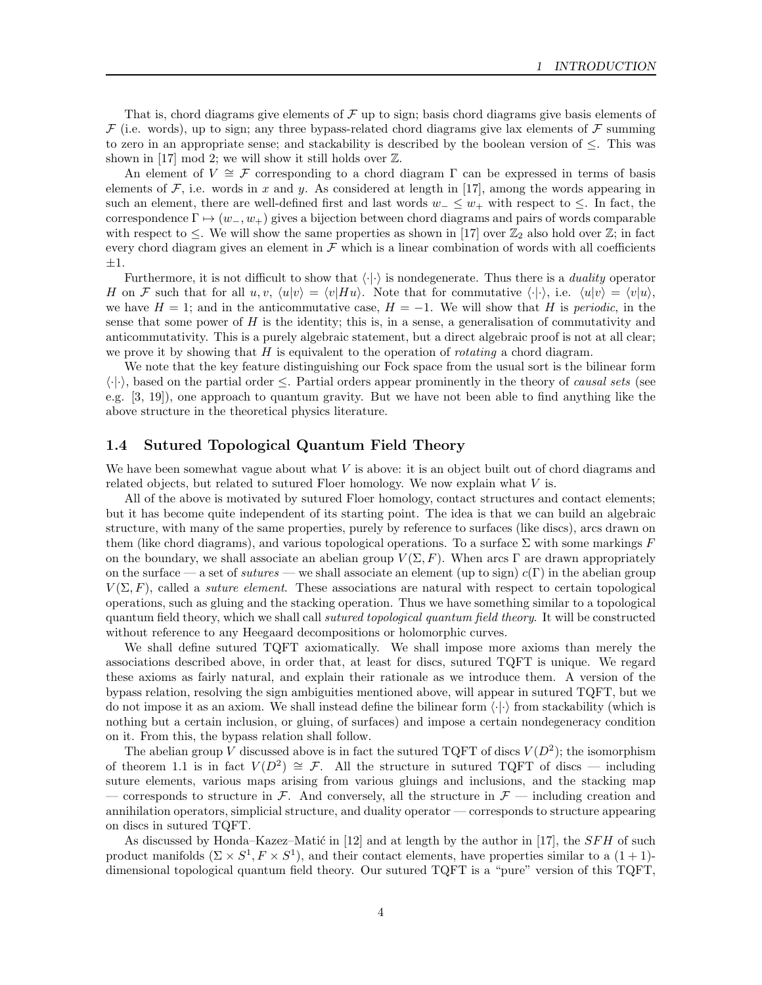That is, chord diagrams give elements of  $\mathcal F$  up to sign; basis chord diagrams give basis elements of  $\mathcal F$  (i.e. words), up to sign; any three bypass-related chord diagrams give lax elements of  $\mathcal F$  summing to zero in an appropriate sense; and stackability is described by the boolean version of  $\leq$ . This was shown in [17] mod 2; we will show it still holds over  $\mathbb{Z}$ .

An element of  $V \cong \mathcal{F}$  corresponding to a chord diagram  $\Gamma$  can be expressed in terms of basis elements of  $\mathcal F$ , i.e. words in x and y. As considered at length in [17], among the words appearing in such an element, there are well-defined first and last words  $w_-\leq w_+$  with respect to  $\leq$ . In fact, the correspondence  $\Gamma \mapsto (w_-, w_+)$  gives a bijection between chord diagrams and pairs of words comparable with respect to  $\leq$ . We will show the same properties as shown in [17] over  $\mathbb{Z}_2$  also hold over  $\mathbb{Z}$ ; in fact every chord diagram gives an element in  $\mathcal F$  which is a linear combination of words with all coefficients  $\pm 1.$ 

Furthermore, it is not difficult to show that  $\langle \cdot | \cdot \rangle$  is nondegenerate. Thus there is a *duality* operator H on F such that for all  $u, v, \langle u|v\rangle = \langle v|Hu\rangle$ . Note that for commutative  $\langle \cdot|\cdot\rangle$ , i.e.  $\langle u|v\rangle = \langle v|u\rangle$ , we have  $H = 1$ ; and in the anticommutative case,  $H = -1$ . We will show that H is periodic, in the sense that some power of  $H$  is the identity; this is, in a sense, a generalisation of commutativity and anticommutativity. This is a purely algebraic statement, but a direct algebraic proof is not at all clear; we prove it by showing that  $H$  is equivalent to the operation of *rotating* a chord diagram.

We note that the key feature distinguishing our Fock space from the usual sort is the bilinear form  $\langle \cdot | \cdot \rangle$ , based on the partial order  $\leq$ . Partial orders appear prominently in the theory of *causal sets* (see e.g. [3, 19]), one approach to quantum gravity. But we have not been able to find anything like the above structure in the theoretical physics literature.

## 1.4 Sutured Topological Quantum Field Theory

We have been somewhat vague about what  $V$  is above: it is an object built out of chord diagrams and related objects, but related to sutured Floer homology. We now explain what  $V$  is.

All of the above is motivated by sutured Floer homology, contact structures and contact elements; but it has become quite independent of its starting point. The idea is that we can build an algebraic structure, with many of the same properties, purely by reference to surfaces (like discs), arcs drawn on them (like chord diagrams), and various topological operations. To a surface  $\Sigma$  with some markings F on the boundary, we shall associate an abelian group  $V(\Sigma, F)$ . When arcs Γ are drawn appropriately on the surface — a set of sutures — we shall associate an element (up to sign)  $c(\Gamma)$  in the abelian group  $V(\Sigma, F)$ , called a *suture element*. These associations are natural with respect to certain topological operations, such as gluing and the stacking operation. Thus we have something similar to a topological quantum field theory, which we shall call *sutured topological quantum field theory*. It will be constructed without reference to any Heegaard decompositions or holomorphic curves.

We shall define sutured TQFT axiomatically. We shall impose more axioms than merely the associations described above, in order that, at least for discs, sutured TQFT is unique. We regard these axioms as fairly natural, and explain their rationale as we introduce them. A version of the bypass relation, resolving the sign ambiguities mentioned above, will appear in sutured TQFT, but we do not impose it as an axiom. We shall instead define the bilinear form  $\langle \cdot | \cdot \rangle$  from stackability (which is nothing but a certain inclusion, or gluing, of surfaces) and impose a certain nondegeneracy condition on it. From this, the bypass relation shall follow.

The abelian group V discussed above is in fact the sutured TQFT of discs  $V(D^2)$ ; the isomorphism of theorem 1.1 is in fact  $V(D^2) \cong \mathcal{F}$ . All the structure in sutured TQFT of discs — including suture elements, various maps arising from various gluings and inclusions, and the stacking map — corresponds to structure in F. And conversely, all the structure in  $\mathcal{F}$  — including creation and annihilation operators, simplicial structure, and duality operator — corresponds to structure appearing on discs in sutured TQFT.

As discussed by Honda–Kazez–Matić in [12] and at length by the author in [17], the  $SFH$  of such product manifolds  $(\Sigma \times S^1, F \times S^1)$ , and their contact elements, have properties similar to a  $(1 + 1)$ dimensional topological quantum field theory. Our sutured TQFT is a "pure" version of this TQFT,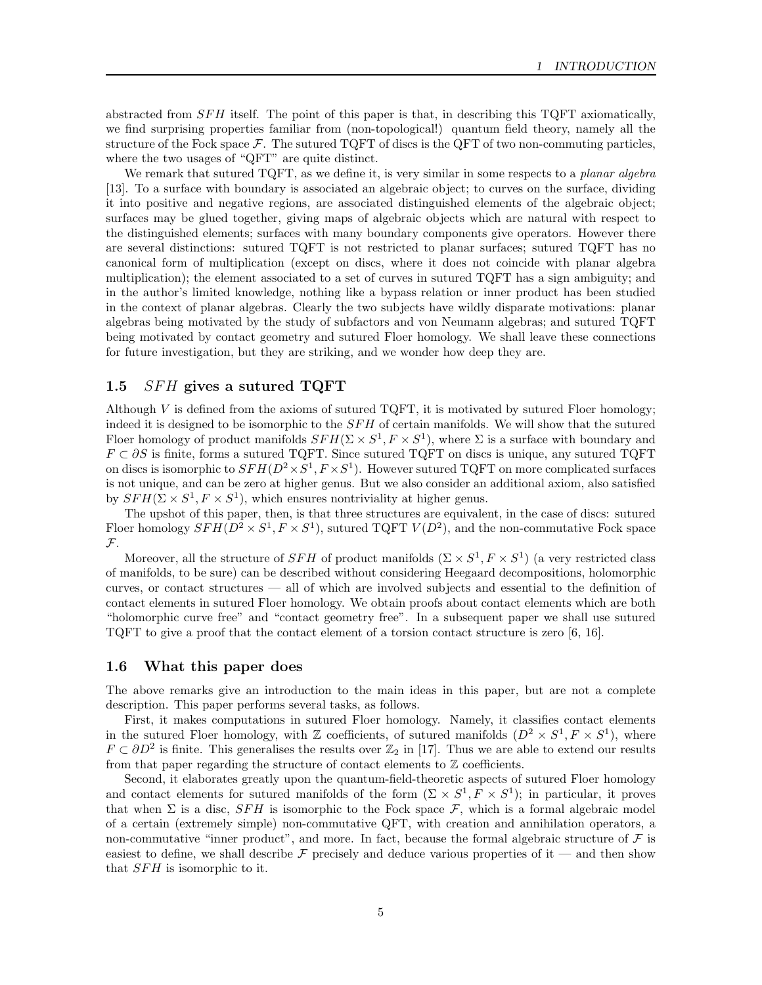abstracted from  $SFH$  itself. The point of this paper is that, in describing this TQFT axiomatically, we find surprising properties familiar from (non-topological!) quantum field theory, namely all the structure of the Fock space  $\mathcal{F}$ . The sutured TQFT of discs is the QFT of two non-commuting particles, where the two usages of "QFT" are quite distinct.

We remark that sutured TQFT, as we define it, is very similar in some respects to a *planar algebra* [13]. To a surface with boundary is associated an algebraic object; to curves on the surface, dividing it into positive and negative regions, are associated distinguished elements of the algebraic object; surfaces may be glued together, giving maps of algebraic objects which are natural with respect to the distinguished elements; surfaces with many boundary components give operators. However there are several distinctions: sutured TQFT is not restricted to planar surfaces; sutured TQFT has no canonical form of multiplication (except on discs, where it does not coincide with planar algebra multiplication); the element associated to a set of curves in sutured TQFT has a sign ambiguity; and in the author's limited knowledge, nothing like a bypass relation or inner product has been studied in the context of planar algebras. Clearly the two subjects have wildly disparate motivations: planar algebras being motivated by the study of subfactors and von Neumann algebras; and sutured TQFT being motivated by contact geometry and sutured Floer homology. We shall leave these connections for future investigation, but they are striking, and we wonder how deep they are.

## 1.5  $SFH$  gives a sutured TQFT

Although V is defined from the axioms of sutured  $TQFT$ , it is motivated by sutured Floer homology; indeed it is designed to be isomorphic to the  $SFH$  of certain manifolds. We will show that the sutured Floer homology of product manifolds  $SFH(\Sigma \times S^1, F \times S^1)$ , where  $\Sigma$  is a surface with boundary and  $F \subset \partial S$  is finite, forms a sutured TQFT. Since sutured TQFT on discs is unique, any sutured TQFT on discs is isomorphic to  $SFH(D^2 \times S^1, F \times S^1)$ . However sutured TQFT on more complicated surfaces is not unique, and can be zero at higher genus. But we also consider an additional axiom, also satisfied by  $SFH(\Sigma \times S^1, F \times S^1)$ , which ensures nontriviality at higher genus.

The upshot of this paper, then, is that three structures are equivalent, in the case of discs: sutured Floer homology  $SFH(D^2 \times S^1, F \times S^1)$ , sutured TQFT  $V(D^2)$ , and the non-commutative Fock space F.

Moreover, all the structure of  $SFH$  of product manifolds  $(\Sigma \times S^1, F \times S^1)$  (a very restricted class of manifolds, to be sure) can be described without considering Heegaard decompositions, holomorphic curves, or contact structures — all of which are involved subjects and essential to the definition of contact elements in sutured Floer homology. We obtain proofs about contact elements which are both "holomorphic curve free" and "contact geometry free". In a subsequent paper we shall use sutured TQFT to give a proof that the contact element of a torsion contact structure is zero [6, 16].

## 1.6 What this paper does

The above remarks give an introduction to the main ideas in this paper, but are not a complete description. This paper performs several tasks, as follows.

First, it makes computations in sutured Floer homology. Namely, it classifies contact elements in the sutured Floer homology, with Z coefficients, of sutured manifolds  $(D^2 \times S^1, F \times S^1)$ , where  $F \subset \partial D^2$  is finite. This generalises the results over  $\mathbb{Z}_2$  in [17]. Thus we are able to extend our results from that paper regarding the structure of contact elements to  $\mathbb Z$  coefficients.

Second, it elaborates greatly upon the quantum-field-theoretic aspects of sutured Floer homology and contact elements for sutured manifolds of the form  $(\Sigma \times S^1, F \times S^1)$ ; in particular, it proves that when  $\Sigma$  is a disc,  $SFH$  is isomorphic to the Fock space  $\mathcal{F}$ , which is a formal algebraic model of a certain (extremely simple) non-commutative QFT, with creation and annihilation operators, a non-commutative "inner product", and more. In fact, because the formal algebraic structure of  $\mathcal F$  is easiest to define, we shall describe  $\mathcal F$  precisely and deduce various properties of it — and then show that  $SFH$  is isomorphic to it.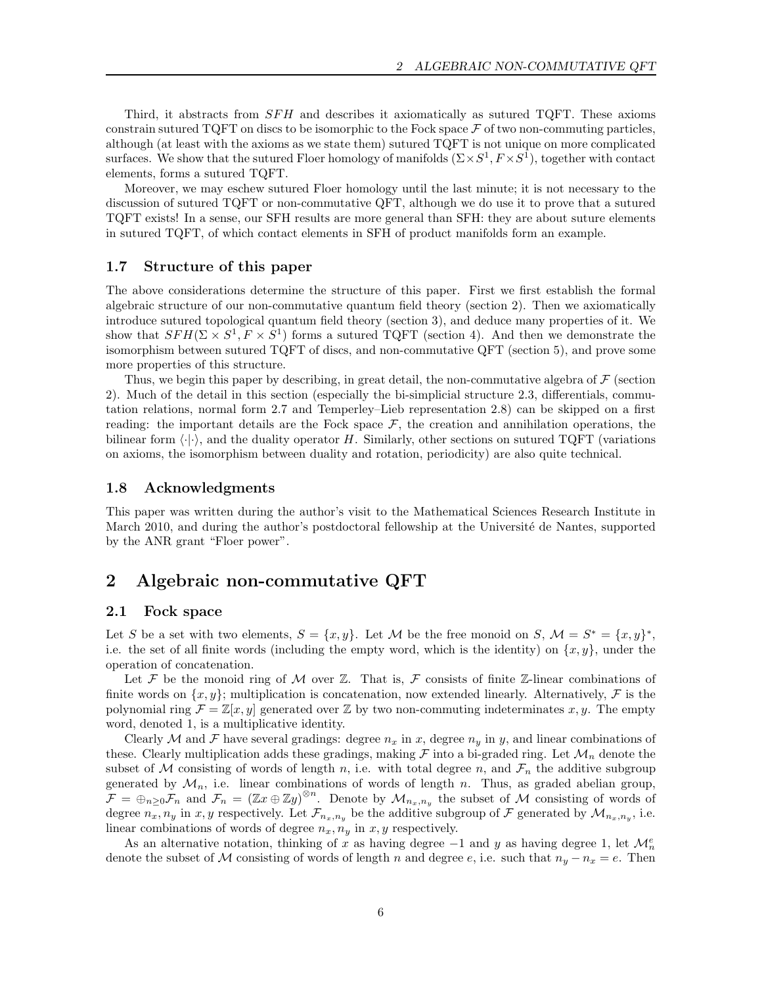Third, it abstracts from  $SFH$  and describes it axiomatically as sutured TQFT. These axioms constrain sutured TQFT on discs to be isomorphic to the Fock space  $\mathcal F$  of two non-commuting particles, although (at least with the axioms as we state them) sutured TQFT is not unique on more complicated surfaces. We show that the sutured Floer homology of manifolds  $(\Sigma \times S^1, F \times S^1)$ , together with contact elements, forms a sutured TQFT.

Moreover, we may eschew sutured Floer homology until the last minute; it is not necessary to the discussion of sutured TQFT or non-commutative QFT, although we do use it to prove that a sutured TQFT exists! In a sense, our SFH results are more general than SFH: they are about suture elements in sutured TQFT, of which contact elements in SFH of product manifolds form an example.

## 1.7 Structure of this paper

The above considerations determine the structure of this paper. First we first establish the formal algebraic structure of our non-commutative quantum field theory (section 2). Then we axiomatically introduce sutured topological quantum field theory (section 3), and deduce many properties of it. We show that  $SFH(\Sigma \times S^1, F \times S^1)$  forms a sutured TQFT (section 4). And then we demonstrate the isomorphism between sutured TQFT of discs, and non-commutative QFT (section 5), and prove some more properties of this structure.

Thus, we begin this paper by describing, in great detail, the non-commutative algebra of  $\mathcal F$  (section 2). Much of the detail in this section (especially the bi-simplicial structure 2.3, differentials, commutation relations, normal form 2.7 and Temperley–Lieb representation 2.8) can be skipped on a first reading: the important details are the Fock space  $F$ , the creation and annihilation operations, the bilinear form  $\langle \cdot | \cdot \rangle$ , and the duality operator H. Similarly, other sections on sutured TQFT (variations on axioms, the isomorphism between duality and rotation, periodicity) are also quite technical.

## 1.8 Acknowledgments

This paper was written during the author's visit to the Mathematical Sciences Research Institute in March 2010, and during the author's postdoctoral fellowship at the Université de Nantes, supported by the ANR grant "Floer power".

## 2 Algebraic non-commutative QFT

## 2.1 Fock space

Let S be a set with two elements,  $S = \{x, y\}$ . Let M be the free monoid on S,  $\mathcal{M} = S^* = \{x, y\}^*$ , i.e. the set of all finite words (including the empty word, which is the identity) on  $\{x, y\}$ , under the operation of concatenation.

Let F be the monoid ring of M over  $\mathbb Z$ . That is, F consists of finite  $\mathbb Z$ -linear combinations of finite words on  $\{x, y\}$ ; multiplication is concatenation, now extended linearly. Alternatively, F is the polynomial ring  $\mathcal{F} = \mathbb{Z}[x, y]$  generated over  $\mathbb{Z}$  by two non-commuting indeterminates x, y. The empty word, denoted 1, is a multiplicative identity.

Clearly M and F have several gradings: degree  $n_x$  in x, degree  $n_y$  in y, and linear combinations of these. Clearly multiplication adds these gradings, making  $\mathcal F$  into a bi-graded ring. Let  $\mathcal M_n$  denote the subset of M consisting of words of length n, i.e. with total degree n, and  $\mathcal{F}_n$  the additive subgroup generated by  $\mathcal{M}_n$ , i.e. linear combinations of words of length n. Thus, as graded abelian group,  $\mathcal{F} = \bigoplus_{n \geq 0} \mathcal{F}_n$  and  $\mathcal{F}_n = (\mathbb{Z}x \oplus \mathbb{Z}y)^{\otimes n}$ . Denote by  $\mathcal{M}_{n_x,n_y}$  the subset of M consisting of words of degree  $n_x, n_y$  in x, y respectively. Let  $\mathcal{F}_{n_x,n_y}$  be the additive subgroup of  $\mathcal F$  generated by  $\mathcal M_{n_x,n_y}$ , i.e. linear combinations of words of degree  $n_x, n_y$  in  $x, y$  respectively.

As an alternative notation, thinking of x as having degree  $-1$  and y as having degree 1, let  $\mathcal{M}_n^e$ denote the subset of M consisting of words of length n and degree e, i.e. such that  $n_y - n_x = e$ . Then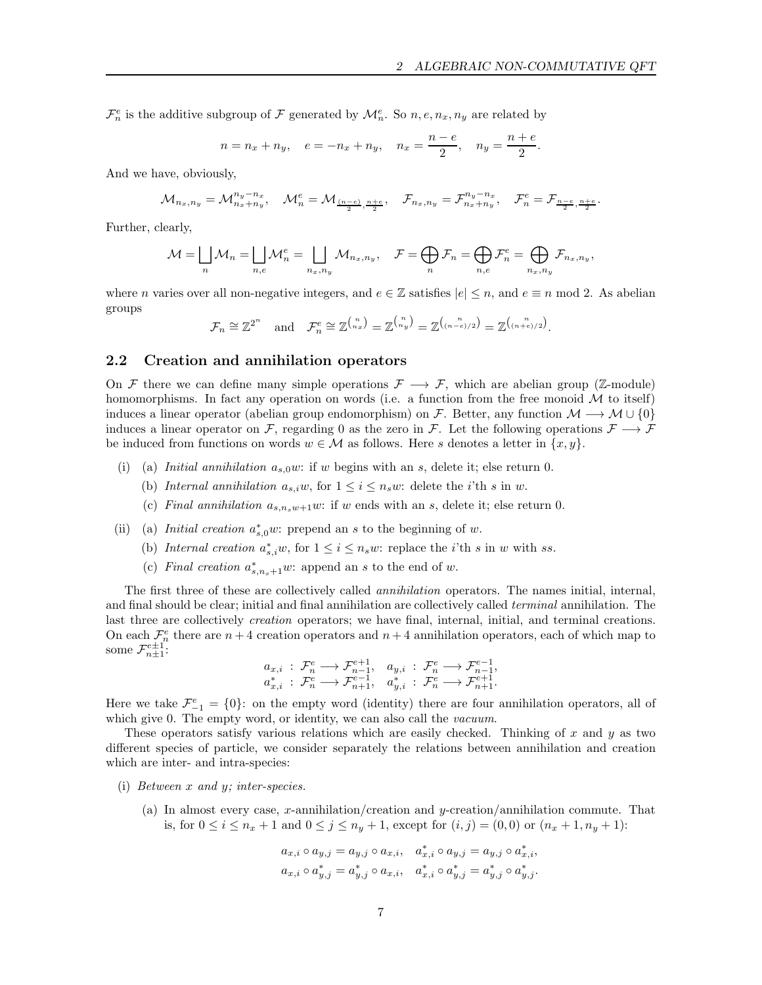.

 $\mathcal{F}_n^e$  is the additive subgroup of  $\mathcal F$  generated by  $\mathcal{M}_n^e$ . So  $n, e, n_x, n_y$  are related by

$$
n = n_x + n_y
$$
,  $e = -n_x + n_y$ ,  $n_x = \frac{n - e}{2}$ ,  $n_y = \frac{n + e}{2}$ 

And we have, obviously,

$$
\mathcal{M}_{n_x,n_y} = \mathcal{M}_{n_x+n_y}^{n_y-n_x}, \quad \mathcal{M}_n^e = \mathcal{M}_{\frac{(n-e)}{2},\frac{n+e}{2}}, \quad \mathcal{F}_{n_x,n_y} = \mathcal{F}_{n_x+n_y}^{n_y-n_x}, \quad \mathcal{F}_n^e = \mathcal{F}_{\frac{n-e}{2},\frac{n+e}{2}}.
$$

Further, clearly,

$$
\mathcal{M} = \bigsqcup_n \mathcal{M}_n = \bigsqcup_{n,e} \mathcal{M}_n^e = \bigsqcup_{n_x,n_y} \mathcal{M}_{n_x,n_y}, \quad \mathcal{F} = \bigoplus_n \mathcal{F}_n = \bigoplus_{n,e} \mathcal{F}_n^e = \bigoplus_{n_x,n_y} \mathcal{F}_{n_x,n_y},
$$

where *n* varies over all non-negative integers, and  $e \in \mathbb{Z}$  satisfies  $|e| \leq n$ , and  $e \equiv n \mod 2$ . As abelian groups

$$
\mathcal{F}_n \cong \mathbb{Z}^{2^n} \quad \text{and} \quad \mathcal{F}_n^e \cong \mathbb{Z}^{\binom{n}{n_x}} = \mathbb{Z}^{\binom{n}{n_y}} = \mathbb{Z}^{\binom{n}{(n-e)/2}} = \mathbb{Z}^{\binom{n}{(n+e)/2}}.
$$

## 2.2 Creation and annihilation operators

On F there we can define many simple operations  $\mathcal{F} \longrightarrow \mathcal{F}$ , which are abelian group (Z-module) homomorphisms. In fact any operation on words (i.e. a function from the free monoid  $\mathcal M$  to itself) induces a linear operator (abelian group endomorphism) on F. Better, any function  $\mathcal{M} \longrightarrow \mathcal{M} \cup \{0\}$ induces a linear operator on F, regarding 0 as the zero in F. Let the following operations  $\mathcal{F} \longrightarrow \mathcal{F}$ be induced from functions on words  $w \in \mathcal{M}$  as follows. Here s denotes a letter in  $\{x, y\}$ .

- (i) (a) Initial annihilation  $a_{s,0}w$ : if w begins with an s, delete it; else return 0.
	- (b) Internal annihilation  $a_{s,i}w$ , for  $1 \leq i \leq n_sw$ : delete the *i*'th *s* in *w*.
	- (c) Final annihilation  $a_{s,n,w+1}w$ : if w ends with an s, delete it; else return 0.
- (ii) (a) *Initial creation*  $a_{s,0}^*w$ : prepend an s to the beginning of w.
	- (b) Internal creation  $a_{s,i}^*w$ , for  $1 \leq i \leq n_sw$ : replace the *i*'th *s* in *w* with *ss*.
	- (c) Final creation  $a_{s,n_s+1}^*w$ : append an s to the end of w.

The first three of these are collectively called annihilation operators. The names initial, internal, and final should be clear; initial and final annihilation are collectively called terminal annihilation. The last three are collectively *creation* operators; we have final, internal, initial, and terminal creations. On each  $\mathcal{F}_n^e$  there are  $n+4$  creation operators and  $n+4$  annihilation operators, each of which map to some  $\mathcal{F}_{n\pm 1}^{e\pm 1}$ :

$$
\begin{array}{ll} a_{x,i} \, : \, \mathcal{F}_n^e \longrightarrow \mathcal{F}_{n-1}^{e+1}, \quad a_{y,i} \, : \, \mathcal{F}_n^e \longrightarrow \mathcal{F}_{n-1}^{e-1}, \\ a_{x,i}^* \, : \, \mathcal{F}_n^e \longrightarrow \mathcal{F}_{n+1}^{e-1}, \quad a_{y,i}^* \, : \, \mathcal{F}_n^e \longrightarrow \mathcal{F}_{n+1}^{e+1}. \end{array}
$$

Here we take  $\mathcal{F}_{-1}^e = \{0\}$ : on the empty word (identity) there are four annihilation operators, all of which give 0. The empty word, or identity, we can also call the *vacuum*.

These operators satisfy various relations which are easily checked. Thinking of  $x$  and  $y$  as two different species of particle, we consider separately the relations between annihilation and creation which are inter- and intra-species:

- (i) Between x and y; inter-species.
	- (a) In almost every case, x-annihilation/creation and  $y$ -creation/annihilation commute. That is, for  $0 \le i \le n_x + 1$  and  $0 \le j \le n_y + 1$ , except for  $(i, j) = (0, 0)$  or  $(n_x + 1, n_y + 1)$ :

$$
a_{x,i} \circ a_{y,j} = a_{y,j} \circ a_{x,i}, \quad a_{x,i}^{*} \circ a_{y,j} = a_{y,j} \circ a_{x,i}^{*},
$$
  

$$
a_{x,i} \circ a_{y,j}^{*} = a_{y,j}^{*} \circ a_{x,i}, \quad a_{x,i}^{*} \circ a_{y,j}^{*} = a_{y,j}^{*} \circ a_{y,j}^{*}.
$$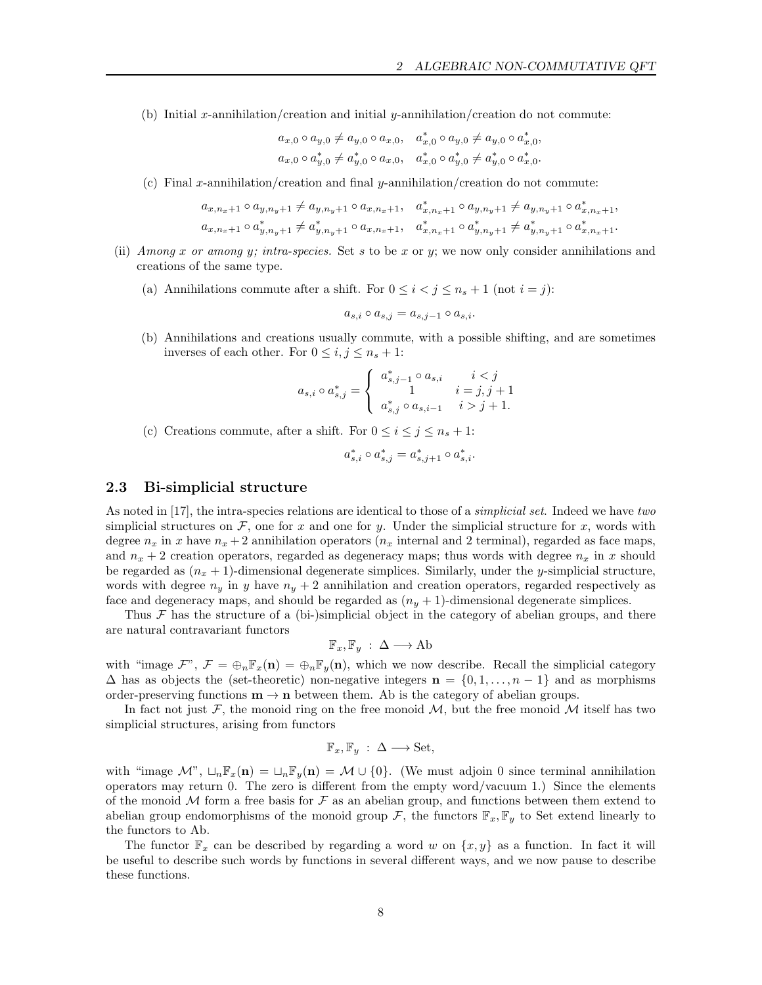(b) Initial x-annihilation/creation and initial y-annihilation/creation do not commute:

$$
a_{x,0} \circ a_{y,0} \neq a_{y,0} \circ a_{x,0}, \quad a_{x,0}^* \circ a_{y,0} \neq a_{y,0} \circ a_{x,0},
$$
  

$$
a_{x,0} \circ a_{y,0}^* \neq a_{y,0}^* \circ a_{x,0}, \quad a_{x,0}^* \circ a_{y,0}^* \neq a_{y,0}^* \circ a_{x,0}^*.
$$

(c) Final x-annihilation/creation and final y-annihilation/creation do not commute:

$$
\begin{aligned} a_{x,n_x+1} \circ a_{y,n_y+1} &\neq a_{y,n_y+1} \circ a_{x,n_x+1}, & a_{x,n_x+1}^* \circ a_{y,n_y+1} &\neq a_{y,n_y+1} \circ a_{x,n_x+1}^*, \\ a_{x,n_x+1} \circ a_{y,n_y+1}^* &\neq a_{y,n_y+1}^* \circ a_{x,n_x+1}, & a_{x,n_x+1}^* \circ a_{y,n_y+1}^* &\neq a_{y,n_y+1}^* \circ a_{x,n_x+1}^*. \end{aligned}
$$

- (ii) Among x or among y; intra-species. Set s to be x or y; we now only consider annihilations and creations of the same type.
	- (a) Annihilations commute after a shift. For  $0 \leq i \leq j \leq n_s + 1$  (not  $i = j$ ):

$$
a_{s,i} \circ a_{s,j} = a_{s,j-1} \circ a_{s,i}.
$$

(b) Annihilations and creations usually commute, with a possible shifting, and are sometimes inverses of each other. For  $0 \le i, j \le n_s + 1$ :

$$
a_{s,i} \circ a_{s,j}^* = \begin{cases} a_{s,j-1}^* \circ a_{s,i} & i < j \\ 1 & i = j, j+1 \\ a_{s,j}^* \circ a_{s,i-1} & i > j+1. \end{cases}
$$

(c) Creations commute, after a shift. For  $0 \le i \le j \le n_s + 1$ :

$$
a_{s,i}^* \circ a_{s,j}^* = a_{s,j+1}^* \circ a_{s,i}^*.
$$

## 2.3 Bi-simplicial structure

As noted in [17], the intra-species relations are identical to those of a *simplicial set*. Indeed we have two simplicial structures on  $\mathcal F$ , one for x and one for y. Under the simplicial structure for x, words with degree  $n_x$  in x have  $n_x + 2$  annihilation operators  $(n_x$  internal and 2 terminal), regarded as face maps, and  $n_x + 2$  creation operators, regarded as degeneracy maps; thus words with degree  $n_x$  in x should be regarded as  $(n_x + 1)$ -dimensional degenerate simplices. Similarly, under the y-simplicial structure, words with degree  $n_y$  in y have  $n_y + 2$  annihilation and creation operators, regarded respectively as face and degeneracy maps, and should be regarded as  $(n_y + 1)$ -dimensional degenerate simplices.

Thus  $\mathcal F$  has the structure of a (bi-)simplicial object in the category of abelian groups, and there are natural contravariant functors

$$
\mathbb{F}_x, \mathbb{F}_y : \Delta \longrightarrow \mathrm{Ab}
$$

with "image  $\mathcal{F}$ ",  $\mathcal{F} = \bigoplus_{n} \mathbb{F}_x(\mathbf{n}) = \bigoplus_{n} \mathbb{F}_y(\mathbf{n})$ , which we now describe. Recall the simplicial category  $\Delta$  has as objects the (set-theoretic) non-negative integers  $\mathbf{n} = \{0, 1, \ldots, n-1\}$  and as morphisms order-preserving functions  $m \to n$  between them. Ab is the category of abelian groups.

In fact not just  $\mathcal F$ , the monoid ring on the free monoid  $\mathcal M$ , but the free monoid  $\mathcal M$  itself has two simplicial structures, arising from functors

$$
\mathbb{F}_x, \mathbb{F}_y : \Delta \longrightarrow \text{Set},
$$

with "image  $\mathcal{M}$ ",  $\Box_n \mathbb{F}_x(\mathbf{n}) = \Box_n \mathbb{F}_y(\mathbf{n}) = \mathcal{M} \cup \{0\}$ . (We must adjoin 0 since terminal annihilation operators may return 0. The zero is different from the empty word/vacuum 1.) Since the elements of the monoid  $M$  form a free basis for  $\mathcal F$  as an abelian group, and functions between them extend to abelian group endomorphisms of the monoid group  $\mathcal{F}$ , the functors  $\mathbb{F}_x$ ,  $\mathbb{F}_y$  to Set extend linearly to the functors to Ab.

The functor  $\mathbb{F}_x$  can be described by regarding a word w on  $\{x, y\}$  as a function. In fact it will be useful to describe such words by functions in several different ways, and we now pause to describe these functions.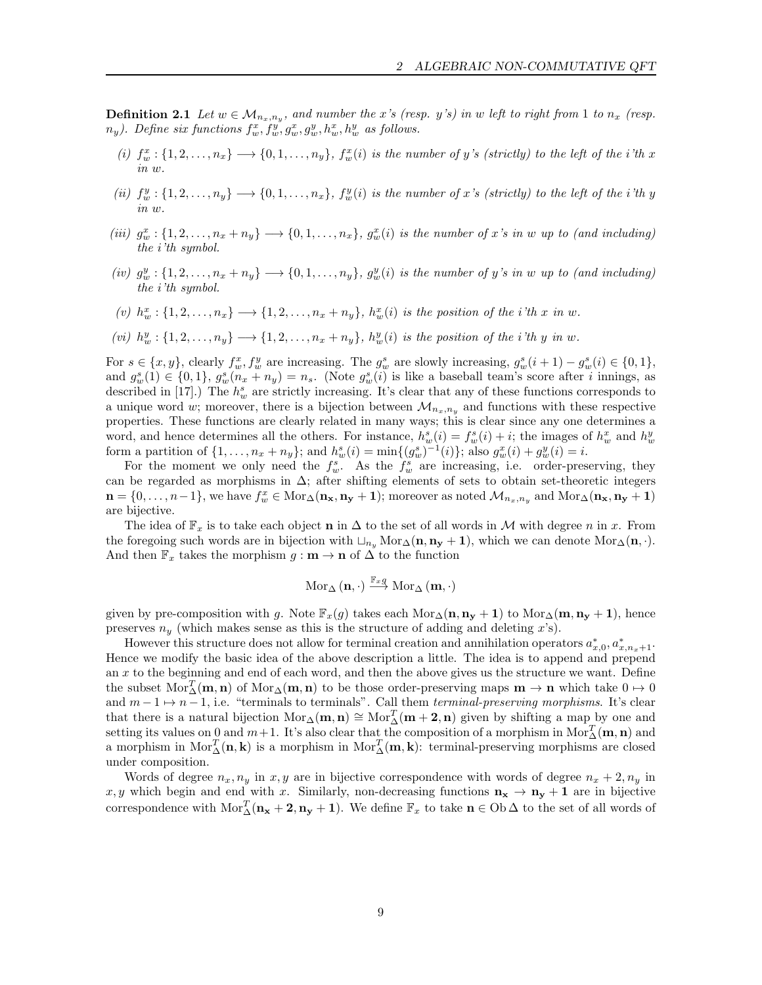**Definition 2.1** Let  $w \in M_{n_x,n_y}$ , and number the x's (resp. y's) in w left to right from 1 to  $n_x$  (resp.  $n_y$ ). Define six functions  $f_w^x, f_w^y, g_w^x, g_w^y, h_w^x, h_w^y$  as follows.

- (i)  $f_w^x: \{1, 2, \ldots, n_x\} \longrightarrow \{0, 1, \ldots, n_y\}, f_w^x(i)$  is the number of y's (strictly) to the left of the i'th x in w.
- (ii)  $f_w^y: \{1, 2, \ldots, n_y\} \longrightarrow \{0, 1, \ldots, n_x\}, f_w^y(i)$  is the number of x's (strictly) to the left of the i'th y in w.
- (iii)  $g_w^x: \{1, 2, \ldots, n_x + n_y\} \longrightarrow \{0, 1, \ldots, n_x\}, g_w^x(i)$  is the number of x's in w up to (and including) the i'th symbol.
- (iv)  $g_w^y: \{1, 2, \ldots, n_x + n_y\} \longrightarrow \{0, 1, \ldots, n_y\}, g_w^y(i)$  is the number of y's in w up to (and including) the i'th symbol.
- (v)  $h_w^x: \{1, 2, \ldots, n_x\} \longrightarrow \{1, 2, \ldots, n_x + n_y\}, h_w^x(i)$  is the position of the i'th x in w.
- (vi)  $h_w^y: \{1, 2, \ldots, n_y\} \longrightarrow \{1, 2, \ldots, n_x + n_y\}, h_w^y(i)$  is the position of the i'th y in w.

For  $s \in \{x, y\}$ , clearly  $f_w^x, f_w^y$  are increasing. The  $g_w^s$  are slowly increasing,  $g_w^s(i + 1) - g_w^s(i) \in \{0, 1\}$ , and  $g_w^s(1) \in \{0,1\}, g_w^s(n_x + n_y) = n_s$ . (Note  $g_w^s(i)$  is like a baseball team's score after i innings, as described in [17].) The  $h_w^s$  are strictly increasing. It's clear that any of these functions corresponds to a unique word w; moreover, there is a bijection between  $\mathcal{M}_{n_x,n_y}$  and functions with these respective properties. These functions are clearly related in many ways; this is clear since any one determines a word, and hence determines all the others. For instance,  $h_w^s(i) = f_w^s(i) + i$ ; the images of  $h_w^x$  and  $h_w^y$ form a partition of  $\{1, ..., n_x + n_y\}$ ; and  $h_w^s(i) = \min\{(g_w^s)^{-1}(i)\}$ ; also  $g_w^x(i) + g_w^y(i) = i$ .

For the moment we only need the  $f_w^s$ . As the  $f_w^s$  are increasing, i.e. order-preserving, they can be regarded as morphisms in  $\Delta$ ; after shifting elements of sets to obtain set-theoretic integers  $\mathbf{n} = \{0, \ldots, n-1\}$ , we have  $f_w^x \in \text{Mor}_{\Delta}(\mathbf{n_x}, \mathbf{n_y} + \mathbf{1})$ ; moreover as noted  $\mathcal{M}_{n_x,n_y}$  and  $\text{Mor}_{\Delta}(\mathbf{n_x}, \mathbf{n_y} + \mathbf{1})$ are bijective.

The idea of  $\mathbb{F}_x$  is to take each object **n** in  $\Delta$  to the set of all words in M with degree n in x. From the foregoing such words are in bijection with  $\sqcup_{n_y} \text{Mor}_{\Delta}(\mathbf{n}, \mathbf{n_y} + 1)$ , which we can denote Mor $\Delta(\mathbf{n}, \cdot)$ . And then  $\mathbb{F}_x$  takes the morphism  $g : \mathbf{m} \to \mathbf{n}$  of  $\Delta$  to the function

$$
\operatorname{Mor}_{\Delta}\left(\mathbf{n},\cdot\right)\stackrel{\mathbb{F}_{\mathit{x}}\mathit{g}}{\longrightarrow}\operatorname{Mor}_{\Delta}\left(\mathbf{m},\cdot\right)
$$

given by pre-composition with g. Note  $\mathbb{F}_x(g)$  takes each Mor<sub>∆</sub>(n, n<sub>y</sub> + 1) to Mor<sub>△</sub>(m, n<sub>y</sub> + 1), hence preserves  $n_y$  (which makes sense as this is the structure of adding and deleting x's).

However this structure does not allow for terminal creation and annihilation operators  $a_{x,0}^*$ ,  $a_{x,n_x+1}^*$ . Hence we modify the basic idea of the above description a little. The idea is to append and prepend an  $x$  to the beginning and end of each word, and then the above gives us the structure we want. Define the subset  $Mor_{\Delta}^{T}(\mathbf{m}, \mathbf{n})$  of  $Mor_{\Delta}(\mathbf{m}, \mathbf{n})$  to be those order-preserving maps  $\mathbf{m} \to \mathbf{n}$  which take  $0 \to 0$ and  $m-1 \mapsto n-1$ , i.e. "terminals to terminals". Call them *terminal-preserving morphisms*. It's clear that there is a natural bijection  $Mor_{\Delta}(\mathbf{m}, \mathbf{n}) \cong Mor_{\Delta}^{T}(\mathbf{m} + 2, \mathbf{n})$  given by shifting a map by one and setting its values on 0 and  $m+1$ . It's also clear that the composition of a morphism in Mor $_{\Delta}^T(\mathbf{m},\mathbf{n})$  and a morphism in  $Mor_{\Delta}^{T}(\mathbf{n}, \mathbf{k})$  is a morphism in  $Mor_{\Delta}^{T}(\mathbf{m}, \mathbf{k})$ : terminal-preserving morphisms are closed under composition.

Words of degree  $n_x, n_y$  in x, y are in bijective correspondence with words of degree  $n_x + 2, n_y$  in x, y which begin and end with x. Similarly, non-decreasing functions  $\mathbf{n_x} \to \mathbf{n_y} + \mathbf{1}$  are in bijective correspondence with  $Mor_{\Delta}^{T}(\mathbf{n_x} + \mathbf{2}, \mathbf{n_y} + \mathbf{1})$ . We define  $\mathbb{F}_x$  to take  $\mathbf{n} \in Ob \Delta$  to the set of all words of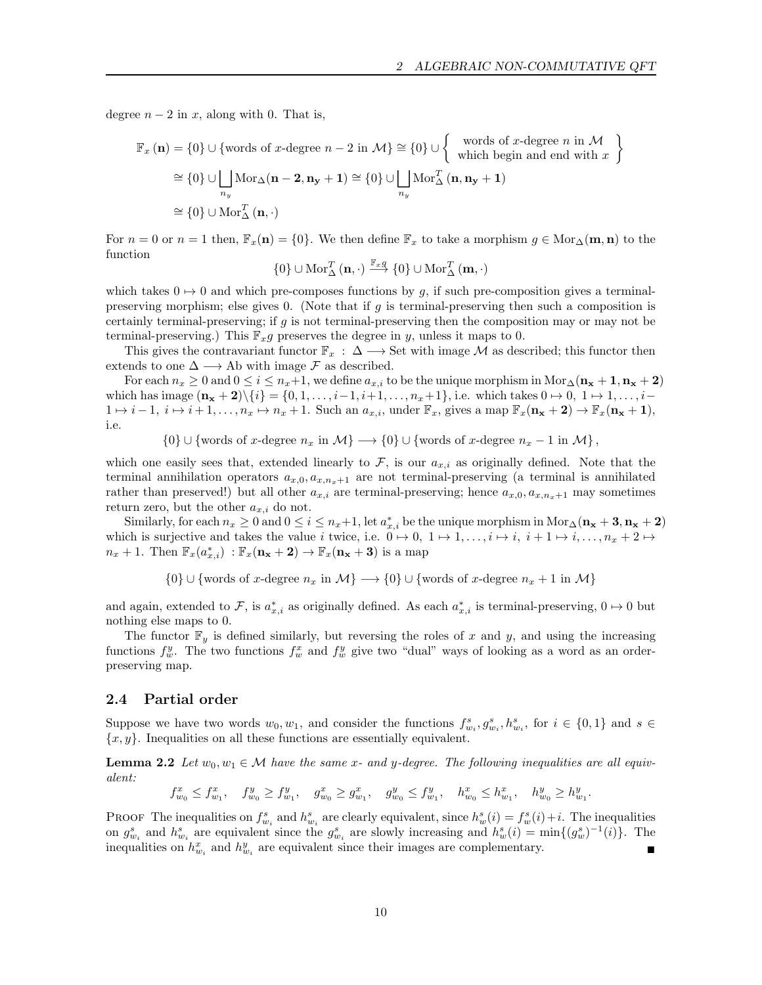degree  $n-2$  in x, along with 0. That is,

$$
\mathbb{F}_x \left( \mathbf{n} \right) = \{0\} \cup \{ \text{words of } x \text{-degree } n - 2 \text{ in } \mathcal{M} \} \cong \{0\} \cup \left\{ \begin{array}{c} \text{words of } x \text{-degree } n \text{ in } \mathcal{M} \\ \text{which begin and end with } x \end{array} \right\}
$$

$$
\cong \{0\} \cup \bigsqcup_{n_y} \text{Mor}_{\Delta}(\mathbf{n} - 2, \mathbf{n_y} + 1) \cong \{0\} \cup \bigsqcup_{n_y} \text{Mor}_{\Delta}^T(\mathbf{n}, \mathbf{n_y} + 1)
$$

$$
\cong \{0\} \cup \text{Mor}_{\Delta}^T(\mathbf{n}, \cdot)
$$

For  $n = 0$  or  $n = 1$  then,  $\mathbb{F}_x(\mathbf{n}) = \{0\}$ . We then define  $\mathbb{F}_x$  to take a morphism  $g \in \text{Mor}_{\Delta}(\mathbf{m}, \mathbf{n})$  to the function

$$
\{0\}\cup\operatorname{Mor}_{\Delta}^{T}\left(\mathbf{n},\cdot\right)\overset{\mathbb{F}_{x}g}{\longrightarrow}\{0\}\cup\operatorname{Mor}_{\Delta}^{T}\left(\mathbf{m},\cdot\right)
$$

which takes  $0 \mapsto 0$  and which pre-composes functions by g, if such pre-composition gives a terminalpreserving morphism; else gives 0. (Note that if  $g$  is terminal-preserving then such a composition is certainly terminal-preserving; if g is not terminal-preserving then the composition may or may not be terminal-preserving.) This  $\mathbb{F}_x g$  preserves the degree in y, unless it maps to 0.

This gives the contravariant functor  $\mathbb{F}_x : \Delta \longrightarrow$  Set with image M as described; this functor then extends to one  $\Delta \longrightarrow$  Ab with image  $\mathcal F$  as described.

For each  $n_x \geq 0$  and  $0 \leq i \leq n_x+1$ , we define  $a_{x,i}$  to be the unique morphism in Mor $\Delta(\mathbf{n_x} + \mathbf{1}, \mathbf{n_x} + \mathbf{2})$ which has image  $(n_x + 2)\{i\} = \{0, 1, \ldots, i-1, i+1, \ldots, n_x+1\}$ , i.e. which takes  $0 \mapsto 0, 1 \mapsto 1, \ldots, i-1$  $1 \mapsto i - 1, i \mapsto i + 1, \ldots, n_x \mapsto n_x + 1$ . Such an  $a_{x,i}$ , under  $\mathbb{F}_x$ , gives a map  $\mathbb{F}_x(\mathbf{n_x} + 2) \to \mathbb{F}_x(\mathbf{n_x} + 1)$ , i.e.

 $\{0\} \cup \{\text{words of } x\text{-degree } n_x \text{ in } \mathcal{M}\} \longrightarrow \{0\} \cup \{\text{words of } x\text{-degree } n_x - 1 \text{ in } \mathcal{M}\},\$ 

which one easily sees that, extended linearly to F, is our  $a_{x,i}$  as originally defined. Note that the terminal annihilation operators  $a_{x,0}, a_{x,n_x+1}$  are not terminal-preserving (a terminal is annihilated rather than preserved!) but all other  $a_{x,i}$  are terminal-preserving; hence  $a_{x,0}, a_{x,n_x+1}$  may sometimes return zero, but the other  $a_{x,i}$  do not.

Similarly, for each  $n_x \ge 0$  and  $0 \le i \le n_x+1$ , let  $a_{x,i}^*$  be the unique morphism in  $Mor_{\Delta}$  ( $\mathbf{n_x} + \mathbf{3}$ ,  $\mathbf{n_x} + \mathbf{2}$ ) which is surjective and takes the value i twice, i.e.  $0 \mapsto 0, 1 \mapsto 1, \ldots, i \mapsto i, i + 1 \mapsto i, \ldots, n_x + 2 \mapsto$  $n_x+1$ . Then  $\mathbb{F}_x(a^*_{x,i}) : \mathbb{F}_x(\mathbf{n_x}+2) \to \mathbb{F}_x(\mathbf{n_x}+3)$  is a map

 $\{0\} \cup \{\text{words of } x\text{-degree } n_x \text{ in } \mathcal{M}\} \longrightarrow \{0\} \cup \{\text{words of } x\text{-degree } n_x + 1 \text{ in } \mathcal{M}\}\$ 

and again, extended to F, is  $a_{x,i}^*$  as originally defined. As each  $a_{x,i}^*$  is terminal-preserving,  $0 \mapsto 0$  but nothing else maps to 0.

The functor  $\mathbb{F}_y$  is defined similarly, but reversing the roles of x and y, and using the increasing functions  $f_w^y$ . The two functions  $f_w^x$  and  $f_w^y$  give two "dual" ways of looking as a word as an orderpreserving map.

#### 2.4 Partial order

Suppose we have two words  $w_0, w_1$ , and consider the functions  $f_{w_i}^s, g_{w_i}^s, h_{w_i}^s$ , for  $i \in \{0,1\}$  and  $s \in$  ${x, y}$ . Inequalities on all these functions are essentially equivalent.

**Lemma 2.2** Let  $w_0, w_1 \in \mathcal{M}$  have the same x- and y-degree. The following inequalities are all equivalent:

 $f_{w_0}^x \leq f_{w_1}^x$ ,  $f_{w_0}^y \geq f_{w_1}^y$ ,  $g_{w_0}^x \geq g_{w_1}^x$ ,  $g_{w_0}^y \leq f_{w_1}^y$ ,  $h_{w_0}^x \leq h_{w_1}^x$ ,  $h_{w_0}^y \geq h_{w_1}^y$ .

PROOF The inequalities on  $f_{w_i}^s$  and  $h_{w_i}^s$  are clearly equivalent, since  $h_w^s(i) = f_w^s(i) + i$ . The inequalities on  $g_{w_i}^s$  and  $h_{w_i}^s$  are equivalent since the  $g_{w_i}^s$  are slowly increasing and  $h_w^s(i) = \min\{(g_w^s)^{-1}(i)\}\.$  The inequalities on  $h_{w_i}^x$  and  $h_{w_i}^y$  are equivalent since their images are complementary.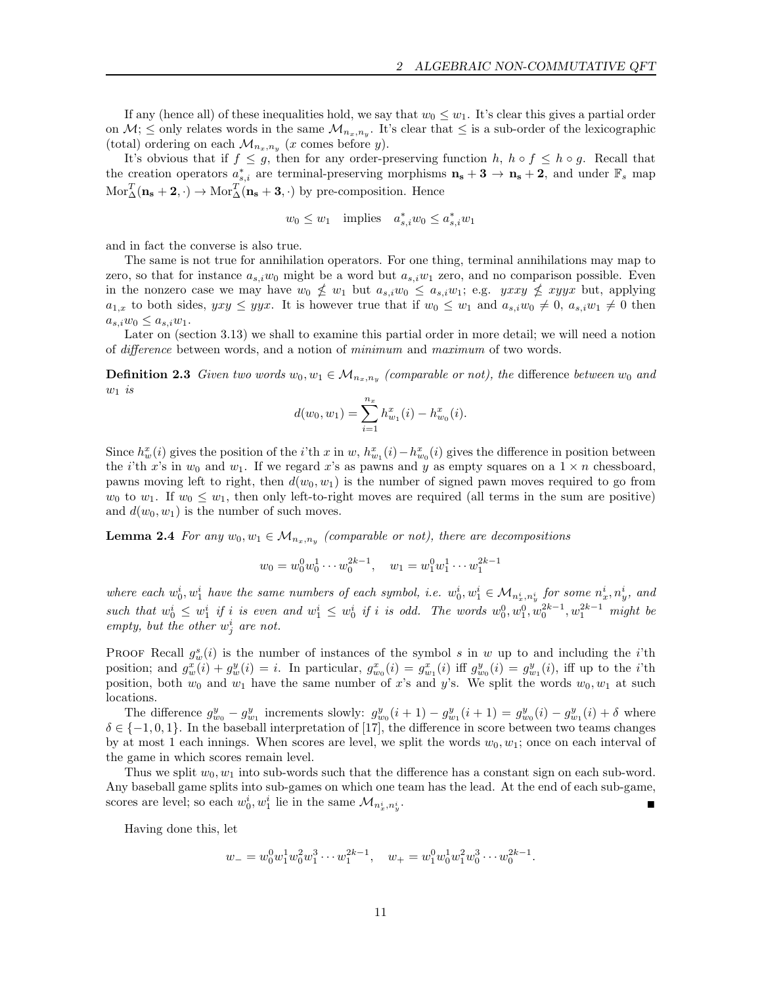If any (hence all) of these inequalities hold, we say that  $w_0 \leq w_1$ . It's clear this gives a partial order on  $\mathcal{M}$ ;  $\leq$  only relates words in the same  $\mathcal{M}_{n_x,n_y}$ . It's clear that  $\leq$  is a sub-order of the lexicographic (total) ordering on each  $\mathcal{M}_{n_x,n_y}$  (x comes before y).

It's obvious that if  $f \leq g$ , then for any order-preserving function h,  $h \circ f \leq h \circ g$ . Recall that the creation operators  $a_{s,i}^*$  are terminal-preserving morphisms  $\mathbf{n_s} + 3 \to \mathbf{n_s} + 2$ , and under  $\mathbb{F}_s$  map  $Mor^T_{\Delta}(\mathbf{n_s} + \mathbf{2}, \cdot) \rightarrow Mor^T_{\Delta}(\mathbf{n_s} + \mathbf{3}, \cdot)$  by pre-composition. Hence

$$
w_0 \le w_1 \quad \text{implies} \quad a_{s,i}^* w_0 \le a_{s,i}^* w_1
$$

and in fact the converse is also true.

The same is not true for annihilation operators. For one thing, terminal annihilations may map to zero, so that for instance  $a_{s,i}w_0$  might be a word but  $a_{s,i}w_1$  zero, and no comparison possible. Even in the nonzero case we may have  $w_0 \nleq w_1$  but  $a_{s,i}w_0 \leq a_{s,i}w_1$ ; e.g.  $yxxy \nleq xyyx$  but, applying  $a_{1,x}$  to both sides,  $yxy \leq yyx$ . It is however true that if  $w_0 \leq w_1$  and  $a_{s,i}w_0 \neq 0$ ,  $a_{s,i}w_1 \neq 0$  then  $a_{s,i}w_0 \leq a_{s,i}w_1.$ 

Later on (section 3.13) we shall to examine this partial order in more detail; we will need a notion of difference between words, and a notion of minimum and maximum of two words.

**Definition 2.3** Given two words  $w_0, w_1 \in M_{n_x,n_y}$  (comparable or not), the difference between  $w_0$  and  $w_1$  is

$$
d(w_0, w_1) = \sum_{i=1}^{n_x} h_{w_1}^x(i) - h_{w_0}^x(i).
$$

Since  $h_w^x(i)$  gives the position of the *i*'th x in w,  $h_{w_1}^x(i) - h_{w_0}^x(i)$  gives the difference in position between the *i*'th x's in  $w_0$  and  $w_1$ . If we regard x's as pawns and y as empty squares on a  $1 \times n$  chessboard, pawns moving left to right, then  $d(w_0, w_1)$  is the number of signed pawn moves required to go from  $w_0$  to  $w_1$ . If  $w_0 \leq w_1$ , then only left-to-right moves are required (all terms in the sum are positive) and  $d(w_0, w_1)$  is the number of such moves.

**Lemma 2.4** For any  $w_0, w_1 \in M_{n_x,n_y}$  (comparable or not), there are decompositions

$$
w_0 = w_0^0 w_0^1 \cdots w_0^{2k-1}, \quad w_1 = w_1^0 w_1^1 \cdots w_1^{2k-1}
$$

where each  $w_0^i, w_1^i$  have the same numbers of each symbol, i.e.  $w_0^i, w_1^i \in \mathcal{M}_{n_x^i, n_y^i}$  for some  $n_x^i, n_y^i$ , and such that  $w_0^i \leq w_1^i$  if i is even and  $w_1^i \leq w_0^i$  if i is odd. The words  $w_0^0, w_1^0, w_0^{2k-1}, w_1^{2k-1}$  might be empty, but the other  $w_j^i$  are not.

**PROOF Recall**  $g_w^s(i)$  is the number of instances of the symbol s in w up to and including the *i*'th position; and  $g_w^x(i) + g_w^y(i) = i$ . In particular,  $g_{w_0}^x(i) = g_{w_1}^x(i)$  iff  $g_{w_0}^y(i) = g_{w_1}^y(i)$ , iff up to the *i*'th position, both  $w_0$  and  $w_1$  have the same number of x's and y's. We split the words  $w_0, w_1$  at such locations.

The difference  $g_{w_0}^y - g_{w_1}^y$  increments slowly:  $g_{w_0}^y(i+1) - g_{w_1}^y(i+1) = g_{w_0}^y(i) - g_{w_1}^y(i) + \delta$  where  $\delta \in \{-1,0,1\}$ . In the baseball interpretation of [17], the difference in score between two teams changes by at most 1 each innings. When scores are level, we split the words  $w_0, w_1$ ; once on each interval of the game in which scores remain level.

Thus we split  $w_0, w_1$  into sub-words such that the difference has a constant sign on each sub-word. Any baseball game splits into sub-games on which one team has the lead. At the end of each sub-game, scores are level; so each  $w_0^i, w_1^i$  lie in the same  $\mathcal{M}_{n_x^i, n_y^i}$ . In the control of the control of the control of the control of the control of

Having done this, let

$$
w_- = w_0^0 w_1^1 w_0^2 w_1^3 \cdots w_1^{2k-1}, \quad w_+ = w_1^0 w_0^1 w_1^2 w_0^3 \cdots w_0^{2k-1}.
$$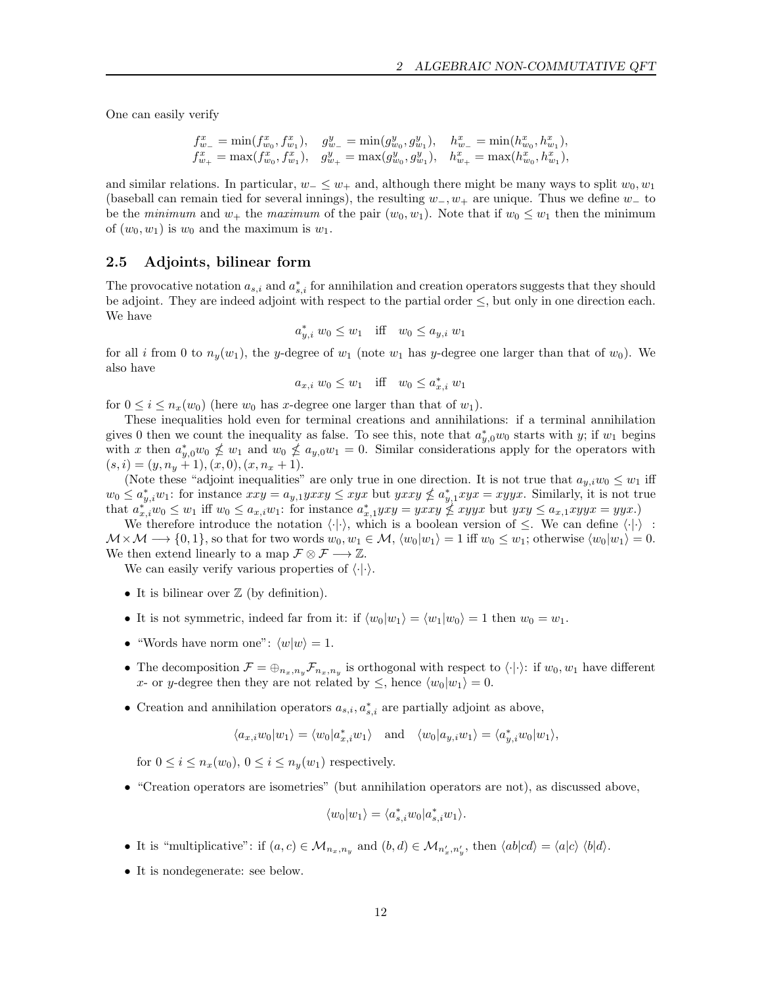One can easily verify

$$
\begin{array}{lll} f^x_w = \min(f^x_{w_0}, f^x_{w_1}), & g^y_{w_-} = \min(g^y_{w_0}, g^y_{w_1}), & h^x_{w_-} = \min(h^x_{w_0}, h^x_{w_1}), \\ f^x_{w_+} = \max(f^x_{w_0}, f^x_{w_1}), & g^y_{w_+} = \max(g^y_{w_0}, g^y_{w_1}), & h^x_{w_+} = \max(h^x_{w_0}, h^x_{w_1}), \end{array}
$$

and similar relations. In particular,  $w_-\leq w_+$  and, although there might be many ways to split  $w_0, w_1$ (baseball can remain tied for several innings), the resulting  $w_-, w_+$  are unique. Thus we define  $w_-\;$  to be the minimum and  $w_+$  the maximum of the pair  $(w_0, w_1)$ . Note that if  $w_0 \leq w_1$  then the minimum of  $(w_0, w_1)$  is  $w_0$  and the maximum is  $w_1$ .

## 2.5 Adjoints, bilinear form

The provocative notation  $a_{s,i}$  and  $a_{s,i}^*$  for annihilation and creation operators suggests that they should be adjoint. They are indeed adjoint with respect to the partial order  $\leq$ , but only in one direction each. We have

$$
a_{y,i}^* w_0 \le w_1
$$
 iff  $w_0 \le a_{y,i} w_1$ 

for all i from 0 to  $n_y(w_1)$ , the y-degree of  $w_1$  (note  $w_1$  has y-degree one larger than that of  $w_0$ ). We also have

$$
a_{x,i} \ w_0 \le w_1 \quad \text{iff} \quad w_0 \le a_{x,i}^* \ w_1
$$

for  $0 \leq i \leq n_x(w_0)$  (here  $w_0$  has x-degree one larger than that of  $w_1$ ).

These inequalities hold even for terminal creations and annihilations: if a terminal annihilation gives 0 then we count the inequality as false. To see this, note that  $a_{y,0}^*w_0$  starts with y; if  $w_1$  begins with x then  $a_{y,0}^*w_0 \nleq w_1$  and  $w_0 \nleq a_{y,0}w_1 = 0$ . Similar considerations apply for the operators with  $(s, i) = (y, n_y + 1), (x, 0), (x, n_x + 1).$ 

(Note these "adjoint inequalities" are only true in one direction. It is not true that  $a_{y,i}w_0 \leq w_1$  iff  $w_0 \le a_{y,i}^* w_1$ : for instance  $xxy = a_{y,1} yxxy \le xyx$  but  $yxxy \nleq a_{y,1}^* xyx = xyyx$ . Similarly, it is not true that  $a_{x,i}^{*}w_0 \leq w_1$  iff  $w_0 \leq a_{x,i}w_1$ : for instance  $a_{x,1}^{*}yxy = yxxy \nleq xyxy$  but  $yxy \leq a_{x,1}xyyx = yyx$ .

We therefore introduce the notation  $\langle \cdot | \cdot \rangle$ , which is a boolean version of  $\leq$ . We can define  $\langle \cdot | \cdot \rangle$ :  $\mathcal{M}\times\mathcal{M}\longrightarrow\{0,1\}$ , so that for two words  $w_0, w_1\in\mathcal{M}, \langle w_0|w_1\rangle = 1$  iff  $w_0\leq w_1$ ; otherwise  $\langle w_0|w_1\rangle = 0$ . We then extend linearly to a map  $\mathcal{F} \otimes \mathcal{F} \longrightarrow \mathbb{Z}$ .

We can easily verify various properties of  $\langle \cdot | \cdot \rangle$ .

- It is bilinear over  $Z$  (by definition).
- It is not symmetric, indeed far from it: if  $\langle w_0|w_1\rangle = \langle w_1|w_0\rangle = 1$  then  $w_0 = w_1$ .
- "Words have norm one":  $\langle w|w \rangle = 1$ .
- The decomposition  $\mathcal{F} = \bigoplus_{n_x,n_y} \mathcal{F}_{n_x,n_y}$  is orthogonal with respect to  $\langle \cdot | \cdot \rangle$ : if  $w_0, w_1$  have different x- or y-degree then they are not related by  $\leq$ , hence  $\langle w_0|w_1\rangle = 0$ .
- Creation and annihilation operators  $a_{s,i}, a_{s,i}^*$  are partially adjoint as above,

$$
\langle a_{x,i}w_0|w_1\rangle = \langle w_0|a_{x,i}^*w_1\rangle \quad \text{and} \quad \langle w_0|a_{y,i}w_1\rangle = \langle a_{y,i}^*w_0|w_1\rangle,
$$

for  $0 \leq i \leq n_x(w_0)$ ,  $0 \leq i \leq n_y(w_1)$  respectively.

• "Creation operators are isometries" (but annihilation operators are not), as discussed above,

$$
\langle w_0|w_1\rangle = \langle a_{s,i}^* w_0|a_{s,i}^* w_1\rangle.
$$

- It is "multiplicative": if  $(a, c) \in \mathcal{M}_{n_x, n_y}$  and  $(b, d) \in \mathcal{M}_{n'_x, n'_y}$ , then  $\langle ab|cd \rangle = \langle a|c \rangle \langle b|d \rangle$ .
- It is nondegenerate: see below.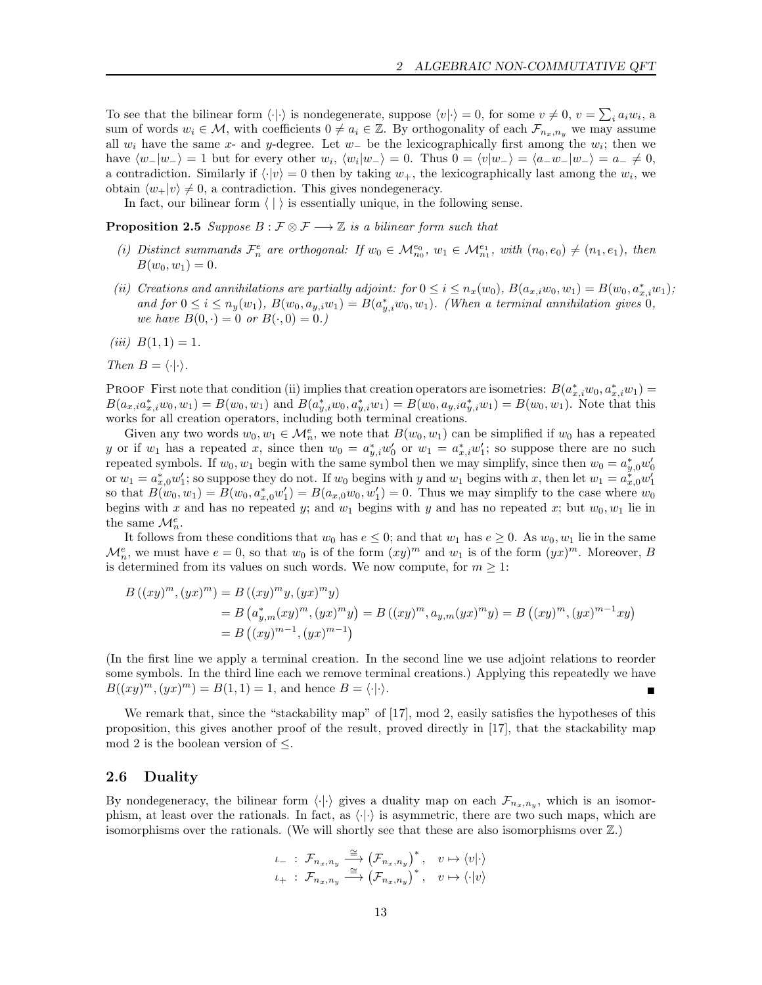To see that the bilinear form  $\langle \cdot | \cdot \rangle$  is nondegenerate, suppose  $\langle v | \cdot \rangle = 0$ , for some  $v \neq 0$ ,  $v = \sum_i a_i w_i$ , a sum of words  $w_i \in \mathcal{M}$ , with coefficients  $0 \neq a_i \in \mathbb{Z}$ . By orthogonality of each  $\mathcal{F}_{n_x,n_y}$  we may assume all  $w_i$  have the same x- and y-degree. Let  $w_-\,$  be the lexicographically first among the  $w_i$ ; then we have  $\langle w_-|w_-\rangle = 1$  but for every other  $w_i$ ,  $\langle w_i|w_-\rangle = 0$ . Thus  $0 = \langle v|w_-\rangle = \langle a_-w_-|w_-\rangle = a_- \neq 0$ , a contradiction. Similarly if  $\langle \cdot | v \rangle = 0$  then by taking  $w_+$ , the lexicographically last among the  $w_i$ , we obtain  $\langle w_+|v\rangle \neq 0$ , a contradiction. This gives nondegeneracy.

In fact, our bilinear form  $\langle | \rangle$  is essentially unique, in the following sense.

**Proposition 2.5** Suppose  $B : \mathcal{F} \otimes \mathcal{F} \longrightarrow \mathbb{Z}$  is a bilinear form such that

- (i) Distinct summands  $\mathcal{F}_n^e$  are orthogonal: If  $w_0 \in \mathcal{M}_{n_0}^{e_0}$ ,  $w_1 \in \mathcal{M}_{n_1}^{e_1}$ , with  $(n_0, e_0) \neq (n_1, e_1)$ , then  $B(w_0, w_1) = 0.$
- (ii) Creations and annihilations are partially adjoint: for  $0 \le i \le n_x(w_0)$ ,  $B(a_{x,i}w_0, w_1) = B(w_0, a_{x,i}^*w_1)$ ; and for  $0 \leq i \leq n_y(w_1)$ ,  $B(w_0, a_{y,i}w_1) = B(a_{y,i}^*w_0, w_1)$ . (When a terminal annihilation gives 0, we have  $B(0, \cdot) = 0$  or  $B(\cdot, 0) = 0$ .)

(*iii*)  $B(1, 1) = 1$ .

Then  $B = \langle \cdot | \cdot \rangle$ .

PROOF First note that condition (ii) implies that creation operators are isometries:  $B(a_{x,i}^*w_0, a_{x,i}^*w_1) =$  $B(a_{x,i}a_{x,i}^*w_0, w_1) = B(w_0, w_1)$  and  $B(a_{y,i}^*w_0, a_{y,i}^*w_1) = B(w_0, a_{y,i}a_{y,i}^*w_1) = B(w_0, w_1)$ . Note that this works for all creation operators, including both terminal creations.

Given any two words  $w_0, w_1 \in \mathcal{M}_n^e$ , we note that  $B(w_0, w_1)$  can be simplified if  $w_0$  has a repeated y or if  $w_1$  has a repeated x, since then  $w_0 = a_{y,i}^* w_0'$  or  $w_1 = a_{x,i}^* w_1'$ ; so suppose there are no such repeated symbols. If  $w_0, w_1$  begin with the same symbol then we may simplify, since then  $w_0 = a_{y,0}^* w'_0$ or  $w_1 = a_{x,0}^* w_1'$ ; so suppose they do not. If  $w_0$  begins with y and  $w_1$  begins with x, then let  $w_1 = a_{x,0}^* w_1'$ so that  $B(w_0, w_1) = B(w_0, a_{x,0}^* w_1') = B(a_{x,0} w_0, w_1') = 0$ . Thus we may simplify to the case where  $w_0$ begins with x and has no repeated y; and  $w_1$  begins with y and has no repeated x; but  $w_0, w_1$  lie in the same  $\mathcal{M}_n^e$ .

It follows from these conditions that  $w_0$  has  $e \leq 0$ ; and that  $w_1$  has  $e \geq 0$ . As  $w_0, w_1$  lie in the same  $\mathcal{M}_n^e$ , we must have  $e = 0$ , so that  $w_0$  is of the form  $(xy)^m$  and  $w_1$  is of the form  $(yx)^m$ . Moreover, B is determined from its values on such words. We now compute, for  $m \geq 1$ :

$$
B ((xy)^m, (yx)^m) = B ((xy)^m y, (yx)^m y)
$$
  
=  $B (a_{y,m}^*(xy)^m, (yx)^m y) = B ((xy)^m, a_{y,m}(yx)^m y) = B ((xy)^m, (yx)^{m-1} xy)$   
=  $B ((xy)^{m-1}, (yx)^{m-1})$ 

(In the first line we apply a terminal creation. In the second line we use adjoint relations to reorder some symbols. In the third line each we remove terminal creations.) Applying this repeatedly we have  $B((xy)^m, (yx)^m) = B(1, 1) = 1$ , and hence  $B = \langle \cdot | \cdot \rangle$ .

We remark that, since the "stackability map" of [17], mod 2, easily satisfies the hypotheses of this proposition, this gives another proof of the result, proved directly in [17], that the stackability map mod 2 is the boolean version of  $\leq$ .

#### 2.6 Duality

By nondegeneracy, the bilinear form  $\langle \cdot | \cdot \rangle$  gives a duality map on each  $\mathcal{F}_{n_x,n_y}$ , which is an isomorphism, at least over the rationals. In fact, as  $\langle \cdot | \cdot \rangle$  is asymmetric, there are two such maps, which are isomorphisms over the rationals. (We will shortly see that these are also isomorphisms over  $\mathbb{Z}$ .)

$$
\begin{array}{ccc}\iota_{-}&\colon\mathcal{F}_{n_{x},n_{y}}\stackrel{\cong}{\longrightarrow}&\left(\mathcal{F}_{n_{x},n_{y}}\right)^{*},&v\mapsto\langle v|\cdot\rangle\\ \iota_{+}&\colon\mathcal{F}_{n_{x},n_{y}}\stackrel{\cong}{\longrightarrow}&\left(\mathcal{F}_{n_{x},n_{y}}\right)^{*},&v\mapsto\langle\cdot|v\rangle\end{array}
$$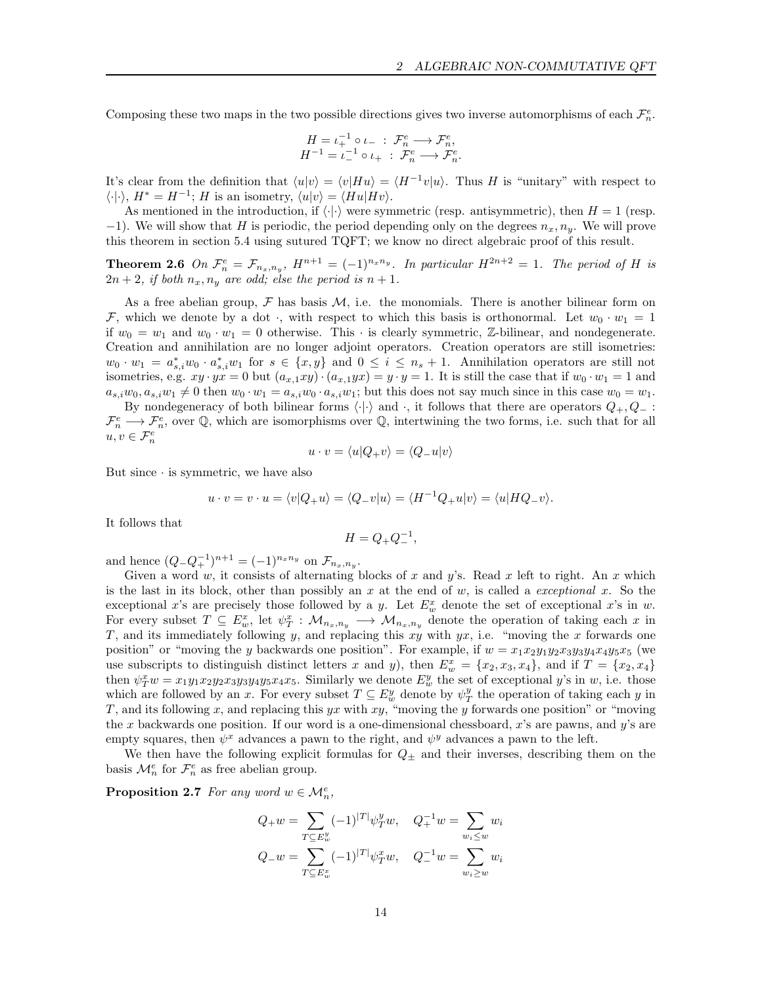Composing these two maps in the two possible directions gives two inverse automorphisms of each  $\mathcal{F}_n^e$ .

$$
H = \iota_+^{-1} \circ \iota_- : \mathcal{F}_n^e \longrightarrow \mathcal{F}_n^e,
$$
  

$$
H^{-1} = \iota_-^{-1} \circ \iota_+ : \mathcal{F}_n^e \longrightarrow \mathcal{F}_n^e.
$$

It's clear from the definition that  $\langle u|v \rangle = \langle v|Hu \rangle = \langle H^{-1}v|u \rangle$ . Thus H is "unitary" with respect to  $\langle \cdot | \cdot \rangle$ ,  $H^* = H^{-1}$ ; H is an isometry,  $\langle u | v \rangle = \langle Hu | Hv \rangle$ .

As mentioned in the introduction, if  $\langle \cdot | \cdot \rangle$  were symmetric (resp. antisymmetric), then  $H = 1$  (resp.  $-1$ ). We will show that H is periodic, the period depending only on the degrees  $n_x, n_y$ . We will prove this theorem in section 5.4 using sutured TQFT; we know no direct algebraic proof of this result.

**Theorem 2.6** On  $\mathcal{F}_n^e = \mathcal{F}_{n_x,n_y}$ ,  $H^{n+1} = (-1)^{n_x n_y}$ . In particular  $H^{2n+2} = 1$ . The period of H is  $2n + 2$ , if both  $n_x, n_y$  are odd; else the period is  $n + 1$ .

As a free abelian group,  $\mathcal F$  has basis  $\mathcal M$ , i.e. the monomials. There is another bilinear form on F, which we denote by a dot, with respect to which this basis is orthonormal. Let  $w_0 \cdot w_1 = 1$ if  $w_0 = w_1$  and  $w_0 \cdot w_1 = 0$  otherwise. This  $\cdot$  is clearly symmetric, Z-bilinear, and nondegenerate. Creation and annihilation are no longer adjoint operators. Creation operators are still isometries:  $w_0 \cdot w_1 = a_{s,i}^* w_0 \cdot a_{s,i}^* w_1$  for  $s \in \{x, y\}$  and  $0 \le i \le n_s + 1$ . Annihilation operators are still not isometries, e.g.  $xy \cdot yx = 0$  but  $(a_{x,1}xy) \cdot (a_{x,1}yx) = y \cdot y = 1$ . It is still the case that if  $w_0 \cdot w_1 = 1$  and  $a_{s,i}w_0, a_{s,i}w_1 \neq 0$  then  $w_0 \cdot w_1 = a_{s,i}w_0 \cdot a_{s,i}w_1$ ; but this does not say much since in this case  $w_0 = w_1$ .

By nondegeneracy of both bilinear forms  $\langle \cdot | \cdot \rangle$  and  $\cdot$ , it follows that there are operators  $Q_+, Q_-$ :  $\mathcal{F}_n^e \longrightarrow \mathcal{F}_n^e$ , over Q, which are isomorphisms over Q, intertwining the two forms, i.e. such that for all  $u, v \in \mathcal{F}_n^e$ 

$$
u \cdot v = \langle u | Q_+ v \rangle = \langle Q_- u | v \rangle
$$

But since  $\cdot$  is symmetric, we have also

$$
u \cdot v = v \cdot u = \langle v|Q_{+}u \rangle = \langle Q_{-}v|u \rangle = \langle H^{-1}Q_{+}u|v \rangle = \langle u|HQ_{-}v \rangle.
$$

It follows that

$$
H = Q_+ Q_-^{-1},
$$

and hence  $(Q_{-}Q_{+}^{-1})^{n+1} = (-1)^{n_x n_y}$  on  $\mathcal{F}_{n_x,n_y}$ .

Given a word w, it consists of alternating blocks of x and y's. Read x left to right. An x which is the last in its block, other than possibly an x at the end of  $w$ , is called a *exceptional*  $x$ . So the exceptional x's are precisely those followed by a y. Let  $E_w^x$  denote the set of exceptional x's in w. For every subset  $T \subseteq E_w^x$ , let  $\psi_T^x : \mathcal{M}_{n_x,n_y} \longrightarrow \mathcal{M}_{n_x,n_y}$  denote the operation of taking each x in T, and its immediately following y, and replacing this  $xy$  with  $yx$ , i.e. "moving the x forwards one position" or "moving the y backwards one position". For example, if  $w = x_1x_2y_1y_2x_3y_3y_4x_4y_5x_5$  (we use subscripts to distinguish distinct letters x and y), then  $E_w^x = \{x_2, x_3, x_4\}$ , and if  $T = \{x_2, x_4\}$ then  $\psi_T^x w = x_1 y_1 x_2 y_2 x_3 y_3 y_4 y_5 x_4 x_5$ . Similarly we denote  $E_w^y$  the set of exceptional y's in w, i.e. those which are followed by an x. For every subset  $T \subseteq E_w^y$  denote by  $\psi_T^y$  the operation of taking each y in T, and its following x, and replacing this yx with xy, "moving the y forwards one position" or "moving" the x backwards one position. If our word is a one-dimensional chessboard,  $x$ 's are pawns, and  $y$ 's are empty squares, then  $\psi^x$  advances a pawn to the right, and  $\psi^y$  advances a pawn to the left.

We then have the following explicit formulas for  $Q_{\pm}$  and their inverses, describing them on the basis  $\mathcal{M}_n^e$  for  $\mathcal{F}_n^e$  as free abelian group.

**Proposition 2.7** For any word  $w \in \mathcal{M}_n^e$ ,

$$
Q_{+}w = \sum_{T \subseteq E_{w}^{y}} (-1)^{|T|} \psi_{T}^{y} w, \quad Q_{+}^{-1}w = \sum_{w_{i} \le w} w_{i}
$$

$$
Q_{-}w = \sum_{T \subseteq E_{w}^{x}} (-1)^{|T|} \psi_{T}^{x} w, \quad Q_{-}^{-1}w = \sum_{w_{i} \ge w} w_{i}
$$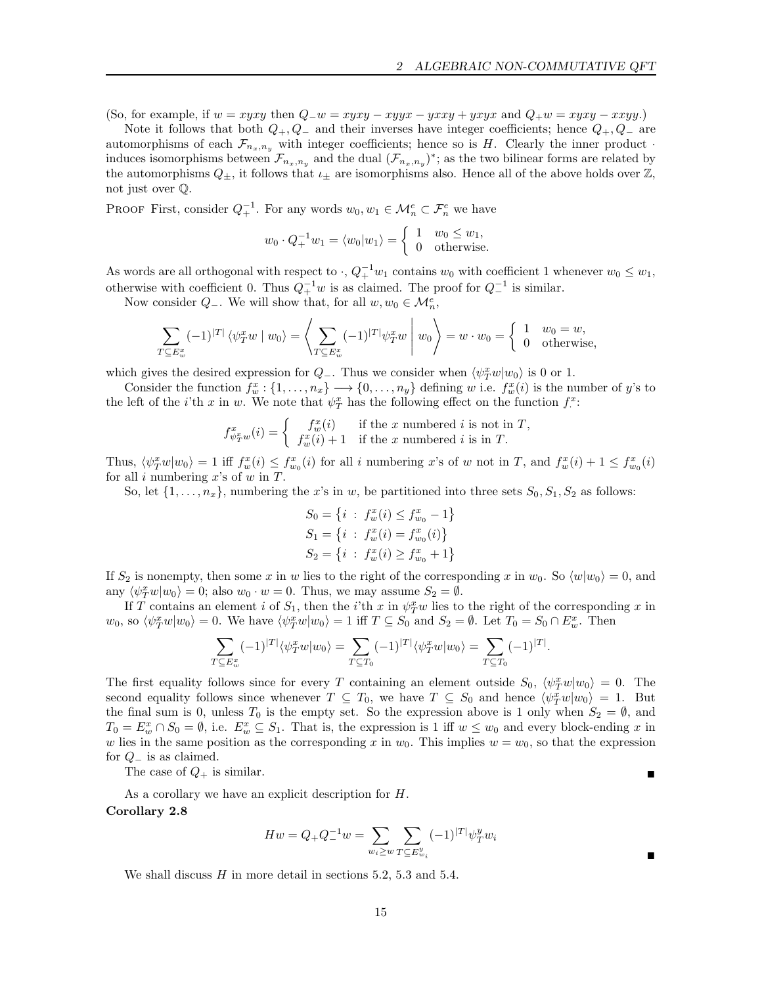(So, for example, if  $w = xyxy$  then  $Q_w = xyxy - xyyx - yxxy + yxyx$  and  $Q_+w = xyxy - xxyy$ .)

Note it follows that both  $Q_+, Q_-$  and their inverses have integer coefficients; hence  $Q_+, Q_-$  are automorphisms of each  $\mathcal{F}_{n_x,n_y}$  with integer coefficients; hence so is H. Clearly the inner product  $\cdot$ induces isomorphisms between  $\mathcal{F}_{n_x,n_y}$  and the dual  $(\mathcal{F}_{n_x,n_y})^*$ ; as the two bilinear forms are related by the automorphisms  $Q_{\pm}$ , it follows that  $\iota_{\pm}$  are isomorphisms also. Hence all of the above holds over  $\mathbb{Z}$ , not just over Q.

PROOF First, consider  $Q_+^{-1}$ . For any words  $w_0, w_1 \in \mathcal{M}_n^e \subset \mathcal{F}_n^e$  we have

$$
w_0 \cdot Q_+^{-1} w_1 = \langle w_0 | w_1 \rangle = \begin{cases} 1 & w_0 \le w_1, \\ 0 & \text{otherwise.} \end{cases}
$$

As words are all orthogonal with respect to  $\cdot$ ,  $Q_+^{-1}w_1$  contains  $w_0$  with coefficient 1 whenever  $w_0 \leq w_1$ , otherwise with coefficient 0. Thus  $Q_+^{-1}w$  is as claimed. The proof for  $Q_-^{-1}$  is similar.

Now consider  $Q_{-}$ . We will show that, for all  $w, w_0 \in \mathcal{M}_n^e$ ,

$$
\sum_{T \subseteq E_w^x} (-1)^{|T|} \langle \psi_T^x w \mid w_0 \rangle = \left\langle \sum_{T \subseteq E_w^x} (-1)^{|T|} \psi_T^x w \mid w_0 \right\rangle = w \cdot w_0 = \begin{cases} 1 & w_0 = w, \\ 0 & \text{otherwise,} \end{cases}
$$

which gives the desired expression for  $Q_{-}$ . Thus we consider when  $\langle \psi_T^x w | w_0 \rangle$  is 0 or 1.

Consider the function  $f_w^x: \{1, \ldots, n_x\} \longrightarrow \{0, \ldots, n_y\}$  defining w i.e.  $f_w^x(i)$  is the number of y's to the left of the *i*'th x in w. We note that  $\psi_T^x$  has the following effect on the function  $f^x$ :

$$
f_{\psi_T^x w}^x(i) = \begin{cases} f_w^x(i) & \text{if the } x \text{ numbered } i \text{ is not in } T, \\ f_w^x(i) + 1 & \text{if the } x \text{ numbered } i \text{ is in } T. \end{cases}
$$

Thus,  $\langle \psi_T^x w | w_0 \rangle = 1$  iff  $f_w^x(i) \leq f_{w_0}^x(i)$  for all i numbering x's of w not in T, and  $f_w^x(i) + 1 \leq f_{w_0}^x(i)$ for all  $i$  numbering  $x$ 's of  $w$  in  $T$ .

So, let  $\{1, \ldots, n_x\}$ , numbering the x's in w, be partitioned into three sets  $S_0, S_1, S_2$  as follows:

$$
S_0 = \{i : f_w^x(i) \le f_{w_0}^x - 1\}
$$
  
\n
$$
S_1 = \{i : f_w^x(i) = f_{w_0}^x(i)\}
$$
  
\n
$$
S_2 = \{i : f_w^x(i) \ge f_{w_0}^x + 1\}
$$

If  $S_2$  is nonempty, then some x in w lies to the right of the corresponding x in  $w_0$ . So  $\langle w|w_0 \rangle = 0$ , and any  $\langle \psi_T^x w | w_0 \rangle = 0$ ; also  $w_0 \cdot w = 0$ . Thus, we may assume  $S_2 = \emptyset$ .

If T contains an element i of  $S_1$ , then the i'th x in  $\psi_T^x w$  lies to the right of the corresponding x in  $w_0$ , so  $\langle \psi_T^x w | w_0 \rangle = 0$ . We have  $\langle \psi_T^x w | w_0 \rangle = 1$  iff  $T \subseteq S_0$  and  $S_2 = \emptyset$ . Let  $T_0 = S_0 \cap E_w^x$ . Then

$$
\sum_{T \subseteq E_w^x} (-1)^{|T|} \langle \psi_T^x w | w_0 \rangle = \sum_{T \subseteq T_0} (-1)^{|T|} \langle \psi_T^x w | w_0 \rangle = \sum_{T \subseteq T_0} (-1)^{|T|}.
$$

The first equality follows since for every T containing an element outside  $S_0$ ,  $\langle \psi_T^x w | w_0 \rangle = 0$ . The second equality follows since whenever  $T \subseteq T_0$ , we have  $T \subseteq S_0$  and hence  $\langle \psi_T^x w | w_0 \rangle = 1$ . But the final sum is 0, unless  $T_0$  is the empty set. So the expression above is 1 only when  $S_2 = \emptyset$ , and  $T_0 = E_w^x \cap S_0 = \emptyset$ , i.e.  $E_w^x \subseteq S_1$ . That is, the expression is 1 iff  $w \leq w_0$  and every block-ending x in w lies in the same position as the corresponding x in  $w_0$ . This implies  $w = w_0$ , so that the expression for  $Q_-\$  is as claimed.

The case of  $Q_+$  is similar.

As a corollary we have an explicit description for H.

## Corollary 2.8

$$
Hw = Q_+Q_-^{-1}w = \sum_{w_i \geq w} \sum_{T \subseteq E_{w_i}^y} (-1)^{|T|} \psi_T^y w_i
$$

We shall discuss  $H$  in more detail in sections 5.2, 5.3 and 5.4.

Ë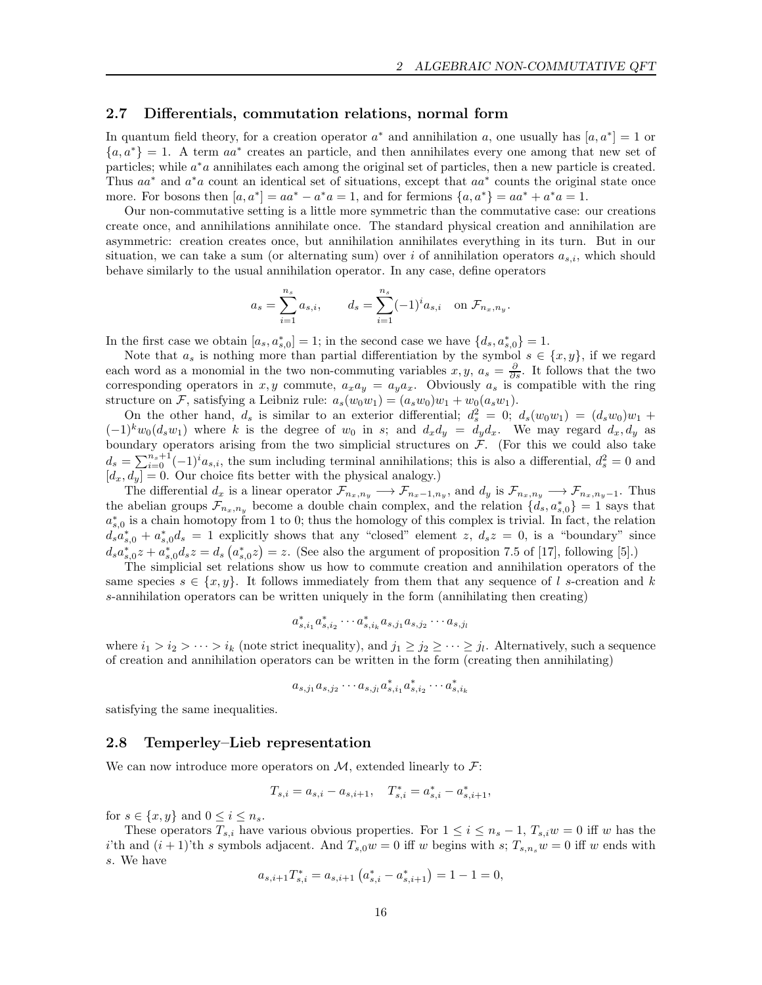#### 2.7 Differentials, commutation relations, normal form

In quantum field theory, for a creation operator  $a^*$  and annihilation a, one usually has  $[a, a^*]=1$  or  ${a, a^*} = 1$ . A term  $aa^*$  creates an particle, and then annihilates every one among that new set of particles; while  $a^*a$  annihilates each among the original set of particles, then a new particle is created. Thus  $aa^*$  and  $a^*a$  count an identical set of situations, except that  $aa^*$  counts the original state once more. For bosons then  $[a, a^*] = aa^* - a^*a = 1$ , and for fermions  $\{a, a^*\} = aa^* + a^*a = 1$ .

Our non-commutative setting is a little more symmetric than the commutative case: our creations create once, and annihilations annihilate once. The standard physical creation and annihilation are asymmetric: creation creates once, but annihilation annihilates everything in its turn. But in our situation, we can take a sum (or alternating sum) over i of annihilation operators  $a_{s,i}$ , which should behave similarly to the usual annihilation operator. In any case, define operators

$$
a_s = \sum_{i=1}^{n_s} a_{s,i},
$$
  $d_s = \sum_{i=1}^{n_s} (-1)^i a_{s,i}$  on  $\mathcal{F}_{n_x,n_y}$ .

In the first case we obtain  $[a_s, a_{s,0}^*]=1$ ; in the second case we have  $\{d_s, a_{s,0}^*\}=1$ .

Note that  $a_s$  is nothing more than partial differentiation by the symbol  $s \in \{x, y\}$ , if we regard each word as a monomial in the two non-commuting variables  $x, y, a_s = \frac{\partial}{\partial s}$ . It follows that the two corresponding operators in x, y commute,  $a_x a_y = a_y a_x$ . Obviously  $a_s$  is compatible with the ring structure on F, satisfying a Leibniz rule:  $a_s(w_0w_1) = (a_sw_0)w_1 + w_0(a_sw_1)$ .

On the other hand,  $d_s$  is similar to an exterior differential;  $d_s^2 = 0$ ;  $d_s(w_0w_1) = (d_sw_0)w_1 +$  $(-1)^k w_0(d_s w_1)$  where k is the degree of  $w_0$  in s; and  $d_x d_y = d_y d_x$ . We may regard  $d_x, d_y$  as boundary operators arising from the two simplicial structures on  $F$ . (For this we could also take  $d_s = \sum_{i=0}^{n_s+1} (-1)^i a_{s,i}$ , the sum including terminal annihilations; this is also a differential,  $d_s^2 = 0$  and  $[d_x, d_y] = 0$ . Our choice fits better with the physical analogy.)

The differential  $d_x$  is a linear operator  $\mathcal{F}_{n_x,n_y} \longrightarrow \mathcal{F}_{n_x-1,n_y}$ , and  $d_y$  is  $\mathcal{F}_{n_x,n_y} \longrightarrow \mathcal{F}_{n_x,n_y-1}$ . Thus the abelian groups  $\mathcal{F}_{n_x,n_y}$  become a double chain complex, and the relation  $\{d_s, a_{s,0}^*\}=1$  says that  $a_{s,0}^*$  is a chain homotopy from 1 to 0; thus the homology of this complex is trivial. In fact, the relation  $d_s a_{s,0}^* + a_{s,0}^* d_s = 1$  explicitly shows that any "closed" element z,  $d_s z = 0$ , is a "boundary" since  $d_s a_{s,0}^* z + a_{s,0}^* d_s z = d_s (a_{s,0}^* z) = z$ . (See also the argument of proposition 7.5 of [17], following [5].)

The simplicial set relations show us how to commute creation and annihilation operators of the same species  $s \in \{x, y\}$ . It follows immediately from them that any sequence of l s-creation and k s-annihilation operators can be written uniquely in the form (annihilating then creating)

$$
a_{s,i_1}^* a_{s,i_2}^* \cdots a_{s,i_k}^* a_{s,j_1} a_{s,j_2} \cdots a_{s,j_l}
$$

where  $i_1 > i_2 > \cdots > i_k$  (note strict inequality), and  $j_1 \geq j_2 \geq \cdots \geq j_l$ . Alternatively, such a sequence of creation and annihilation operators can be written in the form (creating then annihilating)

$$
a_{s,j_1}a_{s,j_2}\cdots a_{s,j_l}a_{s,i_1}^*a_{s,i_2}^*\cdots a_{s,i_k}^*
$$

satisfying the same inequalities.

## 2.8 Temperley–Lieb representation

We can now introduce more operators on  $M$ , extended linearly to  $\mathcal{F}$ :

$$
T_{s,i} = a_{s,i} - a_{s,i+1}, \quad T_{s,i}^* = a_{s,i}^* - a_{s,i+1}^*,
$$

for  $s \in \{x, y\}$  and  $0 \leq i \leq n_s$ .

These operators  $T_{s,i}$  have various obvious properties. For  $1 \leq i \leq n_s - 1$ ,  $T_{s,i}w = 0$  iff w has the i'th and  $(i + 1)$ 'th s symbols adjacent. And  $T_{s,0}w = 0$  iff w begins with s;  $T_{s,n_s}w = 0$  iff w ends with s. We have

$$
a_{s,i+1}T_{s,i}^* = a_{s,i+1} \left( a_{s,i}^* - a_{s,i+1}^* \right) = 1 - 1 = 0,
$$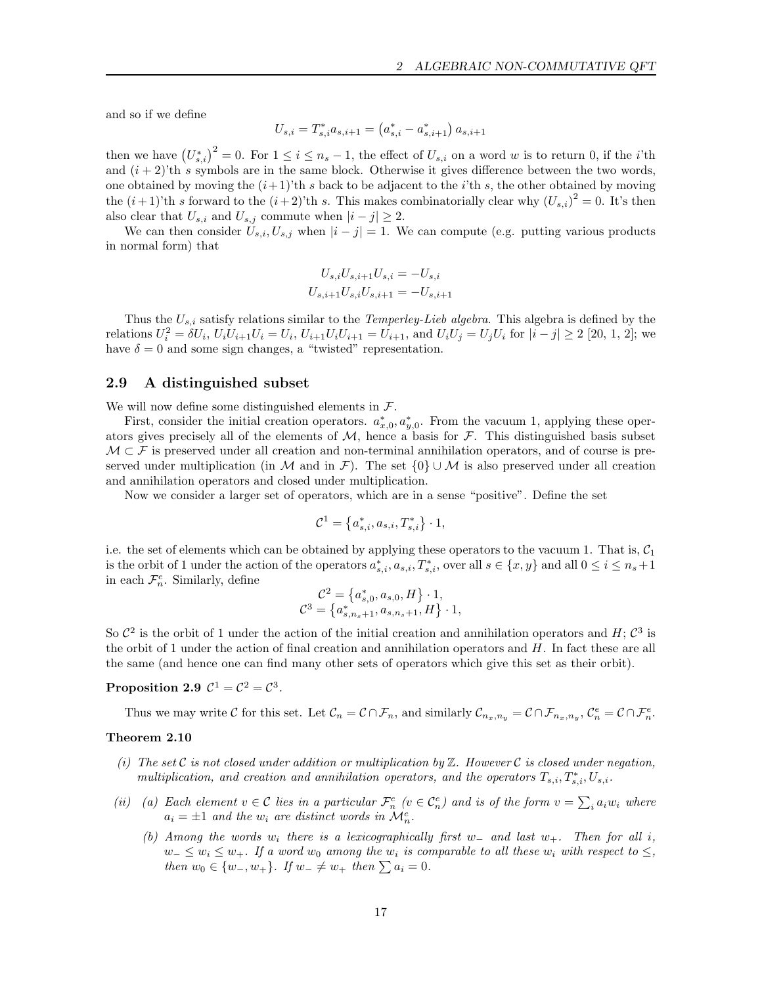and so if we define

$$
U_{s,i} = T_{s,i}^* a_{s,i+1} = (a_{s,i}^* - a_{s,i+1}^*) a_{s,i+1}
$$

then we have  $(U_{s,i}^*)^2 = 0$ . For  $1 \le i \le n_s - 1$ , the effect of  $U_{s,i}$  on a word w is to return 0, if the *i*'th and  $(i + 2)$ 'th s symbols are in the same block. Otherwise it gives difference between the two words, one obtained by moving the  $(i+1)'$ th s back to be adjacent to the i'th s, the other obtained by moving the  $(i+1)$ 'th s forward to the  $(i+2)$ 'th s. This makes combinatorially clear why  $(U_{s,i})^2 = 0$ . It's then also clear that  $U_{s,i}$  and  $U_{s,j}$  commute when  $|i - j| \geq 2$ .

We can then consider  $U_{s,i}, U_{s,j}$  when  $|i - j| = 1$ . We can compute (e.g. putting various products in normal form) that

$$
U_{s,i}U_{s,i+1}U_{s,i} = -U_{s,i}
$$
  

$$
U_{s,i+1}U_{s,i}U_{s,i+1} = -U_{s,i+1}
$$

Thus the  $U_{s,i}$  satisfy relations similar to the *Temperley-Lieb algebra*. This algebra is defined by the relations  $U_i^2 = \delta U_i$ ,  $U_i U_{i+1} U_i = U_i$ ,  $U_{i+1} U_i U_{i+1} = U_{i+1}$ , and  $U_i U_j = U_j U_i$  for  $|i - j| \ge 2$  [20, 1, 2]; we have  $\delta = 0$  and some sign changes, a "twisted" representation.

## 2.9 A distinguished subset

We will now define some distinguished elements in  $\mathcal{F}$ .

First, consider the initial creation operators.  $a_{x,0}^*, a_{y,0}^*$ . From the vacuum 1, applying these operators gives precisely all of the elements of  $M$ , hence a basis for  $\mathcal F$ . This distinguished basis subset  $\mathcal{M} \subset \mathcal{F}$  is preserved under all creation and non-terminal annihilation operators, and of course is preserved under multiplication (in M and in F). The set  $\{0\} \cup \mathcal{M}$  is also preserved under all creation and annihilation operators and closed under multiplication.

Now we consider a larger set of operators, which are in a sense "positive". Define the set

$$
\mathcal{C}^1 = \left\{ a_{s,i}^*, a_{s,i}, T_{s,i}^* \right\} \cdot 1,
$$

i.e. the set of elements which can be obtained by applying these operators to the vacuum 1. That is,  $C_1$ is the orbit of 1 under the action of the operators  $a_{s,i}^*, a_{s,i}, T_{s,i}^*$ , over all  $s \in \{x, y\}$  and all  $0 \le i \le n_s + 1$ in each  $\mathcal{F}_n^e$ . Similarly, define

$$
\mathcal{C}^2 = \left\{ a_{s,0}^*, a_{s,0}, H \right\} \cdot 1, \n\mathcal{C}^3 = \left\{ a_{s,n_s+1}^*, a_{s,n_s+1}, H \right\} \cdot 1,
$$

So  $\mathcal{C}^2$  is the orbit of 1 under the action of the initial creation and annihilation operators and H;  $\mathcal{C}^3$  is the orbit of 1 under the action of final creation and annihilation operators and  $H$ . In fact these are all the same (and hence one can find many other sets of operators which give this set as their orbit).

## Proposition 2.9  $C^1 = C^2 = C^3$ .

Thus we may write C for this set. Let  $\mathcal{C}_n = \mathcal{C} \cap \mathcal{F}_n$ , and similarly  $\mathcal{C}_{n_x,n_y} = \mathcal{C} \cap \mathcal{F}_{n_x,n_y}$ ,  $\mathcal{C}_n^e = \mathcal{C} \cap \mathcal{F}_n^e$ .

#### Theorem 2.10

- (i) The set C is not closed under addition or multiplication by  $\mathbb Z$ . However C is closed under negation, multiplication, and creation and annihilation operators, and the operators  $T_{s,i}, T_{s,i}^*$ ,  $U_{s,i}$ .
- (ii) (a) Each element  $v \in C$  lies in a particular  $\mathcal{F}_n^e$  ( $v \in C_n^e$ ) and is of the form  $v = \sum_i a_i w_i$  where  $a_i = \pm 1$  and the  $w_i$  are distinct words in  $\mathcal{M}_n^e$ .
	- (b) Among the words  $w_i$  there is a lexicographically first w<sub>-</sub> and last w<sub>+</sub>. Then for all i,  $w_-\leq w_i\leq w_+$ . If a word w<sub>0</sub> among the w<sub>i</sub> is comparable to all these w<sub>i</sub> with respect to  $\leq$ , then  $w_0 \in \{w_-, w_+\}$ . If  $w_-\neq w_+$  then  $\sum a_i = 0$ .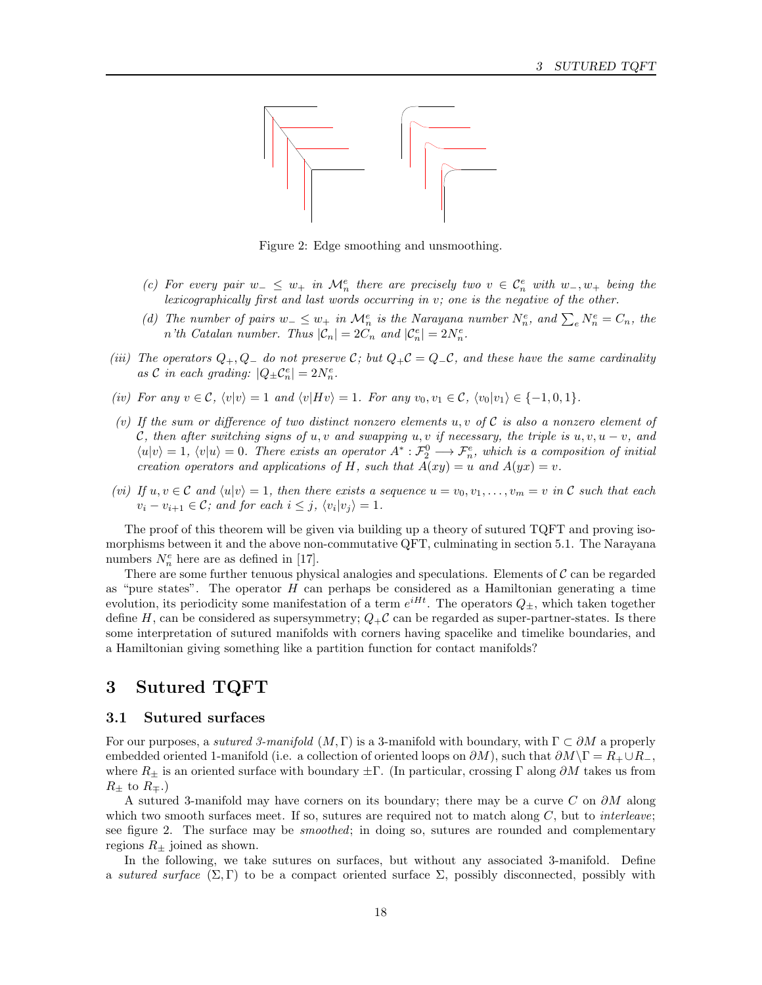

Figure 2: Edge smoothing and unsmoothing.

- (c) For every pair  $w_-\leq w_+$  in  $\mathcal{M}_n^e$  there are precisely two  $v \in \mathcal{C}_n^e$  with  $w_-, w_+$  being the lexicographically first and last words occurring in v; one is the negative of the other.
- (d) The number of pairs  $w_-\leq w_+$  in  $\mathcal{M}_n^e$  is the Narayana number  $N_n^e$ , and  $\sum_e N_n^e = C_n$ , the *n'th Catalan number. Thus*  $|\mathcal{C}_n| = 2C_n$  and  $|\mathcal{C}_n^e| = 2N_n^e$ .
- (iii) The operators  $Q_+, Q_-$  do not preserve C; but  $Q_+C = Q_-C$ , and these have the same cardinality as  $C$  in each grading:  $|Q_{\pm} C_n^e| = 2N_n^e$ .
- (iv) For any  $v \in \mathcal{C}$ ,  $\langle v|v \rangle = 1$  and  $\langle v|Hv \rangle = 1$ . For any  $v_0, v_1 \in \mathcal{C}$ ,  $\langle v_0|v_1 \rangle \in \{-1, 0, 1\}$ .
- (v) If the sum or difference of two distinct nonzero elements u, v of  $\mathcal C$  is also a nonzero element of C, then after switching signs of u, v and swapping u, v if necessary, the triple is  $u, v, u - v$ , and  $\langle u|v\rangle = 1, \langle v|u\rangle = 0.$  There exists an operator  $A^*: \mathcal{F}_2^0 \longrightarrow \mathcal{F}_n^e$ , which is a composition of initial creation operators and applications of H, such that  $A(xy) = u$  and  $A(yx) = v$ .
- (vi) If  $u, v \in \mathcal{C}$  and  $\langle u | v \rangle = 1$ , then there exists a sequence  $u = v_0, v_1, \ldots, v_m = v$  in  $\mathcal{C}$  such that each  $v_i - v_{i+1} \in \mathcal{C}$ ; and for each  $i \leq j$ ,  $\langle v_i | v_j \rangle = 1$ .

The proof of this theorem will be given via building up a theory of sutured TQFT and proving isomorphisms between it and the above non-commutative QFT, culminating in section 5.1. The Narayana numbers  $N_n^e$  here are as defined in [17].

There are some further tenuous physical analogies and speculations. Elements of  $\mathcal C$  can be regarded as "pure states". The operator  $H$  can perhaps be considered as a Hamiltonian generating a time evolution, its periodicity some manifestation of a term  $e^{iHt}$ . The operators  $Q_{\pm}$ , which taken together define H, can be considered as supersymmetry;  $Q_{+}C$  can be regarded as super-partner-states. Is there some interpretation of sutured manifolds with corners having spacelike and timelike boundaries, and a Hamiltonian giving something like a partition function for contact manifolds?

# 3 Sutured TQFT

## 3.1 Sutured surfaces

For our purposes, a *sutured 3-manifold*  $(M, \Gamma)$  is a 3-manifold with boundary, with  $\Gamma \subset \partial M$  a properly embedded oriented 1-manifold (i.e. a collection of oriented loops on  $\partial M$ ), such that  $\partial M\backslash\Gamma = R_+ \cup R_-$ , where  $R_{\pm}$  is an oriented surface with boundary  $\pm \Gamma$ . (In particular, crossing  $\Gamma$  along  $\partial M$  takes us from  $R_{\pm}$  to  $R_{\mp}$ .)

A sutured 3-manifold may have corners on its boundary; there may be a curve C on  $\partial M$  along which two smooth surfaces meet. If so, sutures are required not to match along  $C$ , but to *interleave*; see figure 2. The surface may be smoothed; in doing so, sutures are rounded and complementary regions  $R_{\pm}$  joined as shown.

In the following, we take sutures on surfaces, but without any associated 3-manifold. Define a sutured surface  $(\Sigma, \Gamma)$  to be a compact oriented surface  $\Sigma$ , possibly disconnected, possibly with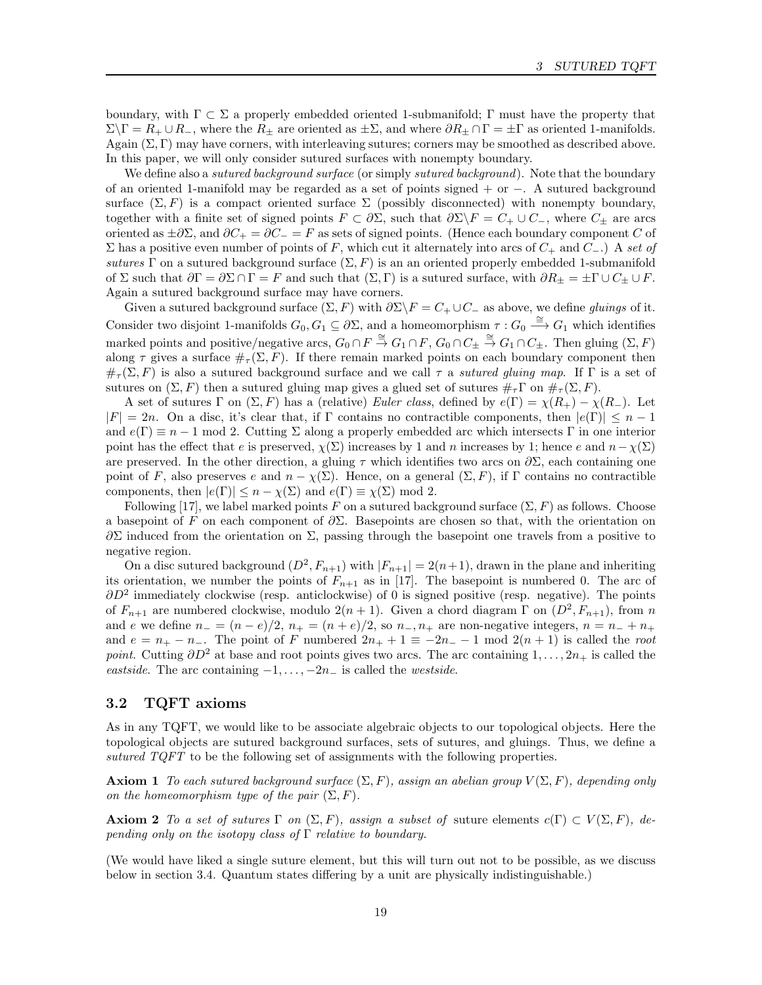boundary, with  $\Gamma \subset \Sigma$  a properly embedded oriented 1-submanifold;  $\Gamma$  must have the property that  $\Sigma\backslash\Gamma = R_+ \cup R_-,$  where the  $R_\pm$  are oriented as  $\pm \Sigma$ , and where  $\partial R_\pm \cap \Gamma = \pm \Gamma$  as oriented 1-manifolds. Again  $(\Sigma, \Gamma)$  may have corners, with interleaving sutures; corners may be smoothed as described above. In this paper, we will only consider sutured surfaces with nonempty boundary.

We define also a *sutured background surface* (or simply *sutured background*). Note that the boundary of an oriented 1-manifold may be regarded as a set of points signed + or −. A sutured background surface  $(\Sigma, F)$  is a compact oriented surface  $\Sigma$  (possibly disconnected) with nonempty boundary, together with a finite set of signed points  $F \subset \partial \Sigma$ , such that  $\partial \Sigma \backslash F = C_+ \cup C_-$ , where  $C_{\pm}$  are arcs oriented as  $\pm \partial \Sigma$ , and  $\partial C_+ = \partial C_- = F$  as sets of signed points. (Hence each boundary component C of Σ has a positive even number of points of F, which cut it alternately into arcs of  $C_+$  and  $C_-\$ .) A set of sutures Γ on a sutured background surface  $(\Sigma, F)$  is an an oriented properly embedded 1-submanifold of  $\Sigma$  such that  $\partial \Gamma = \partial \Sigma \cap \Gamma = F$  and such that  $(\Sigma, \Gamma)$  is a sutured surface, with  $\partial R_{\pm} = \pm \Gamma \cup C_{\pm} \cup F$ . Again a sutured background surface may have corners.

Given a sutured background surface  $(\Sigma, F)$  with  $\partial \Sigma \backslash F = C_+ \cup C_-$  as above, we define *gluings* of it. Consider two disjoint 1-manifolds  $G_0, G_1 \subseteq \partial \Sigma$ , and a homeomorphism  $\tau : G_0 \stackrel{\cong}{\longrightarrow} G_1$  which identifies marked points and positive/negative arcs,  $G_0 \cap F \stackrel{\cong}{\to} G_1 \cap F$ ,  $G_0 \cap C_{\pm} \stackrel{\cong}{\to} G_1 \cap C_{\pm}$ . Then gluing  $(\Sigma, F)$ along  $\tau$  gives a surface  $\#_{\tau}(\Sigma, F)$ . If there remain marked points on each boundary component then  $\#_{\tau}(\Sigma, F)$  is also a sutured background surface and we call  $\tau$  a *sutured gluing map*. If  $\Gamma$  is a set of sutures on  $(\Sigma, F)$  then a sutured gluing map gives a glued set of sutures  $\#_{\tau} \Gamma$  on  $\#_{\tau} (\Sigma, F)$ .

A set of sutures Γ on  $(\Sigma, F)$  has a (relative) Euler class, defined by  $e(\Gamma) = \chi(R_+) - \chi(R_-)$ . Let  $|F| = 2n$ . On a disc, it's clear that, if Γ contains no contractible components, then  $|e(\Gamma)| \leq n-1$ and  $e(\Gamma) \equiv n-1$  mod 2. Cutting  $\Sigma$  along a properly embedded arc which intersects  $\Gamma$  in one interior point has the effect that e is preserved,  $\chi(\Sigma)$  increases by 1 and n increases by 1; hence e and  $n-\chi(\Sigma)$ are preserved. In the other direction, a gluing  $\tau$  which identifies two arcs on  $\partial \Sigma$ , each containing one point of F, also preserves e and  $n - \chi(\Sigma)$ . Hence, on a general  $(\Sigma, F)$ , if  $\Gamma$  contains no contractible components, then  $|e(\Gamma)| \leq n - \chi(\Sigma)$  and  $e(\Gamma) \equiv \chi(\Sigma) \mod 2$ .

Following [17], we label marked points F on a sutured background surface  $(\Sigma, F)$  as follows. Choose a basepoint of F on each component of  $\partial \Sigma$ . Basepoints are chosen so that, with the orientation on  $\partial \Sigma$  induced from the orientation on Σ, passing through the basepoint one travels from a positive to negative region.

On a disc sutured background  $(D^2, F_{n+1})$  with  $|F_{n+1}| = 2(n+1)$ , drawn in the plane and inheriting its orientation, we number the points of  $F_{n+1}$  as in [17]. The basepoint is numbered 0. The arc of  $\partial D^2$  immediately clockwise (resp. anticlockwise) of 0 is signed positive (resp. negative). The points of  $F_{n+1}$  are numbered clockwise, modulo  $2(n+1)$ . Given a chord diagram  $\Gamma$  on  $(D^2, F_{n+1})$ , from n and e we define  $n_ - = (n - e)/2$ ,  $n_ + = (n + e)/2$ , so  $n_-, n_+$  are non-negative integers,  $n = n_- + n_+$ and  $e = n_+ - n_-$ . The point of F numbered  $2n_+ + 1 \equiv -2n_- - 1$  mod  $2(n + 1)$  is called the root point. Cutting  $\partial D^2$  at base and root points gives two arcs. The arc containing  $1, \ldots, 2n_+$  is called the eastside. The arc containing  $-1, \ldots, -2n$  is called the *westside*.

## 3.2 TQFT axioms

As in any TQFT, we would like to be associate algebraic objects to our topological objects. Here the topological objects are sutured background surfaces, sets of sutures, and gluings. Thus, we define a sutured TQFT to be the following set of assignments with the following properties.

**Axiom 1** To each sutured background surface  $(\Sigma, F)$ , assign an abelian group  $V(\Sigma, F)$ , depending only on the homeomorphism type of the pair  $(\Sigma, F)$ .

**Axiom 2** To a set of sutures  $\Gamma$  on  $(\Sigma, F)$ , assign a subset of suture elements  $c(\Gamma) \subset V(\Sigma, F)$ , depending only on the isotopy class of  $\Gamma$  relative to boundary.

(We would have liked a single suture element, but this will turn out not to be possible, as we discuss below in section 3.4. Quantum states differing by a unit are physically indistinguishable.)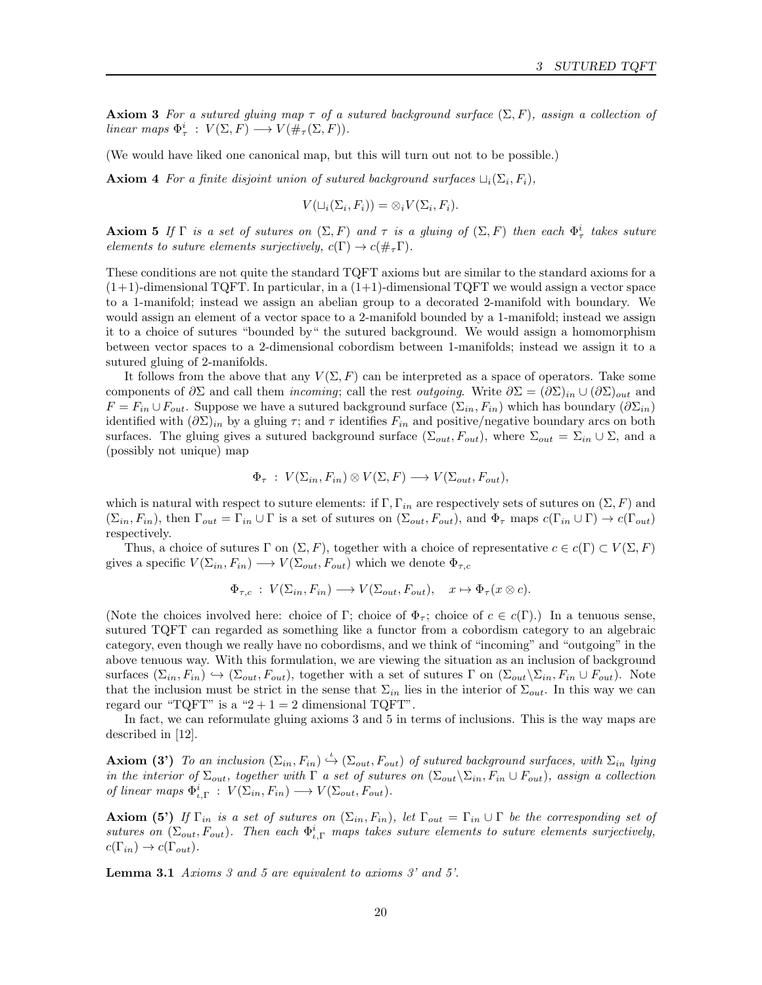**Axiom 3** For a sutured gluing map  $\tau$  of a sutured background surface  $(\Sigma, F)$ , assign a collection of linear maps  $\Phi^i_\tau : V(\Sigma, F) \longrightarrow V(\#_\tau(\Sigma, F)).$ 

(We would have liked one canonical map, but this will turn out not to be possible.)

**Axiom 4** For a finite disjoint union of sutured background surfaces  $\sqcup_i(\Sigma_i, F_i)$ ,

$$
V(\sqcup_i(\Sigma_i,F_i))=\otimes_i V(\Sigma_i,F_i).
$$

**Axiom 5** If  $\Gamma$  is a set of sutures on  $(\Sigma, F)$  and  $\tau$  is a gluing of  $(\Sigma, F)$  then each  $\Phi^i_\tau$  takes suture elements to suture elements surjectively,  $c(\Gamma) \rightarrow c(\#_{\tau}\Gamma)$ .

These conditions are not quite the standard TQFT axioms but are similar to the standard axioms for a  $(1+1)$ -dimensional TQFT. In particular, in a  $(1+1)$ -dimensional TQFT we would assign a vector space to a 1-manifold; instead we assign an abelian group to a decorated 2-manifold with boundary. We would assign an element of a vector space to a 2-manifold bounded by a 1-manifold; instead we assign it to a choice of sutures "bounded by" the sutured background. We would assign a homomorphism between vector spaces to a 2-dimensional cobordism between 1-manifolds; instead we assign it to a sutured gluing of 2-manifolds.

It follows from the above that any  $V(\Sigma, F)$  can be interpreted as a space of operators. Take some components of  $\partial \Sigma$  and call them *incoming*; call the rest *outgoing*. Write  $\partial \Sigma = (\partial \Sigma)_{in} \cup (\partial \Sigma)_{out}$  and  $F = F_{in} \cup F_{out}$ . Suppose we have a sutured background surface  $(\Sigma_{in}, F_{in})$  which has boundary  $(\partial \Sigma_{in})$ identified with  $(\partial \Sigma)_{in}$  by a gluing  $\tau$ ; and  $\tau$  identifies  $F_{in}$  and positive/negative boundary arcs on both surfaces. The gluing gives a sutured background surface  $(\Sigma_{out}, F_{out})$ , where  $\Sigma_{out} = \Sigma_{in} \cup \Sigma$ , and a (possibly not unique) map

$$
\Phi_{\tau} : V(\Sigma_{in}, F_{in}) \otimes V(\Sigma, F) \longrightarrow V(\Sigma_{out}, F_{out}),
$$

which is natural with respect to suture elements: if  $\Gamma$ ,  $\Gamma$ <sub>in</sub> are respectively sets of sutures on  $(\Sigma, F)$  and  $(\Sigma_{in}, F_{in})$ , then  $\Gamma_{out} = \Gamma_{in} \cup \Gamma$  is a set of sutures on  $(\Sigma_{out}, F_{out})$ , and  $\Phi_{\tau}$  maps  $c(\Gamma_{in} \cup \Gamma) \to c(\Gamma_{out})$ respectively.

Thus, a choice of sutures Γ on  $(\Sigma, F)$ , together with a choice of representative  $c \in c(\Gamma) \subset V(\Sigma, F)$ gives a specific  $V(\Sigma_{in}, F_{in}) \longrightarrow V(\Sigma_{out}, F_{out})$  which we denote  $\Phi_{\tau,c}$ 

$$
\Phi_{\tau,c} : V(\Sigma_{in}, F_{in}) \longrightarrow V(\Sigma_{out}, F_{out}), \quad x \mapsto \Phi_{\tau}(x \otimes c).
$$

(Note the choices involved here: choice of Γ; choice of  $\Phi_{\tau}$ ; choice of  $c \in c(\Gamma)$ .) In a tenuous sense, sutured TQFT can regarded as something like a functor from a cobordism category to an algebraic category, even though we really have no cobordisms, and we think of "incoming" and "outgoing" in the above tenuous way. With this formulation, we are viewing the situation as an inclusion of background surfaces  $(\Sigma_{in}, F_{in}) \hookrightarrow (\Sigma_{out}, F_{out})$ , together with a set of sutures Γ on  $(\Sigma_{out}\setminus\Sigma_{in}, F_{in} \cup F_{out})$ . Note that the inclusion must be strict in the sense that  $\Sigma_{in}$  lies in the interior of  $\Sigma_{out}$ . In this way we can regard our "TQFT" is a " $2 + 1 = 2$  dimensional TQFT".

In fact, we can reformulate gluing axioms 3 and 5 in terms of inclusions. This is the way maps are described in [12].

**Axiom (3')** To an inclusion  $(\Sigma_{in}, F_{in}) \xrightarrow{\iota} (\Sigma_{out}, F_{out})$  of sutured background surfaces, with  $\Sigma_{in}$  lying in the interior of  $\Sigma_{out}$ , together with  $\Gamma$  a set of sutures on  $(\Sigma_{out}\backslash\Sigma_{in}, F_{in}\cup F_{out})$ , assign a collection of linear maps  $\Phi_{\iota,\Gamma}^i : V(\Sigma_{in}, F_{in}) \longrightarrow V(\Sigma_{out}, F_{out})$ .

**Axiom (5')** If  $\Gamma_{in}$  is a set of sutures on  $(\Sigma_{in}, F_{in})$ , let  $\Gamma_{out} = \Gamma_{in} \cup \Gamma$  be the corresponding set of sutures on  $(\Sigma_{out}, F_{out})$ . Then each  $\Phi_{i,\Gamma}^i$  maps takes suture elements to suture elements surjectively,  $c(\Gamma_{in}) \rightarrow c(\Gamma_{out}).$ 

Lemma 3.1 Axioms 3 and 5 are equivalent to axioms 3' and 5'.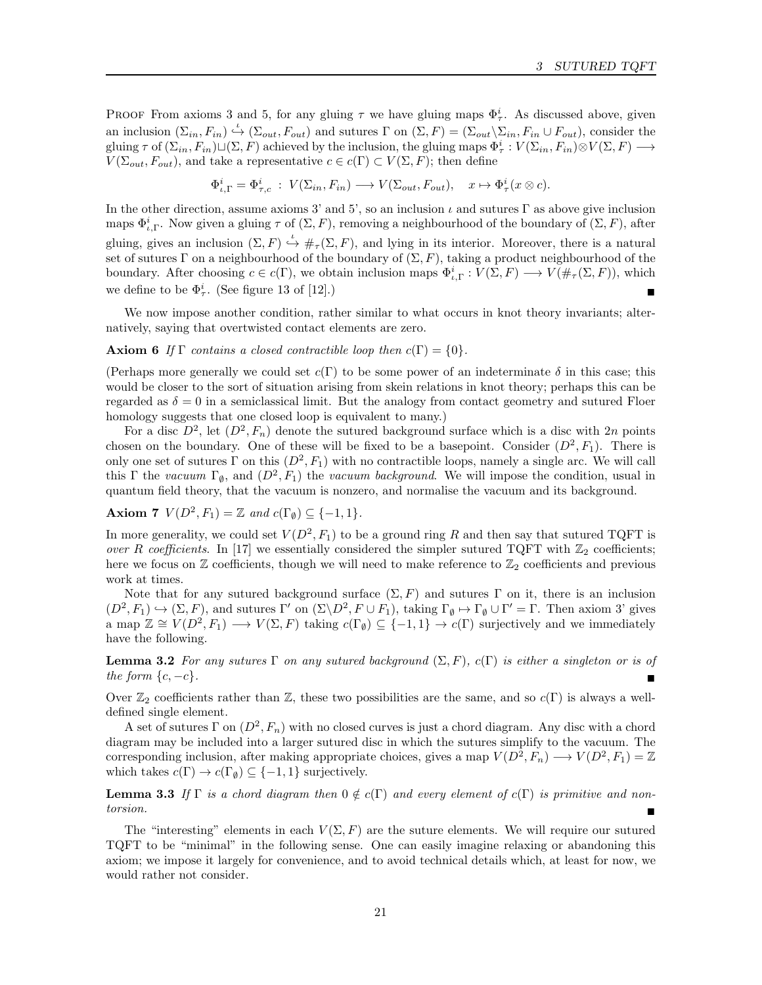PROOF From axioms 3 and 5, for any gluing  $\tau$  we have gluing maps  $\Phi^i_\tau$ . As discussed above, given an inclusion  $(\Sigma_{in}, F_{in}) \stackrel{\iota}{\hookrightarrow} (\Sigma_{out}, F_{out})$  and sutures  $\Gamma$  on  $(\Sigma, F) = (\Sigma_{out} \setminus \Sigma_{in}, F_{in} \cup F_{out})$ , consider the gluing  $\tau$  of  $(\Sigma_{in}, F_{in}) \sqcup (\Sigma, F)$  achieved by the inclusion, the gluing maps  $\Phi_{\tau}^i : V(\Sigma_{in}, F_{in}) \otimes V(\Sigma, F) \longrightarrow$  $V(\Sigma_{out}, F_{out})$ , and take a representative  $c \in c(\Gamma) \subset V(\Sigma, F)$ ; then define

$$
\Phi_{\iota,\Gamma}^i = \Phi_{\tau,c}^i : V(\Sigma_{in}, F_{in}) \longrightarrow V(\Sigma_{out}, F_{out}), \quad x \mapsto \Phi_{\tau}^i(x \otimes c).
$$

In the other direction, assume axioms 3' and 5', so an inclusion  $\iota$  and sutures Γ as above give inclusion maps  $\Phi_{i,\Gamma}^i$ . Now given a gluing  $\tau$  of  $(\Sigma, F)$ , removing a neighbourhood of the boundary of  $(\Sigma, F)$ , after gluing, gives an inclusion  $(\Sigma, F) \stackrel{\iota}{\hookrightarrow} \#_{\tau}(\Sigma, F)$ , and lying in its interior. Moreover, there is a natural set of sutures Γ on a neighbourhood of the boundary of  $(\Sigma, F)$ , taking a product neighbourhood of the boundary. After choosing  $c \in c(\Gamma)$ , we obtain inclusion maps  $\Phi_{\iota,\Gamma}^i : V(\Sigma, F) \longrightarrow V(\#_{\tau}(\Sigma, F))$ , which we define to be  $\Phi^i_\tau$ . (See figure 13 of [12].)

We now impose another condition, rather similar to what occurs in knot theory invariants; alternatively, saying that overtwisted contact elements are zero.

#### **Axiom 6** If  $\Gamma$  contains a closed contractible loop then  $c(\Gamma) = \{0\}.$

(Perhaps more generally we could set  $c(\Gamma)$  to be some power of an indeterminate  $\delta$  in this case; this would be closer to the sort of situation arising from skein relations in knot theory; perhaps this can be regarded as  $\delta = 0$  in a semiclassical limit. But the analogy from contact geometry and sutured Floer homology suggests that one closed loop is equivalent to many.)

For a disc  $D^2$ , let  $(D^2, F_n)$  denote the sutured background surface which is a disc with 2n points chosen on the boundary. One of these will be fixed to be a basepoint. Consider  $(D^2, F_1)$ . There is only one set of sutures  $\Gamma$  on this  $(D^2, F_1)$  with no contractible loops, namely a single arc. We will call this  $\Gamma$  the vacuum  $\Gamma_{\emptyset}$ , and  $(D^2, F_1)$  the vacuum background. We will impose the condition, usual in quantum field theory, that the vacuum is nonzero, and normalise the vacuum and its background.

**Axiom 7**  $V(D^2, F_1) = \mathbb{Z}$  and  $c(\Gamma_{\emptyset}) \subseteq \{-1, 1\}.$ 

In more generality, we could set  $V(D^2, F_1)$  to be a ground ring R and then say that sutured TQFT is over R coefficients. In [17] we essentially considered the simpler sutured TQFT with  $\mathbb{Z}_2$  coefficients; here we focus on  $\mathbb Z$  coefficients, though we will need to make reference to  $\mathbb Z_2$  coefficients and previous work at times.

Note that for any sutured background surface  $(\Sigma, F)$  and sutures Γ on it, there is an inclusion  $(D^2, F_1) \hookrightarrow (\Sigma, F)$ , and sutures  $\Gamma'$  on  $(\Sigma \backslash D^2, F \cup F_1)$ , taking  $\Gamma_{\emptyset} \mapsto \Gamma_{\emptyset} \cup \Gamma' = \Gamma$ . Then axiom 3' gives a map  $\mathbb{Z} \cong V(D^2, F_1) \longrightarrow V(\Sigma, F)$  taking  $c(\Gamma_{\emptyset}) \subseteq \{-1, 1\} \longrightarrow c(\Gamma)$  surjectively and we immediately have the following.

**Lemma 3.2** For any sutures Γ on any sutured background  $(\Sigma, F)$ ,  $c(\Gamma)$  is either a singleton or is of the form  $\{c, -c\}$ .

Over  $\mathbb{Z}_2$  coefficients rather than  $\mathbb{Z}$ , these two possibilities are the same, and so  $c(\Gamma)$  is always a welldefined single element.

A set of sutures  $\Gamma$  on  $(D^2, F_n)$  with no closed curves is just a chord diagram. Any disc with a chord diagram may be included into a larger sutured disc in which the sutures simplify to the vacuum. The corresponding inclusion, after making appropriate choices, gives a map  $V(D^2, F_n) \longrightarrow V(D^2, F_1) = \mathbb{Z}$ which takes  $c(\Gamma) \to c(\Gamma \emptyset) \subseteq \{-1,1\}$  surjectively.

**Lemma 3.3** If Γ is a chord diagram then  $0 \notin c(\Gamma)$  and every element of  $c(\Gamma)$  is primitive and nontorsion.

The "interesting" elements in each  $V(\Sigma, F)$  are the suture elements. We will require our sutured TQFT to be "minimal" in the following sense. One can easily imagine relaxing or abandoning this axiom; we impose it largely for convenience, and to avoid technical details which, at least for now, we would rather not consider.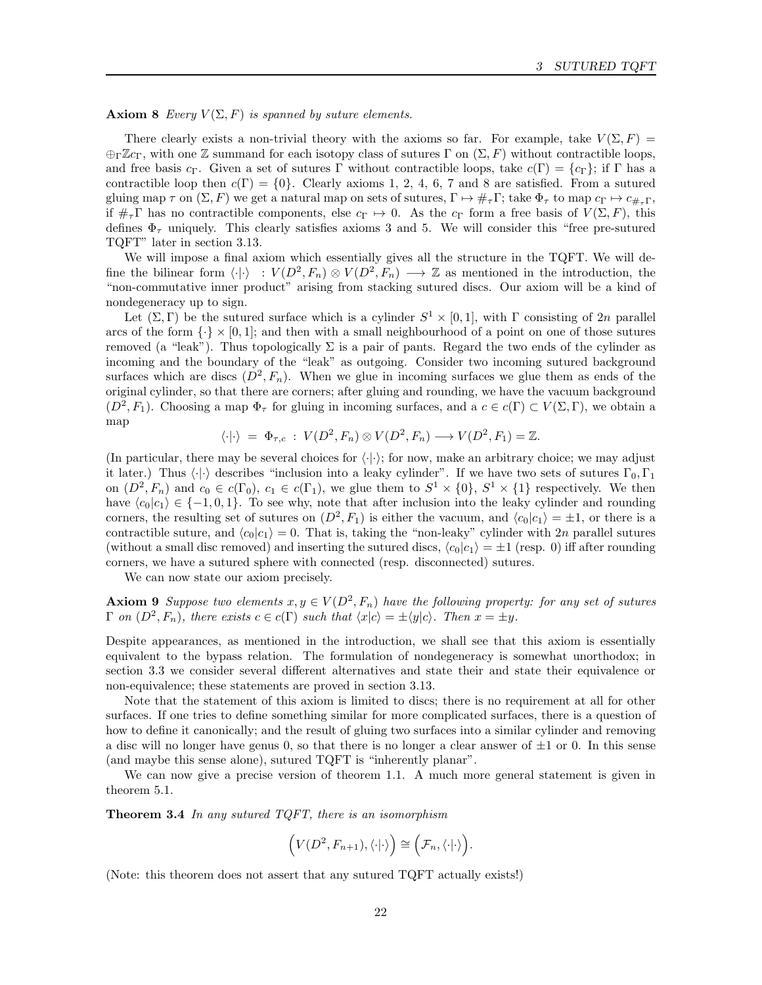**Axiom 8** Every  $V(\Sigma, F)$  is spanned by suture elements.

There clearly exists a non-trivial theory with the axioms so far. For example, take  $V(\Sigma, F)$  =  $\bigoplus_{\Gamma} \mathbb{Z}c_{\Gamma}$ , with one Z summand for each isotopy class of sutures  $\Gamma$  on  $(\Sigma, F)$  without contractible loops, and free basis c<sub>Γ</sub>. Given a set of sutures Γ without contractible loops, take  $c(\Gamma) = \{c_\Gamma\}$ ; if Γ has a contractible loop then  $c(\Gamma) = \{0\}$ . Clearly axioms 1, 2, 4, 6, 7 and 8 are satisfied. From a sutured gluing map  $\tau$  on  $(\Sigma, F)$  we get a natural map on sets of sutures,  $\Gamma \mapsto \#_{\tau} \Gamma$ ; take  $\Phi_{\tau}$  to map  $c_{\Gamma} \mapsto c_{\#_{\tau}} \Gamma$ , if  $\#_7\Gamma$  has no contractible components, else  $c_{\Gamma} \mapsto 0$ . As the  $c_{\Gamma}$  form a free basis of  $V(\Sigma, F)$ , this defines  $\Phi_{\tau}$  uniquely. This clearly satisfies axioms 3 and 5. We will consider this "free pre-sutured TQFT" later in section 3.13.

We will impose a final axiom which essentially gives all the structure in the TQFT. We will define the bilinear form  $\langle \cdot | \cdot \rangle : V(D^2, F_n) \otimes V(D^2, F_n) \longrightarrow \mathbb{Z}$  as mentioned in the introduction, the "non-commutative inner product" arising from stacking sutured discs. Our axiom will be a kind of nondegeneracy up to sign.

Let  $(\Sigma, \Gamma)$  be the sutured surface which is a cylinder  $S^1 \times [0,1]$ , with  $\Gamma$  consisting of 2n parallel arcs of the form  $\{\cdot\}\times[0,1]$ ; and then with a small neighbourhood of a point on one of those sutures removed (a "leak"). Thus topologically  $\Sigma$  is a pair of pants. Regard the two ends of the cylinder as incoming and the boundary of the "leak" as outgoing. Consider two incoming sutured background surfaces which are discs  $(D^2, F_n)$ . When we glue in incoming surfaces we glue them as ends of the original cylinder, so that there are corners; after gluing and rounding, we have the vacuum background  $(D^2, F_1)$ . Choosing a map  $\Phi_{\tau}$  for gluing in incoming surfaces, and a  $c \in c(\Gamma) \subset V(\Sigma, \Gamma)$ , we obtain a map

$$
\langle \cdot | \cdot \rangle = \Phi_{\tau,c} : V(D^2, F_n) \otimes V(D^2, F_n) \longrightarrow V(D^2, F_1) = \mathbb{Z}.
$$

(In particular, there may be several choices for  $\langle \cdot | \cdot \rangle$ ; for now, make an arbitrary choice; we may adjust it later.) Thus  $\langle \cdot | \cdot \rangle$  describes "inclusion into a leaky cylinder". If we have two sets of sutures  $\Gamma_0, \Gamma_1$ on  $(D^2, F_n)$  and  $c_0 \in c(\Gamma_0)$ ,  $c_1 \in c(\Gamma_1)$ , we glue them to  $S^1 \times \{0\}$ ,  $S^1 \times \{1\}$  respectively. We then have  $\langle c_0|c_1\rangle \in \{-1, 0, 1\}$ . To see why, note that after inclusion into the leaky cylinder and rounding corners, the resulting set of sutures on  $(D^2, F_1)$  is either the vacuum, and  $\langle c_0 | c_1 \rangle = \pm 1$ , or there is a contractible suture, and  $\langle c_0 | c_1 \rangle = 0$ . That is, taking the "non-leaky" cylinder with 2n parallel sutures (without a small disc removed) and inserting the sutured discs,  $\langle c_0|c_1\rangle = \pm 1$  (resp. 0) iff after rounding corners, we have a sutured sphere with connected (resp. disconnected) sutures.

We can now state our axiom precisely.

**Axiom 9** Suppose two elements  $x, y \in V(D^2, F_n)$  have the following property: for any set of sutures  $\Gamma$  on  $(D^2, F_n)$ , there exists  $c \in c(\Gamma)$  such that  $\langle x | c \rangle = \pm \langle y | c \rangle$ . Then  $x = \pm y$ .

Despite appearances, as mentioned in the introduction, we shall see that this axiom is essentially equivalent to the bypass relation. The formulation of nondegeneracy is somewhat unorthodox; in section 3.3 we consider several different alternatives and state their and state their equivalence or non-equivalence; these statements are proved in section 3.13.

Note that the statement of this axiom is limited to discs; there is no requirement at all for other surfaces. If one tries to define something similar for more complicated surfaces, there is a question of how to define it canonically; and the result of gluing two surfaces into a similar cylinder and removing a disc will no longer have genus 0, so that there is no longer a clear answer of  $\pm 1$  or 0. In this sense (and maybe this sense alone), sutured TQFT is "inherently planar".

We can now give a precise version of theorem 1.1. A much more general statement is given in theorem 5.1.

**Theorem 3.4** In any sutured TQFT, there is an isomorphism

$$
(\mathbf{V}(D^2,F_{n+1}),\langle\cdot|\cdot\rangle)=\Big(\mathcal{F}_n,\langle\cdot|\cdot\rangle\Big).
$$

(Note: this theorem does not assert that any sutured TQFT actually exists!)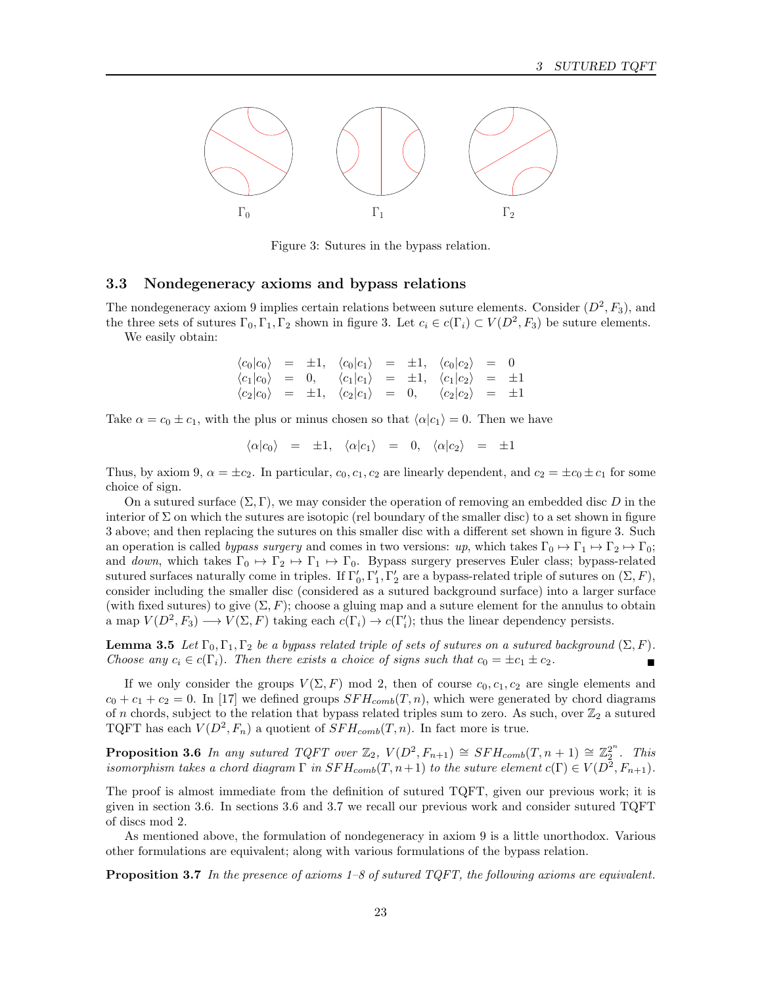

Figure 3: Sutures in the bypass relation.

## 3.3 Nondegeneracy axioms and bypass relations

The nondegeneracy axiom 9 implies certain relations between suture elements. Consider  $(D^2, F_3)$ , and the three sets of sutures  $\Gamma_0, \Gamma_1, \Gamma_2$  shown in figure 3. Let  $c_i \in c(\Gamma_i) \subset V(D^2, F_3)$  be suture elements.

We easily obtain:

$$
\begin{array}{rcl}\n\langle c_0 | c_0 \rangle & = & \pm 1, & \langle c_0 | c_1 \rangle & = & \pm 1, & \langle c_0 | c_2 \rangle & = & 0 \\
\langle c_1 | c_0 \rangle & = & 0, & \langle c_1 | c_1 \rangle & = & \pm 1, & \langle c_1 | c_2 \rangle & = & \pm 1 \\
\langle c_2 | c_0 \rangle & = & \pm 1, & \langle c_2 | c_1 \rangle & = & 0, & \langle c_2 | c_2 \rangle & = & \pm 1\n\end{array}
$$

Take  $\alpha = c_0 \pm c_1$ , with the plus or minus chosen so that  $\langle \alpha | c_1 \rangle = 0$ . Then we have

$$
\langle \alpha | c_0 \rangle = \pm 1, \quad \langle \alpha | c_1 \rangle = 0, \quad \langle \alpha | c_2 \rangle = \pm 1
$$

Thus, by axiom 9,  $\alpha = \pm c_2$ . In particular,  $c_0, c_1, c_2$  are linearly dependent, and  $c_2 = \pm c_0 \pm c_1$  for some choice of sign.

On a sutured surface  $(\Sigma, \Gamma)$ , we may consider the operation of removing an embedded disc D in the interior of  $\Sigma$  on which the sutures are isotopic (rel boundary of the smaller disc) to a set shown in figure 3 above; and then replacing the sutures on this smaller disc with a different set shown in figure 3. Such an operation is called bypass surgery and comes in two versions: up, which takes  $\Gamma_0 \mapsto \Gamma_1 \mapsto \Gamma_2 \mapsto \Gamma_0$ ; and down, which takes  $\Gamma_0 \mapsto \Gamma_2 \mapsto \Gamma_1 \mapsto \Gamma_0$ . Bypass surgery preserves Euler class; bypass-related sutured surfaces naturally come in triples. If  $\Gamma'_0$ ,  $\Gamma'_1$ ,  $\Gamma'_2$  are a bypass-related triple of sutures on  $(\Sigma, F)$ , consider including the smaller disc (considered as a sutured background surface) into a larger surface (with fixed sutures) to give  $(\Sigma, F)$ ; choose a gluing map and a suture element for the annulus to obtain a map  $V(D^2, F_3) \longrightarrow V(\Sigma, F)$  taking each  $c(\Gamma_i) \longrightarrow c(\Gamma'_i)$ ; thus the linear dependency persists.

**Lemma 3.5** Let  $\Gamma_0, \Gamma_1, \Gamma_2$  be a bypass related triple of sets of sutures on a sutured background  $(\Sigma, F)$ . Choose any  $c_i \in c(\Gamma_i)$ . Then there exists a choice of signs such that  $c_0 = \pm c_1 \pm c_2$ .

If we only consider the groups  $V(\Sigma, F)$  mod 2, then of course  $c_0, c_1, c_2$  are single elements and  $c_0 + c_1 + c_2 = 0$ . In [17] we defined groups  $SFH_{comb}(T, n)$ , which were generated by chord diagrams of n chords, subject to the relation that bypass related triples sum to zero. As such, over  $\mathbb{Z}_2$  a sutured TQFT has each  $V(D^2, F_n)$  a quotient of  $SFH_{comb}(T, n)$ . In fact more is true.

**Proposition 3.6** In any sutured  $TQFT$  over  $\mathbb{Z}_2$ ,  $V(D^2, F_{n+1}) \cong SFH_{comb}(T, n+1) \cong \mathbb{Z}_2^{2^n}$ . This isomorphism takes a chord diagram  $\Gamma$  in  $SFH_{comb}(T, n+1)$  to the suture element  $c(\Gamma) \in V(D^2, F_{n+1})$ .

The proof is almost immediate from the definition of sutured TQFT, given our previous work; it is given in section 3.6. In sections 3.6 and 3.7 we recall our previous work and consider sutured TQFT of discs mod 2.

As mentioned above, the formulation of nondegeneracy in axiom 9 is a little unorthodox. Various other formulations are equivalent; along with various formulations of the bypass relation.

**Proposition 3.7** In the presence of axioms  $1-\delta$  of sutured TQFT, the following axioms are equivalent.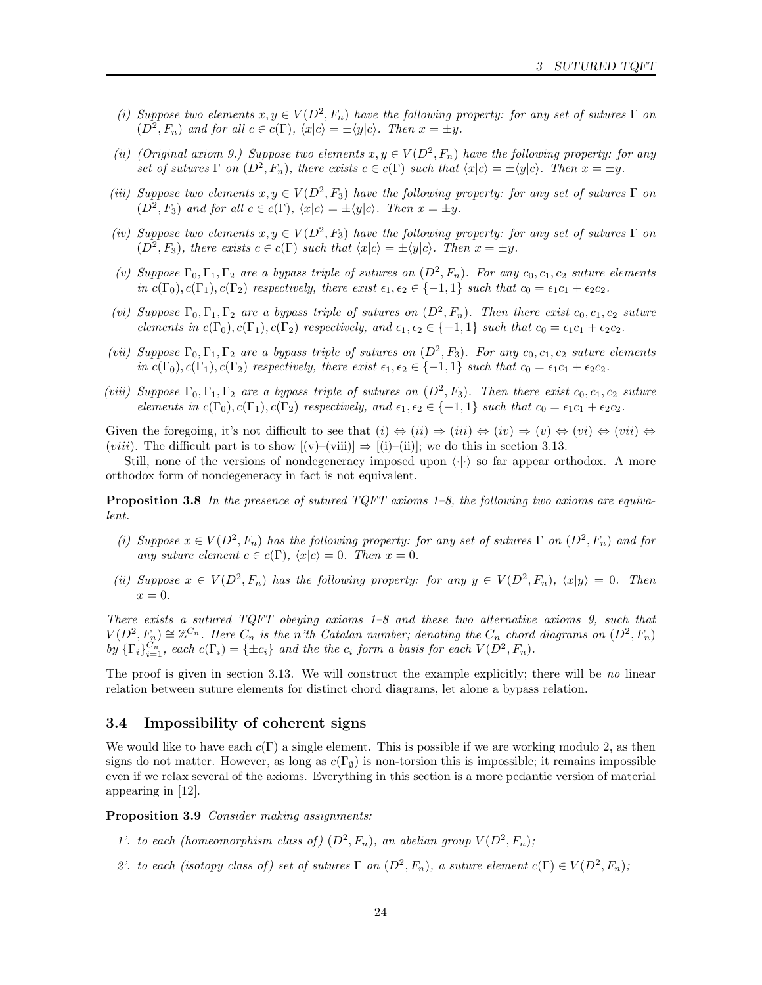- (i) Suppose two elements  $x, y \in V(D^2, F_n)$  have the following property: for any set of sutures  $\Gamma$  on  $(D^2, F_n)$  and for all  $c \in c(\Gamma)$ ,  $\langle x | c \rangle = \pm \langle y | c \rangle$ . Then  $x = \pm y$ .
- (ii) (Original axiom 9.) Suppose two elements  $x, y \in V(D^2, F_n)$  have the following property: for any set of sutures  $\Gamma$  on  $(D^2, F_n)$ , there exists  $c \in c(\Gamma)$  such that  $\langle x | c \rangle = \pm \langle y | c \rangle$ . Then  $x = \pm y$ .
- (iii) Suppose two elements  $x, y \in V(D^2, F_3)$  have the following property: for any set of sutures  $\Gamma$  on  $(D^2, F_3)$  and for all  $c \in c(\Gamma)$ ,  $\langle x | c \rangle = \pm \langle y | c \rangle$ . Then  $x = \pm y$ .
- (iv) Suppose two elements  $x, y \in V(D^2, F_3)$  have the following property: for any set of sutures  $\Gamma$  on  $(D^2, F_3)$ , there exists  $c \in c(\Gamma)$  such that  $\langle x | c \rangle = \pm \langle y | c \rangle$ . Then  $x = \pm y$ .
- (v) Suppose  $\Gamma_0, \Gamma_1, \Gamma_2$  are a bypass triple of sutures on  $(D^2, F_n)$ . For any  $c_0, c_1, c_2$  suture elements in  $c(\Gamma_0), c(\Gamma_1), c(\Gamma_2)$  respectively, there exist  $\epsilon_1, \epsilon_2 \in \{-1, 1\}$  such that  $c_0 = \epsilon_1 c_1 + \epsilon_2 c_2$ .
- (vi) Suppose  $\Gamma_0, \Gamma_1, \Gamma_2$  are a bypass triple of sutures on  $(D^2, F_n)$ . Then there exist  $c_0, c_1, c_2$  suture elements in  $c(\Gamma_0), c(\Gamma_1), c(\Gamma_2)$  respectively, and  $\epsilon_1, \epsilon_2 \in \{-1, 1\}$  such that  $c_0 = \epsilon_1 c_1 + \epsilon_2 c_2$ .
- (vii) Suppose  $\Gamma_0, \Gamma_1, \Gamma_2$  are a bypass triple of sutures on  $(D^2, F_3)$ . For any  $c_0, c_1, c_2$  suture elements in  $c(\Gamma_0), c(\Gamma_1), c(\Gamma_2)$  respectively, there exist  $\epsilon_1, \epsilon_2 \in \{-1, 1\}$  such that  $c_0 = \epsilon_1 c_1 + \epsilon_2 c_2$ .
- (viii) Suppose  $\Gamma_0, \Gamma_1, \Gamma_2$  are a bypass triple of sutures on  $(D^2, F_3)$ . Then there exist  $c_0, c_1, c_2$  suture elements in  $c(\Gamma_0), c(\Gamma_1), c(\Gamma_2)$  respectively, and  $\epsilon_1, \epsilon_2 \in \{-1, 1\}$  such that  $c_0 = \epsilon_1 c_1 + \epsilon_2 c_2$ .

Given the foregoing, it's not difficult to see that  $(i) \Leftrightarrow (ii) \Rightarrow (iii) \Leftrightarrow (iv) \Rightarrow (v) \Leftrightarrow (vi) \Leftrightarrow (vii) \Leftrightarrow (viii) \Leftrightarrow (viv) \Leftrightarrow (viv) \Leftrightarrow (viv) \Leftrightarrow (viv) \Leftrightarrow (viv) \Leftrightarrow (viv) \Leftrightarrow (viv) \Leftrightarrow (viv) \Leftrightarrow (viv) \Leftrightarrow (viv) \Leftrightarrow (viv) \Leftrightarrow (viv) \Leftrightarrow ($ (*viii*). The difficult part is to show  $[(v)-(viii)] \Rightarrow [(i)-(ii)]$ ; we do this in section 3.13.

Still, none of the versions of nondegeneracy imposed upon  $\langle \cdot | \cdot \rangle$  so far appear orthodox. A more orthodox form of nondegeneracy in fact is not equivalent.

**Proposition 3.8** In the presence of sutured  $TQFT$  axioms 1–8, the following two axioms are equivalent.

- (i) Suppose  $x \in V(D^2, F_n)$  has the following property: for any set of sutures  $\Gamma$  on  $(D^2, F_n)$  and for any suture element  $c \in c(\Gamma)$ ,  $\langle x | c \rangle = 0$ . Then  $x = 0$ .
- (ii) Suppose  $x \in V(D^2, F_n)$  has the following property: for any  $y \in V(D^2, F_n)$ ,  $\langle x|y \rangle = 0$ . Then  $x=0.$

There exists a sutured TQFT obeying axioms 1–8 and these two alternative axioms 9, such that  $V(D^2, F_n) \cong \mathbb{Z}^{C_n}$ . Here  $C_n$  is the n'th Catalan number; denoting the  $C_n$  chord diagrams on  $(D^2, F_n)$ by  $\{\Gamma_i\}_{i=1}^{C_n}$ , each  $c(\Gamma_i) = \{\pm c_i\}$  and the the  $c_i$  form a basis for each  $V(D^2, F_n)$ .

The proof is given in section 3.13. We will construct the example explicitly; there will be no linear relation between suture elements for distinct chord diagrams, let alone a bypass relation.

## 3.4 Impossibility of coherent signs

We would like to have each  $c(\Gamma)$  a single element. This is possible if we are working modulo 2, as then signs do not matter. However, as long as  $c(\Gamma_{\emptyset})$  is non-torsion this is impossible; it remains impossible even if we relax several of the axioms. Everything in this section is a more pedantic version of material appearing in [12].

Proposition 3.9 Consider making assignments:

- 1'. to each (homeomorphism class of)  $(D^2, F_n)$ , an abelian group  $V(D^2, F_n)$ ;
- 2'. to each (isotopy class of) set of sutures  $\Gamma$  on  $(D^2, F_n)$ , a suture element  $c(\Gamma) \in V(D^2, F_n)$ ;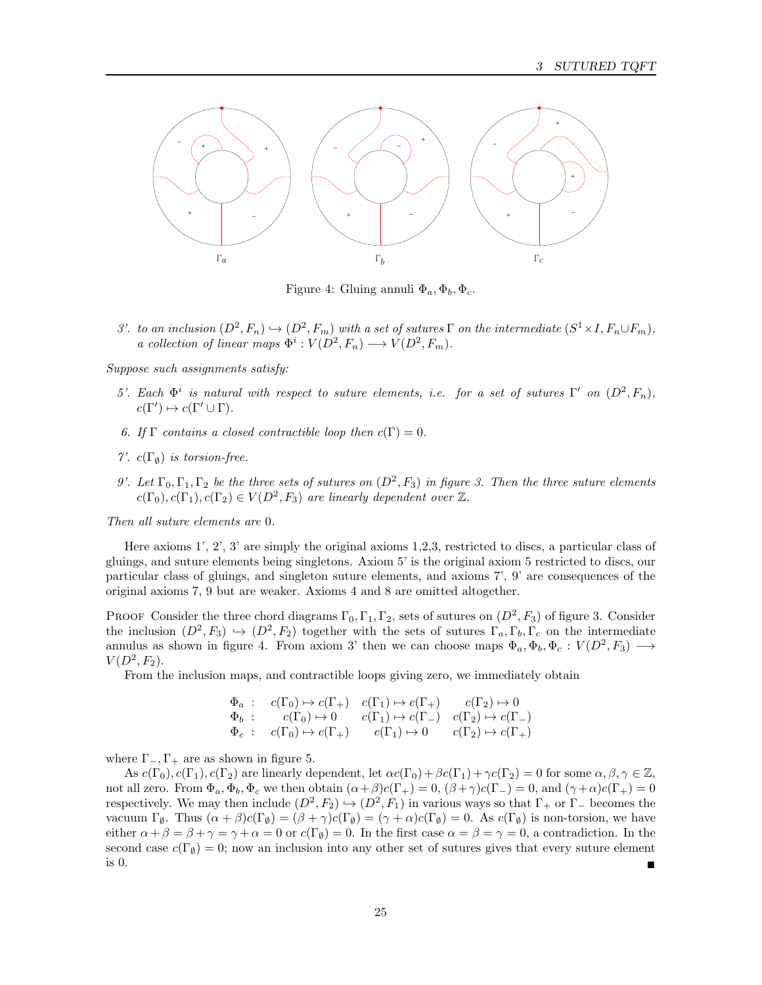

Figure 4: Gluing annuli  $\Phi_a, \Phi_b, \Phi_c$ .

3'. to an inclusion  $(D^2, F_n) \hookrightarrow (D^2, F_m)$  with a set of sutures  $\Gamma$  on the intermediate  $(S^1 \times I, F_n \cup F_m)$ , a collection of linear maps  $\Phi^i : V(D^2, F_n) \longrightarrow V(D^2, F_m)$ .

Suppose such assignments satisfy:

- 5'. Each  $\Phi^i$  is natural with respect to suture elements, i.e. for a set of sutures Γ' on  $(D^2, F_n)$ ,  $c(\Gamma') \mapsto c(\Gamma' \cup \Gamma).$
- 6. If  $\Gamma$  contains a closed contractible loop then  $c(\Gamma) = 0$ .
- 7'.  $c(\Gamma_{\emptyset})$  is torsion-free.
- 9'. Let  $\Gamma_0, \Gamma_1, \Gamma_2$  be the three sets of sutures on  $(D^2, F_3)$  in figure 3. Then the three suture elements  $c(\Gamma_0), c(\Gamma_1), c(\Gamma_2) \in V(D^2, F_3)$  are linearly dependent over  $\mathbb{Z}$ .

Then all suture elements are 0.

Here axioms 1', 2', 3' are simply the original axioms 1,2,3, restricted to discs, a particular class of gluings, and suture elements being singletons. Axiom 5' is the original axiom 5 restricted to discs, our particular class of gluings, and singleton suture elements, and axioms 7', 9' are consequences of the original axioms 7, 9 but are weaker. Axioms 4 and 8 are omitted altogether.

PROOF Consider the three chord diagrams  $\Gamma_0, \Gamma_1, \Gamma_2$ , sets of sutures on  $(D^2, F_3)$  of figure 3. Consider the inclusion  $(D^2, F_3) \hookrightarrow (D^2, F_2)$  together with the sets of sutures  $\Gamma_a, \Gamma_b, \Gamma_c$  on the intermediate annulus as shown in figure 4. From axiom 3' then we can choose maps  $\Phi_a, \Phi_b, \Phi_c : V(D^2, F_3) \longrightarrow$  $V(D^2, F_2)$ .

From the inclusion maps, and contractible loops giving zero, we immediately obtain

$$
\begin{array}{cccc}\n\Phi_a: & c(\Gamma_0) \rightarrow c(\Gamma_+) & c(\Gamma_1) \rightarrow c(\Gamma_+) & c(\Gamma_2) \rightarrow 0 \\
\Phi_b: & c(\Gamma_0) \rightarrow 0 & c(\Gamma_1) \rightarrow c(\Gamma_-) & c(\Gamma_2) \rightarrow c(\Gamma_-) \\
\Phi_c: & c(\Gamma_0) \rightarrow c(\Gamma_+) & c(\Gamma_1) \rightarrow 0 & c(\Gamma_2) \rightarrow c(\Gamma_+) \\
\end{array}
$$

where  $\Gamma_-, \Gamma_+$  are as shown in figure 5.

As  $c(\Gamma_0), c(\Gamma_1), c(\Gamma_2)$  are linearly dependent, let  $\alpha c(\Gamma_0) + \beta c(\Gamma_1) + \gamma c(\Gamma_2) = 0$  for some  $\alpha, \beta, \gamma \in \mathbb{Z}$ , not all zero. From  $\Phi_a$ ,  $\Phi_b$ ,  $\Phi_c$  we then obtain  $(\alpha + \beta)c(\Gamma_+) = 0$ ,  $(\beta + \gamma)c(\Gamma_-) = 0$ , and  $(\gamma + \alpha)c(\Gamma_+) = 0$ respectively. We may then include  $(D^2, F_2) \hookrightarrow (D^2, F_1)$  in various ways so that  $\Gamma_+$  or  $\Gamma_-$  becomes the vacuum Γ<sub>ø</sub>. Thus  $(\alpha + \beta)c(\Gamma_{\emptyset}) = (\beta + \gamma)c(\Gamma_{\emptyset}) = (\gamma + \alpha)c(\Gamma_{\emptyset}) = 0$ . As  $c(\Gamma_{\emptyset})$  is non-torsion, we have either  $\alpha + \beta = \beta + \gamma = \gamma + \alpha = 0$  or  $c(\Gamma_{\emptyset}) = 0$ . In the first case  $\alpha = \beta = \gamma = 0$ , a contradiction. In the second case  $c(\Gamma_{\emptyset}) = 0$ ; now an inclusion into any other set of sutures gives that every suture element is 0.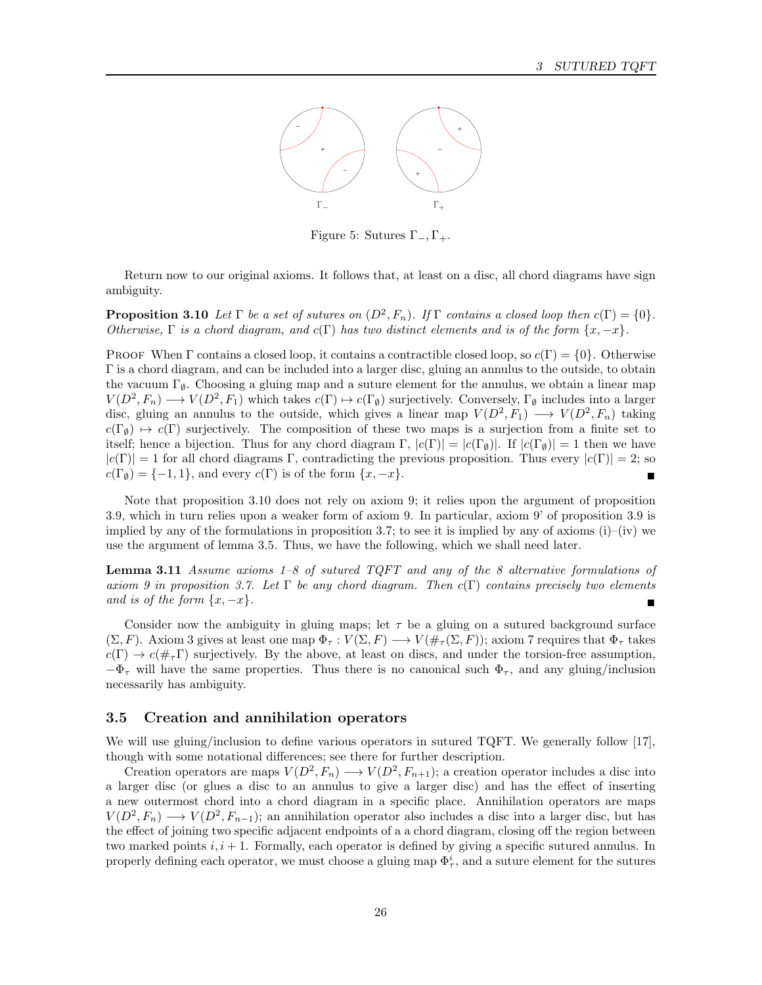

Figure 5: Sutures  $\Gamma_-, \Gamma_+$ .

Return now to our original axioms. It follows that, at least on a disc, all chord diagrams have sign ambiguity.

**Proposition 3.10** Let  $\Gamma$  be a set of sutures on  $(D^2, F_n)$ . If  $\Gamma$  contains a closed loop then  $c(\Gamma) = \{0\}$ . Otherwise,  $\Gamma$  is a chord diagram, and  $c(\Gamma)$  has two distinct elements and is of the form  $\{x, -x\}$ .

PROOF When Γ contains a closed loop, it contains a contractible closed loop, so  $c(\Gamma) = \{0\}$ . Otherwise Γ is a chord diagram, and can be included into a larger disc, gluing an annulus to the outside, to obtain the vacuum  $\Gamma_{\emptyset}$ . Choosing a gluing map and a suture element for the annulus, we obtain a linear map  $V(D^2, F_n) \longrightarrow V(D^2, F_1)$  which takes  $c(\Gamma) \mapsto c(\Gamma_\emptyset)$  surjectively. Conversely,  $\Gamma_\emptyset$  includes into a larger disc, gluing an annulus to the outside, which gives a linear map  $V(D^2, F_1) \longrightarrow V(D^2, F_n)$  taking  $c(\Gamma_{\emptyset}) \rightarrow c(\Gamma)$  surjectively. The composition of these two maps is a surjection from a finite set to itself; hence a bijection. Thus for any chord diagram Γ,  $|c(\Gamma)| = |c(\Gamma_{\emptyset})|$ . If  $|c(\Gamma_{\emptyset})| = 1$  then we have  $|c(\Gamma)| = 1$  for all chord diagrams Γ, contradicting the previous proposition. Thus every  $|c(\Gamma)| = 2$ ; so  $c(\Gamma_{\emptyset}) = \{-1, 1\}$ , and every  $c(\Gamma)$  is of the form  $\{x, -x\}$ .

Note that proposition 3.10 does not rely on axiom 9; it relies upon the argument of proposition 3.9, which in turn relies upon a weaker form of axiom 9. In particular, axiom 9' of proposition 3.9 is implied by any of the formulations in proposition 3.7; to see it is implied by any of axioms  $(i)$ – $(iv)$  we use the argument of lemma 3.5. Thus, we have the following, which we shall need later.

**Lemma 3.11** Assume axioms 1–8 of sutured TQFT and any of the 8 alternative formulations of axiom 9 in proposition 3.7. Let  $\Gamma$  be any chord diagram. Then  $c(\Gamma)$  contains precisely two elements and is of the form  $\{x, -x\}$ .

Consider now the ambiguity in gluing maps; let  $\tau$  be a gluing on a sutured background surface  $(\Sigma, F)$ . Axiom 3 gives at least one map  $\Phi_{\tau}: V(\Sigma, F) \longrightarrow V(\#_{\tau}(\Sigma, F))$ ; axiom 7 requires that  $\Phi_{\tau}$  takes  $c(\Gamma) \to c(\#_{\tau}\Gamma)$  surjectively. By the above, at least on discs, and under the torsion-free assumption,  $-\Phi_{\tau}$  will have the same properties. Thus there is no canonical such  $\Phi_{\tau}$ , and any gluing/inclusion necessarily has ambiguity.

## 3.5 Creation and annihilation operators

We will use gluing/inclusion to define various operators in sutured TQFT. We generally follow [17], though with some notational differences; see there for further description.

Creation operators are maps  $V(D^2, F_n) \longrightarrow V(D^2, F_{n+1})$ ; a creation operator includes a disc into a larger disc (or glues a disc to an annulus to give a larger disc) and has the effect of inserting a new outermost chord into a chord diagram in a specific place. Annihilation operators are maps  $V(D^2, F_n) \longrightarrow V(D^2, F_{n-1});$  an annihilation operator also includes a disc into a larger disc, but has the effect of joining two specific adjacent endpoints of a a chord diagram, closing off the region between two marked points  $i, i + 1$ . Formally, each operator is defined by giving a specific sutured annulus. In properly defining each operator, we must choose a gluing map  $\Phi^i_\tau$ , and a suture element for the sutures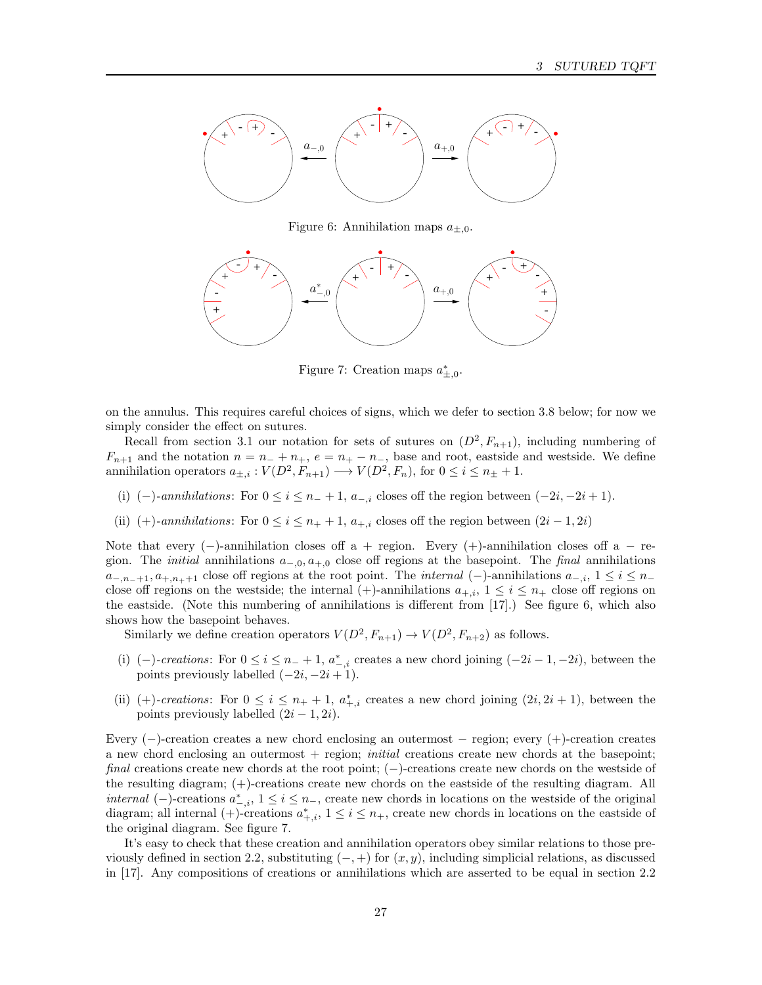

Figure 6: Annihilation maps  $a_{\pm,0}$ .



Figure 7: Creation maps  $a_{\pm,0}^*$ .

on the annulus. This requires careful choices of signs, which we defer to section 3.8 below; for now we simply consider the effect on sutures.

Recall from section 3.1 our notation for sets of sutures on  $(D^2, F_{n+1})$ , including numbering of  $F_{n+1}$  and the notation  $n = n_- + n_+$ ,  $e = n_+ - n_-$ , base and root, eastside and westside. We define annihilation operators  $a_{\pm,i}: V(D^2, F_{n+1}) \longrightarrow V(D^2, F_n)$ , for  $0 \le i \le n_{\pm} + 1$ .

- (i)  $(-)$ -annihilations: For  $0 \le i \le n_{-}+1$ ,  $a_{-,i}$  closes off the region between  $(-2i, -2i+1)$ .
- (ii) (+)-annihilations: For  $0 \le i \le n_+ + 1$ ,  $a_{+,i}$  closes off the region between  $(2i 1, 2i)$

Note that every  $(-)$ -annihilation closes off a + region. Every  $(+)$ -annihilation closes off a – region. The *initial* annihilations  $a_{-,0}, a_{+,0}$  close off regions at the basepoint. The *final* annihilations  $a_{-,n_{-}+1}, a_{+,n_{+}+1}$  close off regions at the root point. The *internal* (-)-annihilations  $a_{-,i}$ ,  $1 \le i \le n_{-}$ close off regions on the westside; the internal (+)-annihilations  $a_{+,i}$ ,  $1 \le i \le n_+$  close off regions on the eastside. (Note this numbering of annihilations is different from [17].) See figure 6, which also shows how the basepoint behaves.

Similarly we define creation operators  $V(D^2, F_{n+1}) \to V(D^2, F_{n+2})$  as follows.

- (i) (-)-creations: For  $0 \le i \le n_{-}+1$ ,  $a_{-,i}^{*}$  creates a new chord joining  $(-2i-1, -2i)$ , between the points previously labelled  $(-2i, -2i + 1)$ .
- (ii) (+)-creations: For  $0 \leq i \leq n_{+}+1$ ,  $a_{+,i}^{*}$  creates a new chord joining  $(2i, 2i + 1)$ , between the points previously labelled  $(2i - 1, 2i)$ .

Every (−)-creation creates a new chord enclosing an outermost − region; every (+)-creation creates a new chord enclosing an outermost  $+$  region; *initial* creations create new chords at the basepoint; final creations create new chords at the root point; (−)-creations create new chords on the westside of the resulting diagram; (+)-creations create new chords on the eastside of the resulting diagram. All *internal* (−)-creations  $a^*_{-,i}$ ,  $1 \le i \le n_$ , create new chords in locations on the westside of the original diagram; all internal  $(+)$ -creations  $a_{+,i}^*$ ,  $1 \leq i \leq n_+$ , create new chords in locations on the eastside of the original diagram. See figure 7.

It's easy to check that these creation and annihilation operators obey similar relations to those previously defined in section 2.2, substituting  $(-, +)$  for  $(x, y)$ , including simplicial relations, as discussed in [17]. Any compositions of creations or annihilations which are asserted to be equal in section 2.2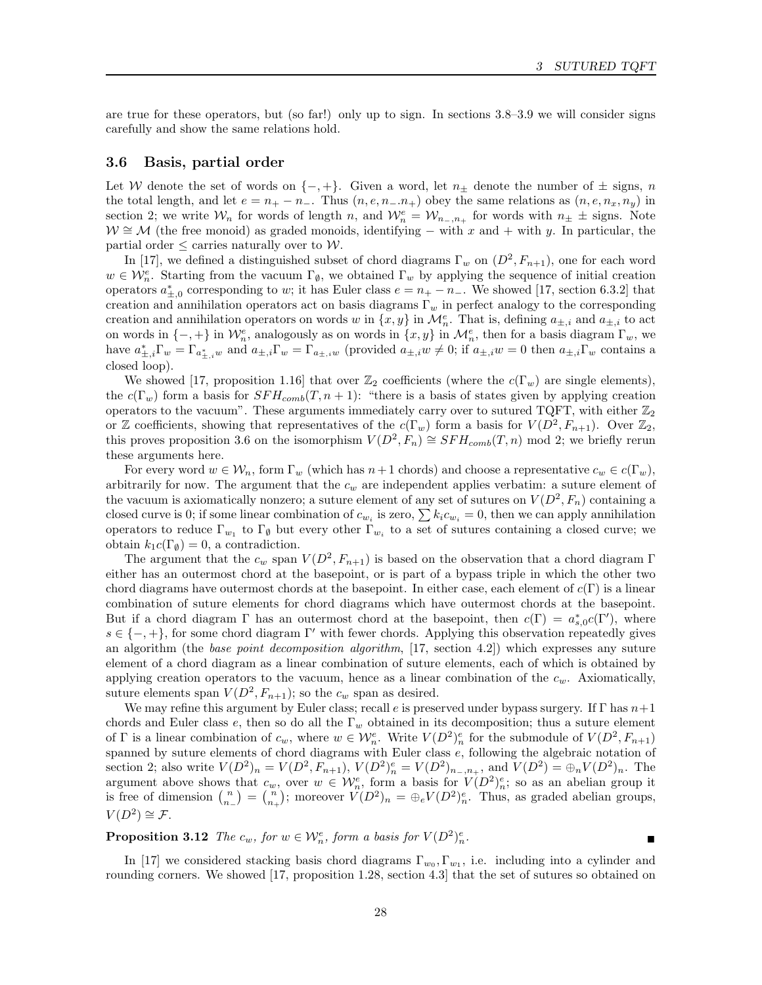are true for these operators, but (so far!) only up to sign. In sections 3.8–3.9 we will consider signs carefully and show the same relations hold.

## 3.6 Basis, partial order

Let W denote the set of words on  $\{-, +\}$ . Given a word, let  $n_{\pm}$  denote the number of  $\pm$  signs, n the total length, and let  $e = n_+ - n_-$ . Thus  $(n, e, n_- \ldots n_+)$  obey the same relations as  $(n, e, n_x, n_y)$  in section 2; we write  $W_n$  for words of length n, and  $W_n^e = W_{n-,n_+}$  for words with  $n_\pm \pm$  signs. Note  $W \cong M$  (the free monoid) as graded monoids, identifying – with x and + with y. In particular, the partial order  $\leq$  carries naturally over to W.

In [17], we defined a distinguished subset of chord diagrams  $\Gamma_w$  on  $(D^2, F_{n+1})$ , one for each word  $w \in \mathcal{W}_n^e$ . Starting from the vacuum  $\Gamma_{\varnothing}$ , we obtained  $\Gamma_w$  by applying the sequence of initial creation operators  $a_{\pm,0}^*$  corresponding to w; it has Euler class  $e = n_+ - n_-$ . We showed [17, section 6.3.2] that creation and annihilation operators act on basis diagrams  $\Gamma_w$  in perfect analogy to the corresponding creation and annihilation operators on words w in  $\{x, y\}$  in  $\mathcal{M}_n^e$ . That is, defining  $a_{\pm,i}$  and  $a_{\pm,i}$  to act on words in  $\{-,+\}$  in  $\mathcal{W}_n^e$ , analogously as on words in  $\{x,y\}$  in  $\mathcal{M}_n^e$ , then for a basis diagram  $\Gamma_w$ , we have  $a_{\pm,i}^*\Gamma_w = \Gamma_{a_{\pm,i}^*\omega}$  and  $a_{\pm,i}\Gamma_w = \Gamma_{a_{\pm,i}w}$  (provided  $a_{\pm,i}w \neq 0$ ; if  $a_{\pm,i}w = 0$  then  $a_{\pm,i}\Gamma_w$  contains a closed loop).

We showed [17, proposition 1.16] that over  $\mathbb{Z}_2$  coefficients (where the  $c(\Gamma_w)$  are single elements), the  $c(\Gamma_w)$  form a basis for  $SFH_{comb}(T, n+1)$ : "there is a basis of states given by applying creation operators to the vacuum". These arguments immediately carry over to sutured TQFT, with either  $\mathbb{Z}_2$ or Z coefficients, showing that representatives of the  $c(\Gamma_w)$  form a basis for  $V(D^2, F_{n+1})$ . Over  $\mathbb{Z}_2$ , this proves proposition 3.6 on the isomorphism  $V(D^2, F_n) \cong SFH_{comb}(T, n) \text{ mod } 2$ ; we briefly rerun these arguments here.

For every word  $w \in \mathcal{W}_n$ , form  $\Gamma_w$  (which has  $n+1$  chords) and choose a representative  $c_w \in c(\Gamma_w)$ , arbitrarily for now. The argument that the  $c_w$  are independent applies verbatim: a suture element of the vacuum is axiomatically nonzero; a suture element of any set of sutures on  $V(D^2, F_n)$  containing a closed curve is 0; if some linear combination of  $c_{w_i}$  is zero,  $\sum k_i c_{w_i} = 0$ , then we can apply annihilation operators to reduce  $\Gamma_{w_1}$  to  $\Gamma_{\emptyset}$  but every other  $\Gamma_{w_i}$  to a set of sutures containing a closed curve; we obtain  $k_1c(\Gamma_\emptyset) = 0$ , a contradiction.

The argument that the  $c_w$  span  $V(D^2, F_{n+1})$  is based on the observation that a chord diagram  $\Gamma$ either has an outermost chord at the basepoint, or is part of a bypass triple in which the other two chord diagrams have outermost chords at the basepoint. In either case, each element of  $c(\Gamma)$  is a linear combination of suture elements for chord diagrams which have outermost chords at the basepoint. But if a chord diagram  $\Gamma$  has an outermost chord at the basepoint, then  $c(\Gamma) = a_{s,0}^* c(\Gamma')$ , where  $s \in \{-, +\}$ , for some chord diagram Γ' with fewer chords. Applying this observation repeatedly gives an algorithm (the base point decomposition algorithm,  $[17, \text{ section } 4.2]$ ) which expresses any suture element of a chord diagram as a linear combination of suture elements, each of which is obtained by applying creation operators to the vacuum, hence as a linear combination of the  $c_w$ . Axiomatically, suture elements span  $V(D^2, F_{n+1})$ ; so the  $c_w$  span as desired.

We may refine this argument by Euler class; recall e is preserved under bypass surgery. If  $\Gamma$  has  $n+1$ chords and Euler class e, then so do all the  $\Gamma_w$  obtained in its decomposition; thus a suture element of  $\Gamma$  is a linear combination of  $c_w$ , where  $w \in \mathcal{W}_n^e$ . Write  $V(D^2)_{n}^e$  for the submodule of  $V(D^2, F_{n+1})$ spanned by suture elements of chord diagrams with Euler class e, following the algebraic notation of section 2; also write  $V(D^2)_n = V(D^2, F_{n+1}), V(D^2)_n^e = V(D^2)_{n_-,n_+}$ , and  $V(D^2) = \bigoplus_n V(D^2)_n$ . The argument above shows that  $c_w$ , over  $w \in \mathcal{W}_n^e$ , form a basis for  $V(D^2)_n^e$ ; so as an abelian group it is free of dimension  $\binom{n}{n-} = \binom{n}{n+}$ ; moreover  $V(D^2)_n = \bigoplus_e V(D^2)_n^e$ . Thus, as graded abelian groups,  $V(D^2) \cong \mathcal{F}.$ 

**Proposition 3.12** The  $c_w$ , for  $w \in \mathcal{W}_n^e$ , form a basis for  $V(D^2)_n^e$  $\frac{e}{n}$ .

In [17] we considered stacking basis chord diagrams  $\Gamma_{w_0}, \Gamma_{w_1}$ , i.e. including into a cylinder and rounding corners. We showed [17, proposition 1.28, section 4.3] that the set of sutures so obtained on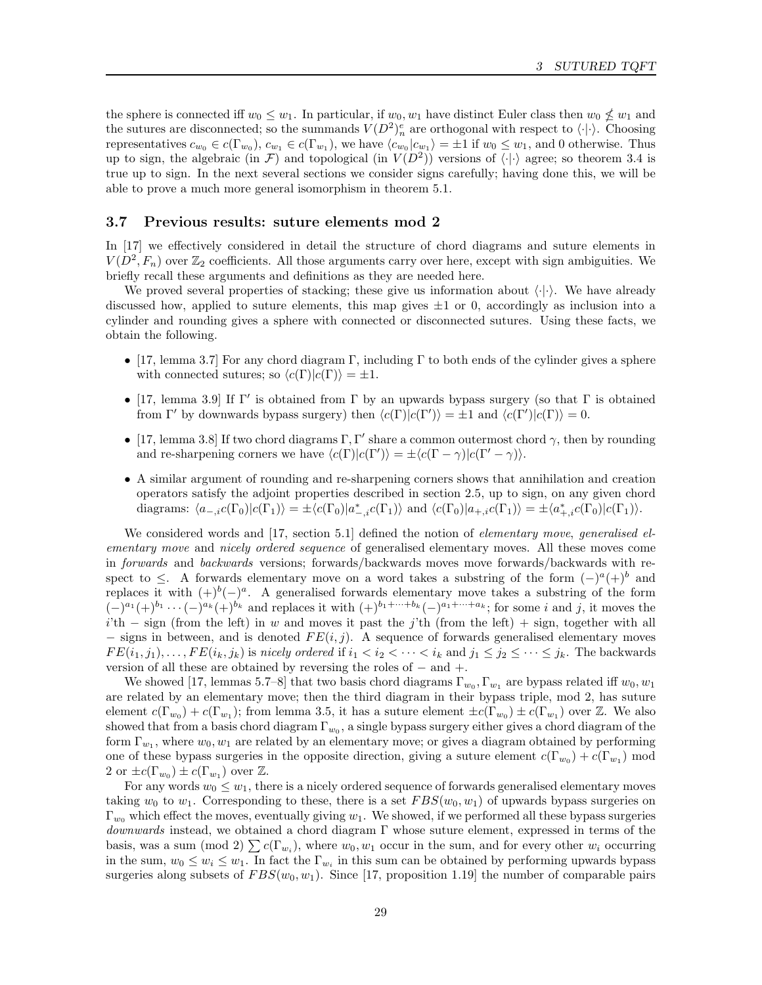the sphere is connected iff  $w_0 \leq w_1$ . In particular, if  $w_0, w_1$  have distinct Euler class then  $w_0 \nleq w_1$  and the sutures are disconnected; so the summands  $V(D^2)_n^e$  are orthogonal with respect to  $\langle \cdot | \cdot \rangle$ . Choosing representatives  $c_{w_0} \in c(\Gamma_{w_0}), c_{w_1} \in c(\Gamma_{w_1}),$  we have  $\langle c_{w_0}|c_{w_1}\rangle = \pm 1$  if  $w_0 \leq w_1$ , and 0 otherwise. Thus up to sign, the algebraic (in F) and topological (in  $V(D^2)$ ) versions of  $\langle \cdot | \cdot \rangle$  agree; so theorem 3.4 is true up to sign. In the next several sections we consider signs carefully; having done this, we will be able to prove a much more general isomorphism in theorem 5.1.

#### 3.7 Previous results: suture elements mod 2

In [17] we effectively considered in detail the structure of chord diagrams and suture elements in  $V(D^2, F_n)$  over  $\mathbb{Z}_2$  coefficients. All those arguments carry over here, except with sign ambiguities. We briefly recall these arguments and definitions as they are needed here.

We proved several properties of stacking; these give us information about  $\langle \cdot | \cdot \rangle$ . We have already discussed how, applied to suture elements, this map gives  $\pm 1$  or 0, accordingly as inclusion into a cylinder and rounding gives a sphere with connected or disconnected sutures. Using these facts, we obtain the following.

- [17, lemma 3.7] For any chord diagram Γ, including Γ to both ends of the cylinder gives a sphere with connected sutures; so  $\langle c(\Gamma)|c(\Gamma)\rangle = \pm 1$ .
- [17, lemma 3.9] If  $\Gamma'$  is obtained from  $\Gamma$  by an upwards bypass surgery (so that  $\Gamma$  is obtained from  $\Gamma'$  by downwards bypass surgery) then  $\langle c(\Gamma)|c(\Gamma')\rangle = \pm 1$  and  $\langle c(\Gamma')|c(\Gamma)\rangle = 0$ .
- [17, lemma 3.8] If two chord diagrams  $\Gamma, \Gamma'$  share a common outermost chord  $\gamma$ , then by rounding and re-sharpening corners we have  $\langle c(\Gamma)|c(\Gamma')\rangle = \pm \langle c(\Gamma - \gamma)|c(\Gamma' - \gamma)\rangle$ .
- A similar argument of rounding and re-sharpening corners shows that annihilation and creation operators satisfy the adjoint properties described in section 2.5, up to sign, on any given chord diagrams:  $\langle a_{-,i}c(\Gamma_0)|c(\Gamma_1)\rangle = \pm \langle c(\Gamma_0)|a^*_{-,i}c(\Gamma_1)\rangle$  and  $\langle c(\Gamma_0)|a_{+,i}c(\Gamma_1)\rangle = \pm \langle a^*_{+,i}c(\Gamma_0)|c(\Gamma_1)\rangle$ .

We considered words and [17, section 5.1] defined the notion of *elementary move, generalised el*ementary move and nicely ordered sequence of generalised elementary moves. All these moves come in forwards and backwards versions; forwards/backwards moves move forwards/backwards with respect to  $\leq$ . A forwards elementary move on a word takes a substring of the form  $(-)^{a} (+)^{b}$  and replaces it with  $(+)^{b}(-)^{a}$ . A generalised forwards elementary move takes a substring of the form  $(-)^{a_1} (+)^{b_1} \cdots (-)^{a_k} (+)^{b_k}$  and replaces it with  $(+)^{b_1+\cdots+b_k} (-)^{a_1+\cdots+a_k}$ ; for some i and j, it moves the  $i<sup>'</sup>$ th – sign (from the left) in w and moves it past the j'th (from the left) + sign, together with all  $-$  signs in between, and is denoted  $FE(i, j)$ . A sequence of forwards generalised elementary moves  $FE(i_1, j_1), \ldots, FE(i_k, j_k)$  is nicely ordered if  $i_1 < i_2 < \cdots < i_k$  and  $j_1 \leq j_2 \leq \cdots \leq j_k$ . The backwards version of all these are obtained by reversing the roles of − and +.

We showed [17, lemmas 5.7–8] that two basis chord diagrams  $\Gamma_{w_0}, \Gamma_{w_1}$  are bypass related iff  $w_0, w_1$ are related by an elementary move; then the third diagram in their bypass triple, mod 2, has suture element  $c(\Gamma_{w_0}) + c(\Gamma_{w_1})$ ; from lemma 3.5, it has a suture element  $\pm c(\Gamma_{w_0}) \pm c(\Gamma_{w_1})$  over  $\mathbb Z$ . We also showed that from a basis chord diagram  $\Gamma_{w_0}$ , a single bypass surgery either gives a chord diagram of the form  $\Gamma_{w_1}$ , where  $w_0, w_1$  are related by an elementary move; or gives a diagram obtained by performing one of these bypass surgeries in the opposite direction, giving a suture element  $c(\Gamma_{w_0}) + c(\Gamma_{w_1})$  mod 2 or  $\pm c(\Gamma_{w_0}) \pm c(\Gamma_{w_1})$  over  $\mathbb{Z}$ .

For any words  $w_0 \leq w_1$ , there is a nicely ordered sequence of forwards generalised elementary moves taking  $w_0$  to  $w_1$ . Corresponding to these, there is a set  $FBS(w_0, w_1)$  of upwards bypass surgeries on  $\Gamma_{w_0}$  which effect the moves, eventually giving  $w_1$ . We showed, if we performed all these bypass surgeries  $downwards$  instead, we obtained a chord diagram  $\Gamma$  whose suture element, expressed in terms of the basis, was a sum (mod 2)  $\sum c(\Gamma_{w_i})$ , where  $w_0, w_1$  occur in the sum, and for every other  $w_i$  occurring in the sum,  $w_0 \leq w_i \leq w_1$ . In fact the  $\Gamma_{w_i}$  in this sum can be obtained by performing upwards bypass surgeries along subsets of  $FBS(w_0, w_1)$ . Since [17, proposition 1.19] the number of comparable pairs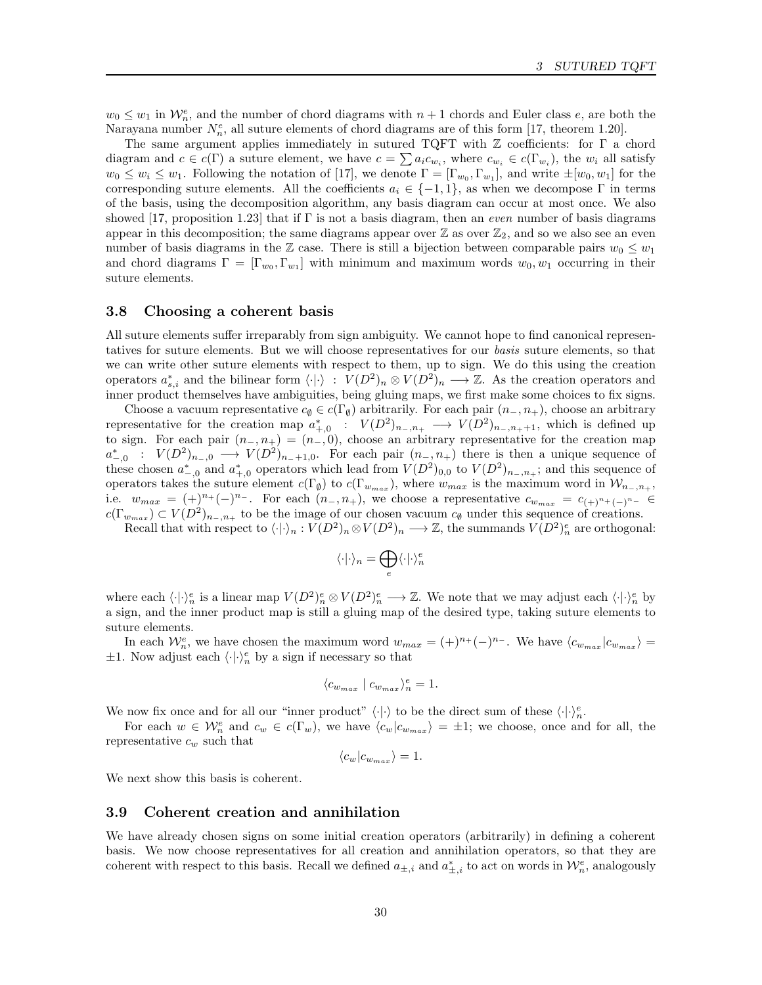$w_0 \leq w_1$  in  $\mathcal{W}_n^e$ , and the number of chord diagrams with  $n+1$  chords and Euler class e, are both the Narayana number  $N_n^e$ , all suture elements of chord diagrams are of this form [17, theorem 1.20].

The same argument applies immediately in sutured TQFT with Z coefficients: for Γ a chord diagram and  $c \in c(\Gamma)$  a suture element, we have  $c = \sum a_i c_{w_i}$ , where  $c_{w_i} \in c(\Gamma_{w_i})$ , the  $w_i$  all satisfy  $w_0 \leq w_i \leq w_1$ . Following the notation of [17], we denote  $\Gamma = [\Gamma_{w_0}, \Gamma_{w_1}]$ , and write  $\pm[w_0, w_1]$  for the corresponding suture elements. All the coefficients  $a_i \in \{-1,1\}$ , as when we decompose Γ in terms of the basis, using the decomposition algorithm, any basis diagram can occur at most once. We also showed [17, proposition 1.23] that if Γ is not a basis diagram, then an even number of basis diagrams appear in this decomposition; the same diagrams appear over  $\mathbb{Z}$  as over  $\mathbb{Z}_2$ , and so we also see an even number of basis diagrams in the Z case. There is still a bijection between comparable pairs  $w_0 \leq w_1$ and chord diagrams  $\Gamma = [\Gamma_{w_0}, \Gamma_{w_1}]$  with minimum and maximum words  $w_0, w_1$  occurring in their suture elements.

## 3.8 Choosing a coherent basis

All suture elements suffer irreparably from sign ambiguity. We cannot hope to find canonical representatives for suture elements. But we will choose representatives for our basis suture elements, so that we can write other suture elements with respect to them, up to sign. We do this using the creation operators  $a_{s,i}^*$  and the bilinear form  $\langle \cdot | \cdot \rangle : V(D^2)_n \otimes V(D^2)_n \longrightarrow \mathbb{Z}$ . As the creation operators and inner product themselves have ambiguities, being gluing maps, we first make some choices to fix signs.

Choose a vacuum representative  $c_{\emptyset} \in c(\Gamma_{\emptyset})$  arbitrarily. For each pair  $(n_-, n_+)$ , choose an arbitrary representative for the creation map  $a_{+,0}^*$ :  $V(D^2)_{n_-,n_+} \longrightarrow V(D^2)_{n_-,n_++1}$ , which is defined up to sign. For each pair  $(n_-, n_+) = (n_-, 0)$ , choose an arbitrary representative for the creation map  $a_{-,0}^*$ :  $V(D^2)_{n_-,0} \longrightarrow V(D^2)_{n_-+1,0}$ . For each pair  $(n_-, n_+)$  there is then a unique sequence of these chosen  $a_{-,0}^*$  and  $a_{+,0}^*$  operators which lead from  $V(D^2)_{0,0}$  to  $V(D^2)_{n_-,n_+}$ ; and this sequence of operators takes the suture element  $c(\Gamma_{\emptyset})$  to  $c(\Gamma_{w_{max}})$ , where  $w_{max}$  is the maximum word in  $\mathcal{W}_{n-,n_+}$ , i.e.  $w_{max} = (+)^{n_+}(-)^{n_-}$ . For each  $(n_-, n_+)$ , we choose a representative  $c_{w_{max}} = c_{(+)^{n_+}(-)^{n_-}} \in$  $c(\Gamma_{w_{max}}) \subset V(D^2)_{n_-,n_+}$  to be the image of our chosen vacuum  $c_{\emptyset}$  under this sequence of creations.

Recall that with respect to  $\langle \cdot | \cdot \rangle_n : V(D^2)_n \otimes V(D^2)_n \longrightarrow \mathbb{Z}$ , the summands  $V(D^2)_n^e$  are orthogonal:

$$
\langle\cdot|\cdot\rangle_n = \bigoplus_e \langle\cdot|\cdot\rangle_n^e
$$

where each  $\langle \cdot | \cdot \rangle_n^e$  is a linear map  $V(D^2)_n^e \otimes V(D^2)_n^e \longrightarrow \mathbb{Z}$ . We note that we may adjust each  $\langle \cdot | \cdot \rangle_n^e$  by a sign, and the inner product map is still a gluing map of the desired type, taking suture elements to suture elements.

In each  $\mathcal{W}_n^e$ , we have chosen the maximum word  $w_{max} = (+)^{n_+}(-)^{n_-}$ . We have  $\langle c_{w_{max}} | c_{w_{max}} \rangle =$  $\pm 1$ . Now adjust each  $\langle \cdot | \cdot \rangle_n^e$  by a sign if necessary so that

$$
\langle c_{w_{max}} \mid c_{w_{max}} \rangle_n^e = 1.
$$

We now fix once and for all our "inner product"  $\langle \cdot | \cdot \rangle$  to be the direct sum of these  $\langle \cdot | \cdot \rangle_n^e$ .

For each  $w \in \mathcal{W}_n^e$  and  $c_w \in c(\Gamma_w)$ , we have  $\langle c_w | c_{w_{max}} \rangle = \pm 1$ ; we choose, once and for all, the representative  $c_w$  such that

 $\langle c_w | c_{w_{max}} \rangle = 1.$ 

We next show this basis is coherent.

## 3.9 Coherent creation and annihilation

We have already chosen signs on some initial creation operators (arbitrarily) in defining a coherent basis. We now choose representatives for all creation and annihilation operators, so that they are coherent with respect to this basis. Recall we defined  $a_{\pm,i}$  and  $a_{\pm,i}^*$  to act on words in  $\mathcal{W}_n^e$ , analogously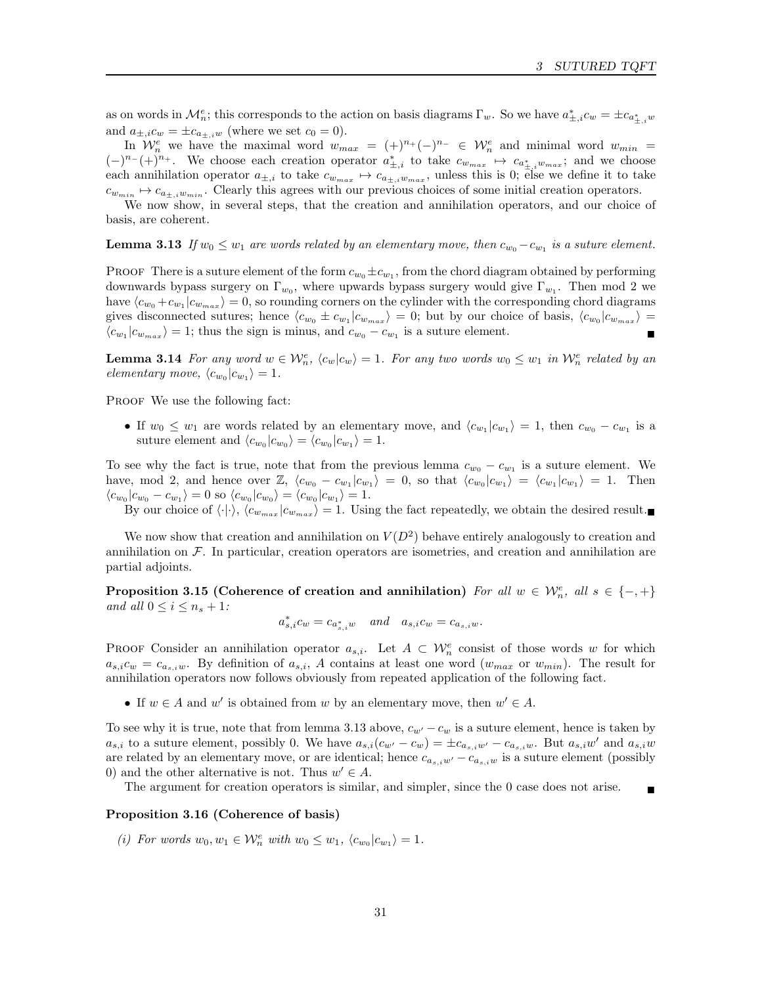as on words in  $\mathcal{M}_n^e$ ; this corresponds to the action on basis diagrams  $\Gamma_w$ . So we have  $a_{\pm,i}^* c_w = \pm c_{a_{\pm,i}^*,w}$ and  $a_{\pm,i}c_w = \pm c_{a_{\pm,i}w}$  (where we set  $c_0 = 0$ ).

In  $\mathcal{W}_n^e$  we have the maximal word  $w_{max} = (+)^{n_+}(-)^{n_-} \in \mathcal{W}_n^e$  and minimal word  $w_{min} =$  $(-)^{n-} (+)^{n+}$ . We choose each creation operator  $a_{\pm,i}^*$  to take  $c_{w_{max}} \mapsto c_{a_{\pm,i}^* w_{max}}$ ; and we choose each annihilation operator  $a_{\pm,i}$  to take  $c_{w_{max}} \mapsto c_{a_{\pm,i}w_{max}}$ , unless this is 0; else we define it to take  $c_{w_{min}} \mapsto c_{a_{\pm,i}w_{min}}$ . Clearly this agrees with our previous choices of some initial creation operators.

We now show, in several steps, that the creation and annihilation operators, and our choice of basis, are coherent.

**Lemma 3.13** If  $w_0 \leq w_1$  are words related by an elementary move, then  $c_{w_0} - c_{w_1}$  is a suture element.

**PROOF** There is a suture element of the form  $c_{w_0} \pm c_{w_1}$ , from the chord diagram obtained by performing downwards bypass surgery on  $\Gamma_{w_0}$ , where upwards bypass surgery would give  $\Gamma_{w_1}$ . Then mod 2 we have  $\langle c_{w_0} + c_{w_1} | c_{w_{max}} \rangle = 0$ , so rounding corners on the cylinder with the corresponding chord diagrams gives disconnected sutures; hence  $\langle c_{w_0} \pm c_{w_1} | c_{w_{max}} \rangle = 0$ ; but by our choice of basis,  $\langle c_{w_0} | c_{w_{max}} \rangle =$  $\langle c_{w_1}|c_{w_{max}}\rangle = 1$ ; thus the sign is minus, and  $c_{w_0} - c_{w_1}$  is a suture element.

**Lemma 3.14** For any word  $w \in \mathcal{W}_n^e$ ,  $\langle c_w | c_w \rangle = 1$ . For any two words  $w_0 \leq w_1$  in  $\mathcal{W}_n^e$  related by an elementary move,  $\langle c_{w_0} | c_{w_1} \rangle = 1$ .

PROOF We use the following fact:

• If  $w_0 \leq w_1$  are words related by an elementary move, and  $\langle c_{w_1} | c_{w_1} \rangle = 1$ , then  $c_{w_0} - c_{w_1}$  is a suture element and  $\langle c_{w_0}|c_{w_0}\rangle = \langle c_{w_0}|c_{w_1}\rangle = 1.$ 

To see why the fact is true, note that from the previous lemma  $c_{w_0} - c_{w_1}$  is a suture element. We have, mod 2, and hence over  $\mathbb{Z}$ ,  $\langle c_{w_0} - c_{w_1} | c_{w_1} \rangle = 0$ , so that  $\langle c_{w_0} | c_{w_1} \rangle = \langle c_{w_1} | c_{w_1} \rangle = 1$ . Then  $\langle c_{w_0}|c_{w_0}-c_{w_1}\rangle = 0$  so  $\langle c_{w_0}|c_{w_0}\rangle = \langle c_{w_0}|c_{w_1}\rangle = 1.$ 

By our choice of  $\langle \cdot | \cdot \rangle$ ,  $\langle c_{w_{max}} | c_{w_{max}} \rangle = 1$ . Using the fact repeatedly, we obtain the desired result.

We now show that creation and annihilation on  $V(D^2)$  behave entirely analogously to creation and annihilation on  $\mathcal F$ . In particular, creation operators are isometries, and creation and annihilation are partial adjoints.

Proposition 3.15 (Coherence of creation and annihilation) For all  $w \in \mathcal{W}_n^e$ , all  $s \in \{-, +\}$ and all  $0 \leq i \leq n_s + 1$ :

$$
a_{s,i}^*c_w = c_{a_{s,i}^*w} \quad and \quad a_{s,i}c_w = c_{a_{s,i}w}.
$$

PROOF Consider an annihilation operator  $a_{s,i}$ . Let  $A \subset \mathcal{W}_n^e$  consist of those words w for which  $a_{s,i}c_w = c_{a_{s,i}w}$ . By definition of  $a_{s,i}$ , A contains at least one word  $(w_{max}$  or  $w_{min})$ . The result for annihilation operators now follows obviously from repeated application of the following fact.

• If  $w \in A$  and  $w'$  is obtained from w by an elementary move, then  $w' \in A$ .

To see why it is true, note that from lemma 3.13 above,  $c_{w'} - c_w$  is a suture element, hence is taken by  $a_{s,i}$  to a suture element, possibly 0. We have  $a_{s,i}(c_{w'}-c_w)=\pm c_{a_{s,i}w'}-c_{a_{s,i}w}$ . But  $a_{s,i}w'$  and  $a_{s,i}w$ are related by an elementary move, or are identical; hence  $c_{a_{s,iw'}} - c_{a_{s,iw}}$  is a suture element (possibly 0) and the other alternative is not. Thus  $w' \in A$ .

The argument for creation operators is similar, and simpler, since the 0 case does not arise.

#### Proposition 3.16 (Coherence of basis)

(i) For words  $w_0, w_1 \in \mathcal{W}_n^e$  with  $w_0 \leq w_1, \langle c_{w_0} | c_{w_1} \rangle = 1$ .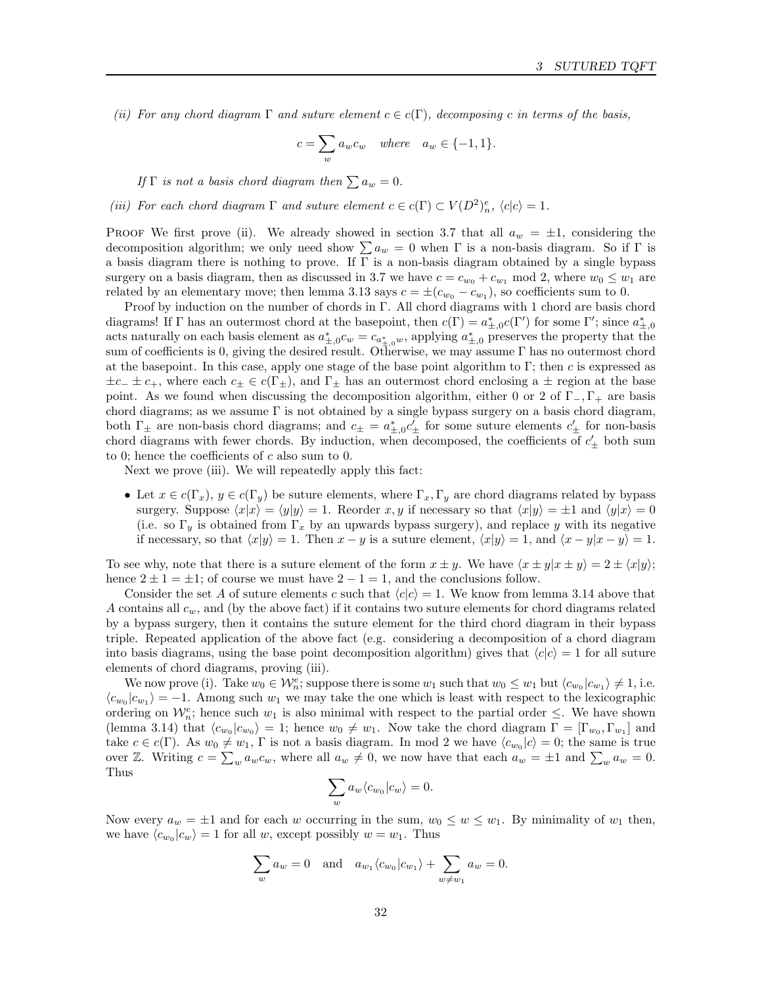(ii) For any chord diagram  $\Gamma$  and suture element  $c \in c(\Gamma)$ , decomposing c in terms of the basis,

$$
c = \sum_{w} a_w c_w \quad \text{where} \quad a_w \in \{-1, 1\}.
$$

If  $\Gamma$  is not a basis chord diagram then  $\sum a_w = 0$ .

(iii) For each chord diagram  $\Gamma$  and suture element  $c \in c(\Gamma) \subset V(D^2)_n^e$ ,  $\langle c | c \rangle = 1$ .

PROOF We first prove (ii). We already showed in section 3.7 that all  $a_w = \pm 1$ , considering the decomposition algorithm; we only need show  $\sum a_w = 0$  when  $\Gamma$  is a non-basis diagram. So if  $\Gamma$  is a basis diagram there is nothing to prove. If  $\Gamma$  is a non-basis diagram obtained by a single bypass surgery on a basis diagram, then as discussed in 3.7 we have  $c = c_{w_0} + c_{w_1} \mod 2$ , where  $w_0 \leq w_1$  are related by an elementary move; then lemma 3.13 says  $c = \pm (c_{w_0} - c_{w_1})$ , so coefficients sum to 0.

Proof by induction on the number of chords in Γ. All chord diagrams with 1 chord are basis chord diagrams! If  $\Gamma$  has an outermost chord at the basepoint, then  $c(\Gamma) = a_{\pm,0}^* c(\Gamma')$  for some  $\Gamma'$ ; since  $a_{\pm,0}^*$ acts naturally on each basis element as  $a_{\pm,0}^* c_w = c_{a_{\pm,0}^*w}$ , applying  $a_{\pm,0}^*$  preserves the property that the sum of coefficients is 0, giving the desired result. Otherwise, we may assume Γ has no outermost chord at the basepoint. In this case, apply one stage of the base point algorithm to Γ; then c is expressed as  $\pm c_+ \pm c_+$ , where each  $c_{\pm} \in c(\Gamma_{\pm})$ , and  $\Gamma_{\pm}$  has an outermost chord enclosing a  $\pm$  region at the base point. As we found when discussing the decomposition algorithm, either 0 or 2 of  $\Gamma_-, \Gamma_+$  are basis chord diagrams; as we assume  $\Gamma$  is not obtained by a single bypass surgery on a basis chord diagram, both  $\Gamma_{\pm}$  are non-basis chord diagrams; and  $c_{\pm} = a_{\pm,0}^* c_{\pm}'$  for some suture elements  $c_{\pm}'$  for non-basis chord diagrams with fewer chords. By induction, when decomposed, the coefficients of  $c'_{\pm}$  both sum to 0; hence the coefficients of  $c$  also sum to 0.

Next we prove (iii). We will repeatedly apply this fact:

• Let  $x \in c(\Gamma_x)$ ,  $y \in c(\Gamma_y)$  be suture elements, where  $\Gamma_x, \Gamma_y$  are chord diagrams related by bypass surgery. Suppose  $\langle x|x \rangle = \langle y|y \rangle = 1$ . Reorder x, y if necessary so that  $\langle x|y \rangle = \pm 1$  and  $\langle y|x \rangle = 0$ (i.e. so  $\Gamma_y$  is obtained from  $\Gamma_x$  by an upwards bypass surgery), and replace y with its negative if necessary, so that  $\langle x|y \rangle = 1$ . Then  $x - y$  is a suture element,  $\langle x|y \rangle = 1$ , and  $\langle x - y|x - y \rangle = 1$ .

To see why, note that there is a suture element of the form  $x \pm y$ . We have  $\langle x \pm y | x \pm y \rangle = 2 \pm \langle x | y \rangle$ ; hence  $2 \pm 1 = \pm 1$ ; of course we must have  $2 - 1 = 1$ , and the conclusions follow.

Consider the set A of suture elements c such that  $\langle c|c \rangle = 1$ . We know from lemma 3.14 above that A contains all  $c_w$ , and (by the above fact) if it contains two suture elements for chord diagrams related by a bypass surgery, then it contains the suture element for the third chord diagram in their bypass triple. Repeated application of the above fact (e.g. considering a decomposition of a chord diagram into basis diagrams, using the base point decomposition algorithm) gives that  $\langle c | c \rangle = 1$  for all suture elements of chord diagrams, proving (iii).

We now prove (i). Take  $w_0 \in \mathcal{W}_n^e$ ; suppose there is some  $w_1$  such that  $w_0 \leq w_1$  but  $\langle c_{w_0} | c_{w_1} \rangle \neq 1$ , i.e.  $\langle c_{w_0}|c_{w_1}\rangle = -1$ . Among such  $w_1$  we may take the one which is least with respect to the lexicographic ordering on  $\mathcal{W}_n^e$ ; hence such  $w_1$  is also minimal with respect to the partial order  $\leq$ . We have shown (lemma 3.14) that  $\langle c_{w_0}|c_{w_0}\rangle = 1$ ; hence  $w_0 \neq w_1$ . Now take the chord diagram  $\Gamma = [\Gamma_{w_0}, \Gamma_{w_1}]$  and take  $c \in c(\Gamma)$ . As  $w_0 \neq w_1$ ,  $\Gamma$  is not a basis diagram. In mod 2 we have  $\langle c_{w_0}|c \rangle = 0$ ; the same is true over Z. Writing  $c = \sum_{w} a_w c_w$ , where all  $a_w \neq 0$ , we now have that each  $a_w = \pm 1$  and  $\sum_{w} a_w = 0$ . Thus

$$
\sum_{w} a_{w} \langle c_{w_0} | c_w \rangle = 0.
$$

Now every  $a_w = \pm 1$  and for each w occurring in the sum,  $w_0 \leq w \leq w_1$ . By minimality of  $w_1$  then, we have  $\langle c_{w_0}|c_w\rangle = 1$  for all w, except possibly  $w = w_1$ . Thus

$$
\sum_{w} a_w = 0 \quad \text{and} \quad a_{w_1} \langle c_{w_0} | c_{w_1} \rangle + \sum_{w \neq w_1} a_w = 0.
$$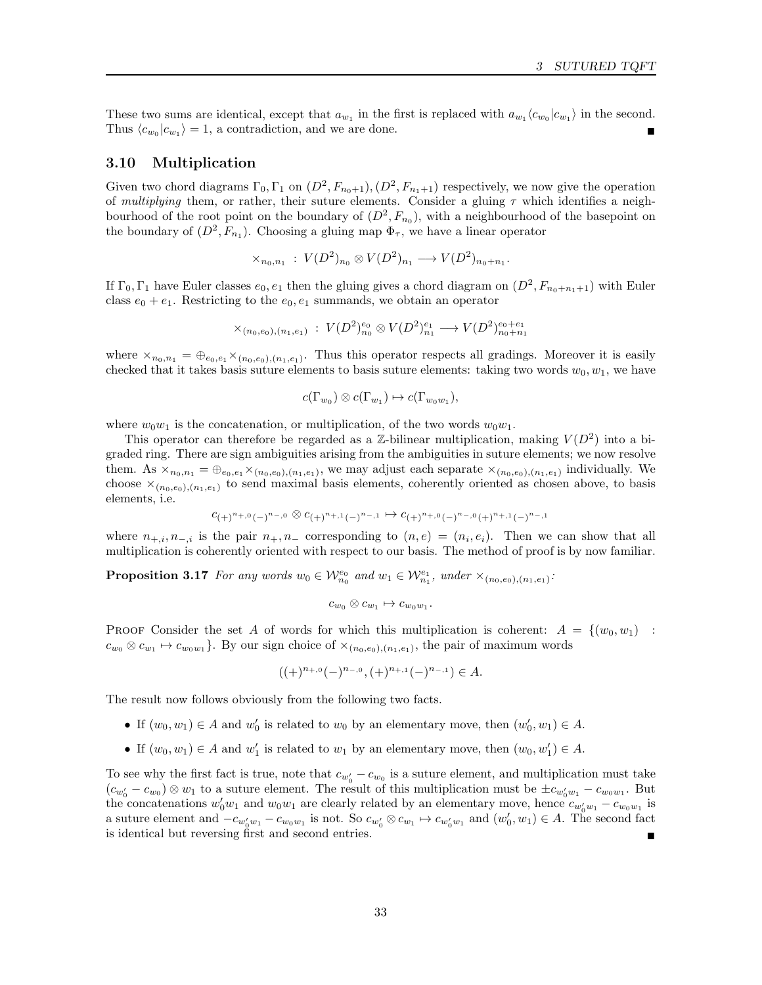These two sums are identical, except that  $a_{w_1}$  in the first is replaced with  $a_{w_1} \langle c_{w_0} | c_{w_1} \rangle$  in the second. Thus  $\langle c_{w_0}|c_{w_1}\rangle = 1$ , a contradiction, and we are done.

## 3.10 Multiplication

Given two chord diagrams  $\Gamma_0, \Gamma_1$  on  $(D^2, F_{n_0+1}), (D^2, F_{n_1+1})$  respectively, we now give the operation of multiplying them, or rather, their suture elements. Consider a gluing  $\tau$  which identifies a neighbourhood of the root point on the boundary of  $(D^2, F_{n_0})$ , with a neighbourhood of the basepoint on the boundary of  $(D^2, F_{n_1})$ . Choosing a gluing map  $\Phi_{\tau}$ , we have a linear operator

$$
\times_{n_0,n_1} : V(D^2)_{n_0} \otimes V(D^2)_{n_1} \longrightarrow V(D^2)_{n_0+n_1}.
$$

If  $\Gamma_0, \Gamma_1$  have Euler classes  $e_0, e_1$  then the gluing gives a chord diagram on  $(D^2, F_{n_0+n_1+1})$  with Euler class  $e_0 + e_1$ . Restricting to the  $e_0, e_1$  summands, we obtain an operator

$$
\times_{(n_0, e_0), (n_1, e_1)} \, : \, V(D^2)^{e_0}_{n_0} \otimes V(D^2)^{e_1}_{n_1} \longrightarrow V(D^2)^{e_0 + e_1}_{n_0 + n_1}
$$

where  $x_{n_0,n_1} = \bigoplus_{e_0,e_1} x_{(n_0,e_0),(n_1,e_1)}$ . Thus this operator respects all gradings. Moreover it is easily checked that it takes basis suture elements to basis suture elements: taking two words  $w_0, w_1$ , we have

$$
c(\Gamma_{w_0}) \otimes c(\Gamma_{w_1}) \mapsto c(\Gamma_{w_0w_1}),
$$

where  $w_0w_1$  is the concatenation, or multiplication, of the two words  $w_0w_1$ .

This operator can therefore be regarded as a Z-bilinear multiplication, making  $V(D^2)$  into a bigraded ring. There are sign ambiguities arising from the ambiguities in suture elements; we now resolve them. As  $x_{n_0,n_1} = \bigoplus_{e_0,e_1} x_{(n_0,e_0),(n_1,e_1)}$ , we may adjust each separate  $x_{(n_0,e_0),(n_1,e_1)}$  individually. We choose  $\times_{(n_0,e_0),(n_1,e_1)}$  to send maximal basis elements, coherently oriented as chosen above, to basis elements, i.e.

$$
c_{(+)^{n+,0}(-)^{n-,0}} \otimes c_{(+)^{n+,1}(-)^{n-,1}} \mapsto c_{(+)^{n+,0}(-)^{n-,0} (+)^{n+,1}(-)^{n-,1}}
$$

where  $n_{+,i}, n_{-,i}$  is the pair  $n_+, n_-$  corresponding to  $(n, e) = (n_i, e_i)$ . Then we can show that all multiplication is coherently oriented with respect to our basis. The method of proof is by now familiar.

**Proposition 3.17** For any words  $w_0 \in \mathcal{W}_{n_0}^{e_0}$  and  $w_1 \in \mathcal{W}_{n_1}^{e_1}$ , under  $\times_{(n_0,e_0),(n_1,e_1)}$ .

$$
c_{w_0}\otimes c_{w_1}\mapsto c_{w_0w_1}.
$$

PROOF Consider the set A of words for which this multiplication is coherent:  $A = \{(w_0, w_1)$ :  $c_{w_0} \otimes c_{w_1} \mapsto c_{w_0w_1}$ . By our sign choice of  $\times_{(n_0,e_0),(n_1,e_1)}$ , the pair of maximum words

$$
((+)^{n_{+,0}}(-)^{n_{-,0}}, (+)^{n_{+,1}}(-)^{n_{-,1}}) \in A.
$$

The result now follows obviously from the following two facts.

- If  $(w_0, w_1) \in A$  and  $w'_0$  is related to  $w_0$  by an elementary move, then  $(w'_0, w_1) \in A$ .
- If  $(w_0, w_1) \in A$  and  $w'_1$  is related to  $w_1$  by an elementary move, then  $(w_0, w'_1) \in A$ .

To see why the first fact is true, note that  $c_{w'_0} - c_{w_0}$  is a suture element, and multiplication must take  $(c_{w'_0} - c_{w_0}) \otimes w_1$  to a suture element. The result of this multiplication must be  $\pm c_{w'_0w_1} - c_{w_0w_1}$ . But the concatenations  $w'_0w_1$  and  $w_0w_1$  are clearly related by an elementary move, hence  $c_{w'_0w_1} - c_{w_0w_1}$  is a suture element and  $-c_{w'_0w_1} - c_{w_0w_1}$  is not. So  $c_{w'_0} \otimes c_{w_1} \mapsto c_{w'_0w_1}$  and  $(w'_0, w_1) \in A$ . The second fact is identical but reversing first and second entries.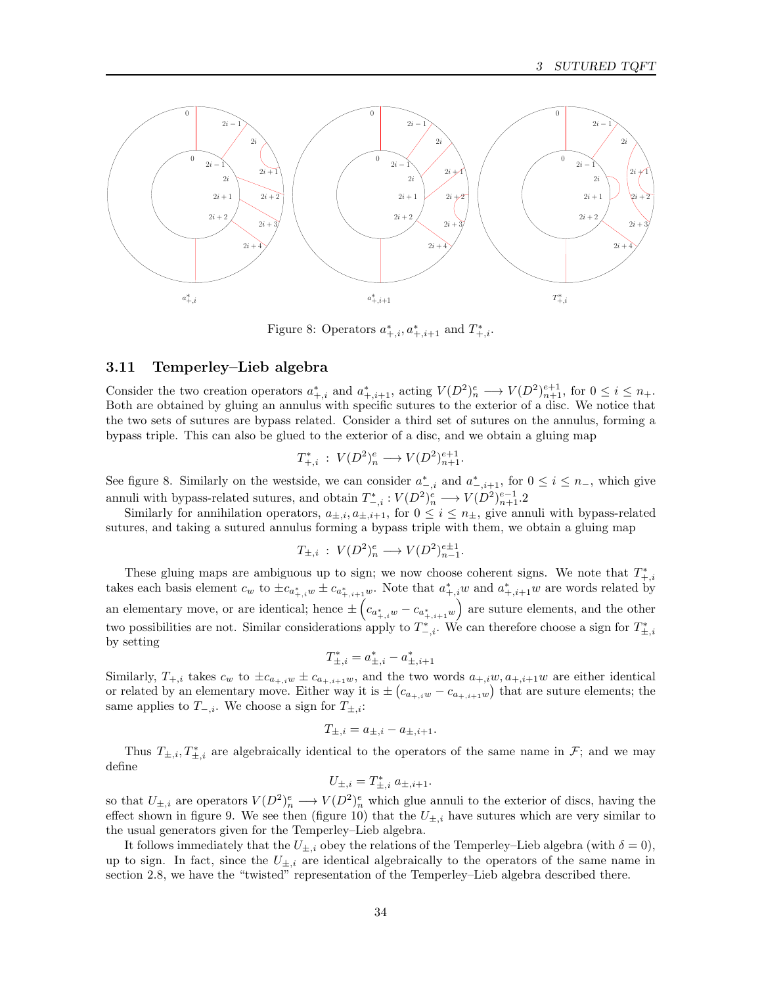

Figure 8: Operators  $a_{+,i}^*, a_{+,i+1}^*$  and  $T_{+,i}^*$ .

## 3.11 Temperley–Lieb algebra

Consider the two creation operators  $a_{+,i}^*$  and  $a_{+,i+1}^*$ , acting  $V(D^2)_n^e \longrightarrow V(D^2)_{n+1}^{e+1}$ , for  $0 \le i \le n_+$ . Both are obtained by gluing an annulus with specific sutures to the exterior of a disc. We notice that the two sets of sutures are bypass related. Consider a third set of sutures on the annulus, forming a bypass triple. This can also be glued to the exterior of a disc, and we obtain a gluing map

$$
T_{+,i}^* : V(D^2)_n^e \longrightarrow V(D^2)_{n+1}^{e+1}.
$$

See figure 8. Similarly on the westside, we can consider  $a_{-,i}^*$  and  $a_{-,i+1}^*$ , for  $0 \le i \le n_-,$  which give annuli with bypass-related sutures, and obtain  $T_{-,i}^* : V(D^2)_n^e \longrightarrow V(D^2)_{n+1}^{e-1}$ .

Similarly for annihilation operators,  $a_{\pm,i}$ ,  $a_{\pm,i+1}$ , for  $0 \leq i \leq n_{\pm}$ , give annuli with bypass-related sutures, and taking a sutured annulus forming a bypass triple with them, we obtain a gluing map

$$
T_{\pm,i} : V(D^2)_n^e \longrightarrow V(D^2)_{n-1}^{e \pm 1}.
$$

These gluing maps are ambiguous up to sign; we now choose coherent signs. We note that  $T^*_{+,i}$ takes each basis element  $c_w$  to  $\pm c_{a^*_{+,i}} \pm c_{a^*_{+,i+1}w}$ . Note that  $a^*_{+,i} w$  and  $a^*_{+,i+1} w$  are words related by an elementary move, or are identical; hence  $\pm \left(c_{a_{+,i}^*w} - c_{a_{+,i+1}^*w}\right)$  are suture elements, and the other two possibilities are not. Similar considerations apply to  $T^*_{-,i}$ . We can therefore choose a sign for  $T^*_{\pm,i}$ by setting

$$
T_{\pm,i}^* = a_{\pm,i}^* - a_{\pm,i+1}^*
$$

Similarly,  $T_{+,i}$  takes  $c_w$  to  $\pm c_{a_{+,i}w} \pm c_{a_{+,i+1}w}$ , and the two words  $a_{+,i}w, a_{+,i+1}w$  are either identical or related by an elementary move. Either way it is  $\pm (c_{a_+,i} - c_{a_+,i+1}w)$  that are suture elements; the same applies to  $T_{-,i}$ . We choose a sign for  $T_{\pm,i}$ :

$$
T_{\pm,i} = a_{\pm,i} - a_{\pm,i+1}.
$$

Thus  $T_{\pm,i}, T_{\pm,i}^*$  are algebraically identical to the operators of the same name in  $\mathcal{F}$ ; and we may define

$$
U_{\pm,i} = T_{\pm,i}^* \; a_{\pm,i+1}.
$$

so that  $U_{\pm,i}$  are operators  $V(D^2)^e_n \longrightarrow V(D^2)^e_n$  which glue annuli to the exterior of discs, having the effect shown in figure 9. We see then (figure 10) that the  $U_{\pm,i}$  have sutures which are very similar to the usual generators given for the Temperley–Lieb algebra.

It follows immediately that the  $U_{\pm,i}$  obey the relations of the Temperley–Lieb algebra (with  $\delta = 0$ ), up to sign. In fact, since the  $U_{\pm,i}$  are identical algebraically to the operators of the same name in section 2.8, we have the "twisted" representation of the Temperley–Lieb algebra described there.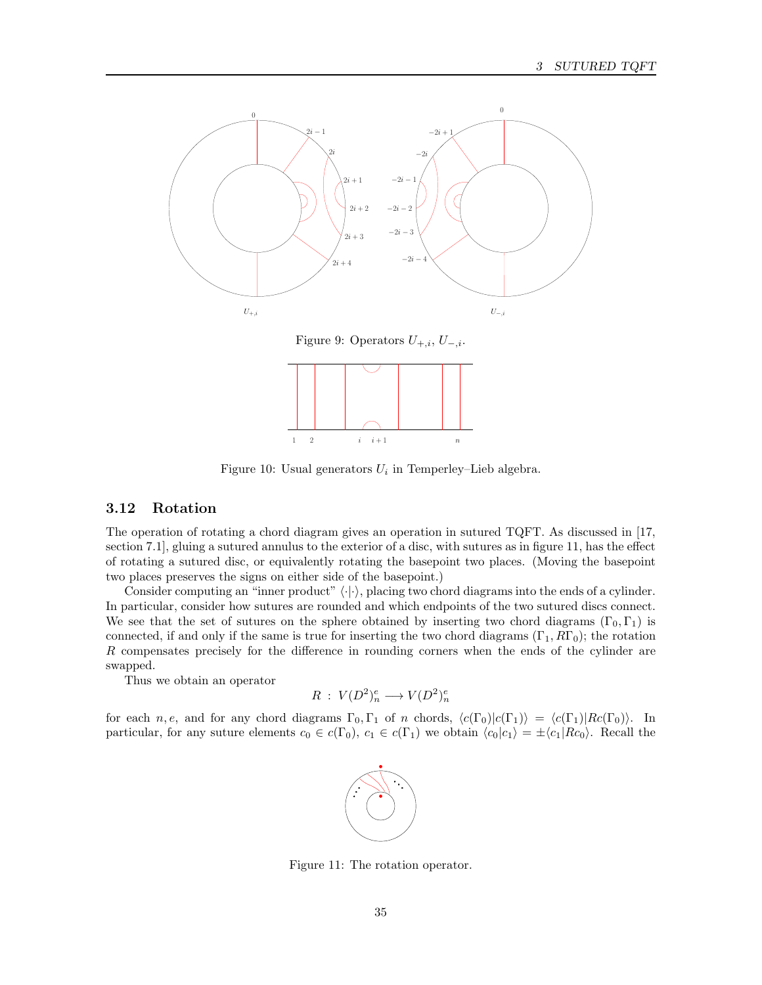

Figure 9: Operators  $U_{+,i}$ ,  $U_{-,i}$ .



Figure 10: Usual generators  $U_i$  in Temperley-Lieb algebra.

## 3.12 Rotation

The operation of rotating a chord diagram gives an operation in sutured TQFT. As discussed in [17, section 7.1], gluing a sutured annulus to the exterior of a disc, with sutures as in figure 11, has the effect of rotating a sutured disc, or equivalently rotating the basepoint two places. (Moving the basepoint two places preserves the signs on either side of the basepoint.)

Consider computing an "inner product"  $\langle \cdot | \cdot \rangle$ , placing two chord diagrams into the ends of a cylinder. In particular, consider how sutures are rounded and which endpoints of the two sutured discs connect. We see that the set of sutures on the sphere obtained by inserting two chord diagrams  $(\Gamma_0, \Gamma_1)$  is connected, if and only if the same is true for inserting the two chord diagrams  $(\Gamma_1, R\Gamma_0)$ ; the rotation R compensates precisely for the difference in rounding corners when the ends of the cylinder are swapped.

Thus we obtain an operator

$$
R\;:\; V(D^2)_n^e\longrightarrow V(D^2)_n^e
$$

for each n, e, and for any chord diagrams  $\Gamma_0, \Gamma_1$  of n chords,  $\langle c(\Gamma_0)|c(\Gamma_1)\rangle = \langle c(\Gamma_1)|Rc(\Gamma_0)\rangle$ . In particular, for any suture elements  $c_0 \in c(\Gamma_0)$ ,  $c_1 \in c(\Gamma_1)$  we obtain  $\langle c_0 | c_1 \rangle = \pm \langle c_1 | Rc_0 \rangle$ . Recall the



Figure 11: The rotation operator.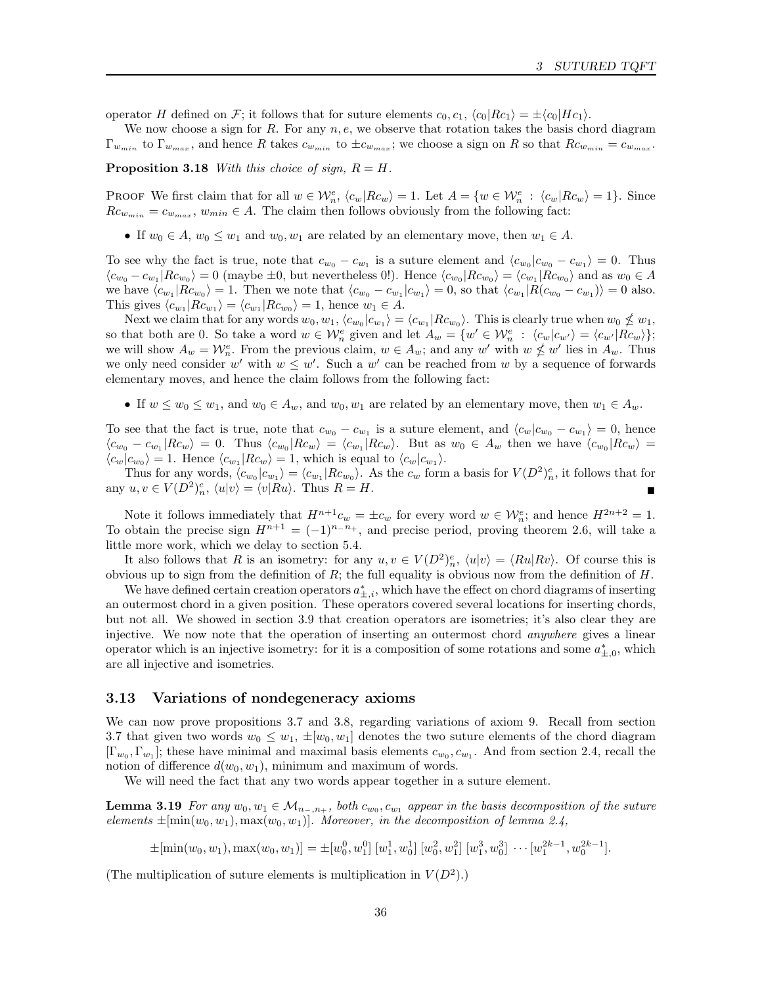operator H defined on F; it follows that for suture elements  $c_0, c_1, \langle c_0|Rc_1\rangle = \pm \langle c_0|Hc_1\rangle$ .

We now choose a sign for R. For any  $n, e$ , we observe that rotation takes the basis chord diagram  $\Gamma_{w_{min}}$  to  $\Gamma_{w_{max}}$ , and hence R takes  $c_{w_{min}}$  to  $\pm c_{w_{max}}$ ; we choose a sign on R so that  $Rc_{w_{min}} = c_{w_{max}}$ .

**Proposition 3.18** With this choice of sign,  $R = H$ .

PROOF We first claim that for all  $w \in \mathcal{W}_n^e$ ,  $\langle c_w | Rc_w \rangle = 1$ . Let  $A = \{w \in \mathcal{W}_n^e : \langle c_w | Rc_w \rangle = 1\}$ . Since  $Rc_{w_{min}} = c_{w_{max}}$ ,  $w_{min} \in A$ . The claim then follows obviously from the following fact:

• If  $w_0 \in A$ ,  $w_0 \leq w_1$  and  $w_0, w_1$  are related by an elementary move, then  $w_1 \in A$ .

To see why the fact is true, note that  $c_{w_0} - c_{w_1}$  is a suture element and  $\langle c_{w_0} | c_{w_0} - c_{w_1} \rangle = 0$ . Thus  $\langle c_{w_0} - c_{w_1} | R c_{w_0} \rangle = 0$  (maybe  $\pm 0$ , but nevertheless 0!). Hence  $\langle c_{w_0} | R c_{w_0} \rangle = \langle c_{w_1} | R c_{w_0} \rangle$  and as  $w_0 \in A$ we have  $\langle c_{w_1}| R c_{w_0} \rangle = 1$ . Then we note that  $\langle c_{w_0} - c_{w_1} | c_{w_1} \rangle = 0$ , so that  $\langle c_{w_1} | R (c_{w_0} - c_{w_1}) \rangle = 0$  also. This gives  $\langle c_{w_1} | R c_{w_1} \rangle = \langle c_{w_1} | R c_{w_0} \rangle = 1$ , hence  $w_1 \in A$ .

Next we claim that for any words  $w_0, w_1, \langle c_{w_0} | c_{w_1} \rangle = \langle c_{w_1} | R c_{w_0} \rangle$ . This is clearly true when  $w_0 \nleq w_1$ , so that both are 0. So take a word  $w \in \mathcal{W}_n^e$  given and let  $A_w = \{w' \in \mathcal{W}_n^e : \langle c_w | c_{w'} \rangle = \langle c_{w'} | R c_w \rangle \};$ we will show  $A_w = \mathcal{W}_n^e$ . From the previous claim,  $w \in A_w$ ; and any  $w'$  with  $w \nleq w'$  lies in  $A_w$ . Thus we only need consider w' with  $w \leq w'$ . Such a w' can be reached from w by a sequence of forwards elementary moves, and hence the claim follows from the following fact:

• If  $w \leq w_0 \leq w_1$ , and  $w_0 \in A_w$ , and  $w_0, w_1$  are related by an elementary move, then  $w_1 \in A_w$ .

To see that the fact is true, note that  $c_{w_0} - c_{w_1}$  is a suture element, and  $\langle c_w | c_{w_0} - c_{w_1} \rangle = 0$ , hence  $\langle c_{w_0} - c_{w_1} | R c_w \rangle = 0$ . Thus  $\langle c_{w_0} | R c_w \rangle = \langle c_{w_1} | R c_w \rangle$ . But as  $w_0 \in A_w$  then we have  $\langle c_{w_0} | R c_w \rangle =$  $\langle c_w | c_{w_0} \rangle = 1$ . Hence  $\langle c_{w_1} | Rc_w \rangle = 1$ , which is equal to  $\langle c_w | c_{w_1} \rangle$ .

Thus for any words,  $\langle c_{w_0}|c_{w_1}\rangle = \langle c_{w_1}|Rc_{w_0}\rangle$ . As the  $c_w$  form a basis for  $V(D^2)_n^e$ , it follows that for any  $u, v \in V(D^2)_n^e$ ,  $\langle u|v \rangle = \langle v|Ru \rangle$ . Thus  $R = H$ .

Note it follows immediately that  $H^{n+1}c_w = \pm c_w$  for every word  $w \in \mathcal{W}_n^e$ ; and hence  $H^{2n+2} = 1$ . To obtain the precise sign  $H^{n+1} = (-1)^{n-n}$ , and precise period, proving theorem 2.6, will take a little more work, which we delay to section 5.4.

It also follows that R is an isometry: for any  $u, v \in V(D^2)_n^e$ ,  $\langle u | v \rangle = \langle Ru | Rv \rangle$ . Of course this is obvious up to sign from the definition of  $R$ ; the full equality is obvious now from the definition of  $H$ .

We have defined certain creation operators  $a_{\pm,i}^*$ , which have the effect on chord diagrams of inserting an outermost chord in a given position. These operators covered several locations for inserting chords, but not all. We showed in section 3.9 that creation operators are isometries; it's also clear they are injective. We now note that the operation of inserting an outermost chord anywhere gives a linear operator which is an injective isometry: for it is a composition of some rotations and some  $a_{\pm,0}^*$ , which are all injective and isometries.

## 3.13 Variations of nondegeneracy axioms

We can now prove propositions 3.7 and 3.8, regarding variations of axiom 9. Recall from section 3.7 that given two words  $w_0 \leq w_1, \pm [w_0, w_1]$  denotes the two suture elements of the chord diagram  $[\Gamma_{w_0}, \Gamma_{w_1}]$ ; these have minimal and maximal basis elements  $c_{w_0}, c_{w_1}$ . And from section 2.4, recall the notion of difference  $d(w_0, w_1)$ , minimum and maximum of words.

We will need the fact that any two words appear together in a suture element.

**Lemma 3.19** For any  $w_0, w_1 \in M_{n_-,n_+}$ , both  $c_{w_0}, c_{w_1}$  appear in the basis decomposition of the suture elements  $\pm$ [min(w<sub>0</sub>, w<sub>1</sub>), max(w<sub>0</sub>, w<sub>1</sub>)]. Moreover, in the decomposition of lemma 2.4,

 $\pm[\min(w_0, w_1), \max(w_0, w_1)] = \pm[w_0^0, w_1^0] [w_1^1, w_0^1] [w_0^2, w_1^2] [w_1^3, w_0^3] \cdots [w_1^{2k-1}, w_0^{2k-1}].$ 

(The multiplication of suture elements is multiplication in  $V(D^2)$ .)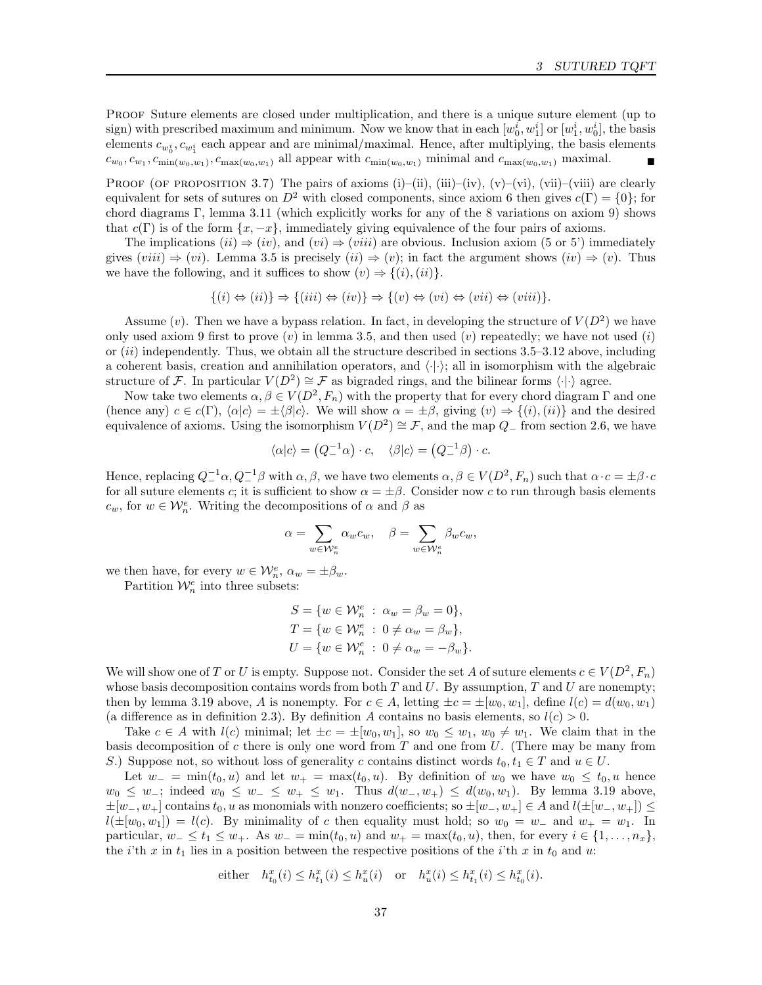PROOF Suture elements are closed under multiplication, and there is a unique suture element (up to sign) with prescribed maximum and minimum. Now we know that in each  $[w_0^i, w_1^i]$  or  $[w_1^i, w_0^i]$ , the basis elements  $c_{w_0^i}, c_{w_1^i}$  each appear and are minimal/maximal. Hence, after multiplying, the basis elements  $c_{w_0}, c_{w_1}, c_{\min(w_0, w_1)}, c_{\max(w_0, w_1)}$  all appear with  $c_{\min(w_0, w_1)}$  minimal and  $c_{\max(w_0, w_1)}$  maximal.

PROOF (OF PROPOSITION 3.7) The pairs of axioms (i)–(ii), (iii)–(iv), (v)–(vi), (vii)–(viii) are clearly equivalent for sets of sutures on  $D^2$  with closed components, since axiom 6 then gives  $c(\Gamma) = \{0\}$ ; for chord diagrams Γ, lemma 3.11 (which explicitly works for any of the 8 variations on axiom 9) shows that  $c(\Gamma)$  is of the form  $\{x, -x\}$ , immediately giving equivalence of the four pairs of axioms.

The implications  $(ii) \Rightarrow (iv)$ , and  $(vi) \Rightarrow (viii)$  are obvious. Inclusion axiom (5 or 5') immediately gives  $(viii) \Rightarrow (vi)$ . Lemma 3.5 is precisely  $(ii) \Rightarrow (v)$ ; in fact the argument shows  $(iv) \Rightarrow (v)$ . Thus we have the following, and it suffices to show  $(v) \Rightarrow \{(i), (ii)\}.$ 

$$
\{(i) \Leftrightarrow (ii)\} \Rightarrow \{(iii) \Leftrightarrow (iv)\} \Rightarrow \{(v) \Leftrightarrow (vi) \Leftrightarrow (vii) \Leftrightarrow (viii)\}.
$$

Assume (v). Then we have a bypass relation. In fact, in developing the structure of  $V(D^2)$  we have only used axiom 9 first to prove  $(v)$  in lemma 3.5, and then used  $(v)$  repeatedly; we have not used  $(i)$ or  $(ii)$  independently. Thus, we obtain all the structure described in sections 3.5–3.12 above, including a coherent basis, creation and annihilation operators, and  $\langle \cdot | \cdot \rangle$ ; all in isomorphism with the algebraic structure of F. In particular  $V(D^2) \cong \mathcal{F}$  as bigraded rings, and the bilinear forms  $\langle \cdot | \cdot \rangle$  agree.

Now take two elements  $\alpha, \beta \in V(D^2, F_n)$  with the property that for every chord diagram  $\Gamma$  and one (hence any)  $c \in c(\Gamma)$ ,  $\langle \alpha | c \rangle = \pm \langle \beta | c \rangle$ . We will show  $\alpha = \pm \beta$ , giving  $(v) \Rightarrow \{(i), (ii)\}$  and the desired equivalence of axioms. Using the isomorphism  $V(D^2) \cong \mathcal{F}$ , and the map  $Q_-\,$  from section 2.6, we have

$$
\langle \alpha | c \rangle = \left( Q_-^{-1} \alpha \right) \cdot c, \quad \langle \beta | c \rangle = \left( Q_-^{-1} \beta \right) \cdot c.
$$

Hence, replacing  $Q_+^{-1}\alpha, Q_-^{-1}\beta$  with  $\alpha, \beta$ , we have two elements  $\alpha, \beta \in V(D^2, F_n)$  such that  $\alpha \cdot c = \pm \beta \cdot c$ for all suture elements c; it is sufficient to show  $\alpha = \pm \beta$ . Consider now c to run through basis elements  $c_w$ , for  $w \in \mathcal{W}_n^e$ . Writing the decompositions of  $\alpha$  and  $\beta$  as

$$
\alpha = \sum_{w \in \mathcal{W}_n^e} \alpha_w c_w, \quad \beta = \sum_{w \in \mathcal{W}_n^e} \beta_w c_w,
$$

we then have, for every  $w \in \mathcal{W}_n^e$ ,  $\alpha_w = \pm \beta_w$ .

Partition  $\mathcal{W}_n^e$  into three subsets:

$$
S = \{w \in \mathcal{W}_n^e : \alpha_w = \beta_w = 0\},
$$
  
\n
$$
T = \{w \in \mathcal{W}_n^e : 0 \neq \alpha_w = \beta_w\},
$$
  
\n
$$
U = \{w \in \mathcal{W}_n^e : 0 \neq \alpha_w = -\beta_w\}.
$$

We will show one of T or U is empty. Suppose not. Consider the set A of suture elements  $c \in V(D^2, F_n)$ whose basis decomposition contains words from both  $T$  and  $U$ . By assumption,  $T$  and  $U$  are nonempty; then by lemma 3.19 above, A is nonempty. For  $c \in A$ , letting  $\pm c = \pm [w_0, w_1]$ , define  $l(c) = d(w_0, w_1)$ (a difference as in definition 2.3). By definition A contains no basis elements, so  $l(c) > 0$ .

Take  $c \in A$  with  $l(c)$  minimal; let  $\pm c = \pm [w_0, w_1]$ , so  $w_0 \leq w_1$ ,  $w_0 \neq w_1$ . We claim that in the basis decomposition of  $c$  there is only one word from  $T$  and one from  $U$ . (There may be many from S.) Suppose not, so without loss of generality c contains distinct words  $t_0, t_1 \in T$  and  $u \in U$ .

Let  $w_$  = min( $t_0, u$ ) and let  $w_$  = max( $t_0, u$ ). By definition of  $w_0$  we have  $w_0 \leq t_0, u$  hence  $w_0 \leq w_-,$  indeed  $w_0 \leq w_- \leq w_+ \leq w_1$ . Thus  $d(w_-, w_+) \leq d(w_0, w_1)$ . By lemma 3.19 above,  $\pm[w_-, w_+]$  contains  $t_0, u$  as monomials with nonzero coefficients; so  $\pm[w_-, w_+] \in A$  and  $l(\pm[w_-, w_+]) \leq$  $l(\pm[w_0, w_1]) = l(c)$ . By minimality of c then equality must hold; so  $w_0 = w_-\,$  and  $w_+ = w_1$ . In particular,  $w_-\leq t_1\leq w_+$ . As  $w_-\equiv \min(t_0, u)$  and  $w_+\equiv \max(t_0, u)$ , then, for every  $i\in\{1,\ldots,n_x\}$ , the i'th x in  $t_1$  lies in a position between the respective positions of the i'th x in  $t_0$  and u:

either 
$$
h_{t_0}^x(i) \leq h_{t_1}^x(i) \leq h_u^x(i)
$$
 or  $h_u^x(i) \leq h_{t_1}^x(i) \leq h_{t_0}^x(i)$ .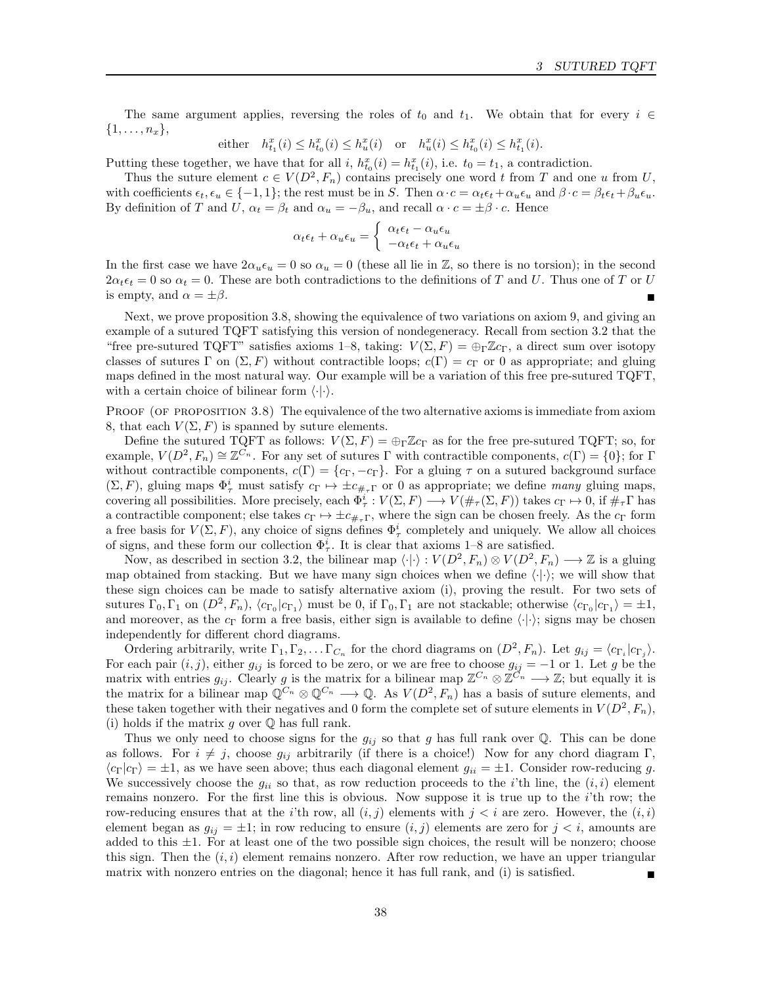The same argument applies, reversing the roles of  $t_0$  and  $t_1$ . We obtain that for every  $i \in$  $\{1,\ldots,n_x\},\$ 

either 
$$
h_{t_1}^x(i) \leq h_{t_0}^x(i) \leq h_u^x(i)
$$
 or  $h_u^x(i) \leq h_{t_0}^x(i) \leq h_{t_1}^x(i)$ .

Putting these together, we have that for all i,  $h_{t_0}^x(i) = h_{t_1}^x(i)$ , i.e.  $t_0 = t_1$ , a contradiction.

Thus the suture element  $c \in V(D^2, F_n)$  contains precisely one word t from T and one u from U, with coefficients  $\epsilon_t, \epsilon_u \in \{-1, 1\}$ ; the rest must be in S. Then  $\alpha \cdot c = \alpha_t \epsilon_t + \alpha_u \epsilon_u$  and  $\beta \cdot c = \beta_t \epsilon_t + \beta_u \epsilon_u$ . By definition of T and  $U, \alpha_t = \beta_t$  and  $\alpha_u = -\beta_u$ , and recall  $\alpha \cdot c = \pm \beta \cdot c$ . Hence

$$
\alpha_t \epsilon_t + \alpha_u \epsilon_u = \begin{cases} \alpha_t \epsilon_t - \alpha_u \epsilon_u \\ -\alpha_t \epsilon_t + \alpha_u \epsilon_u \end{cases}
$$

In the first case we have  $2\alpha_u\epsilon_u = 0$  so  $\alpha_u = 0$  (these all lie in Z, so there is no torsion); in the second  $2\alpha_t \epsilon_t = 0$  so  $\alpha_t = 0$ . These are both contradictions to the definitions of T and U. Thus one of T or U is empty, and  $\alpha = \pm \beta$ .

Next, we prove proposition 3.8, showing the equivalence of two variations on axiom 9, and giving an example of a sutured TQFT satisfying this version of nondegeneracy. Recall from section 3.2 that the "free pre-sutured TQFT" satisfies axioms 1–8, taking:  $V(\Sigma, F) = \bigoplus_{\Gamma} \mathbb{Z}_{C_{\Gamma}}$ , a direct sum over isotopy classes of sutures Γ on  $(\Sigma, F)$  without contractible loops;  $c(\Gamma) = c_{\Gamma}$  or 0 as appropriate; and gluing maps defined in the most natural way. Our example will be a variation of this free pre-sutured TQFT, with a certain choice of bilinear form  $\langle \cdot | \cdot \rangle$ .

PROOF (OF PROPOSITION 3.8) The equivalence of the two alternative axioms is immediate from axiom 8, that each  $V(\Sigma, F)$  is spanned by suture elements.

Define the sutured TQFT as follows:  $V(\Sigma, F) = \bigoplus_{\Gamma} \mathbb{Z}c_{\Gamma}$  as for the free pre-sutured TQFT; so, for example,  $V(D^2, F_n) \cong \mathbb{Z}^{C_n}$ . For any set of sutures  $\Gamma$  with contractible components,  $c(\Gamma) = \{0\}$ ; for  $\Gamma$ without contractible components,  $c(\Gamma) = \{c_{\Gamma}, -c_{\Gamma}\}\$ . For a gluing  $\tau$  on a sutured background surface  $(\Sigma, F)$ , gluing maps  $\Phi^i_\tau$  must satisfy  $c_\Gamma \mapsto \pm c_{\#_\tau\Gamma}$  or 0 as appropriate; we define many gluing maps, covering all possibilities. More precisely, each  $\Phi^i_\tau: V(\Sigma, F) \longrightarrow V(\#_\tau(\Sigma, F))$  takes  $c_\Gamma \mapsto 0$ , if  $\#_\tau \Gamma$  has a contractible component; else takes  $c_{\Gamma} \mapsto \pm c_{\#_{\tau}} r$ , where the sign can be chosen freely. As the  $c_{\Gamma}$  form a free basis for  $V(\Sigma, F)$ , any choice of signs defines  $\Phi^i_\tau$  completely and uniquely. We allow all choices of signs, and these form our collection  $\Phi^i_\tau$ . It is clear that axioms 1–8 are satisfied.

Now, as described in section 3.2, the bilinear map  $\langle \cdot | \cdot \rangle : V(D^2, F_n) \otimes V(D^2, F_n) \longrightarrow \mathbb{Z}$  is a gluing map obtained from stacking. But we have many sign choices when we define  $\langle \cdot | \cdot \rangle$ ; we will show that these sign choices can be made to satisfy alternative axiom (i), proving the result. For two sets of sutures  $\Gamma_0, \Gamma_1$  on  $(D^2, F_n)$ ,  $\langle c_{\Gamma_0} | c_{\Gamma_1} \rangle$  must be 0, if  $\Gamma_0, \Gamma_1$  are not stackable; otherwise  $\langle c_{\Gamma_0} | c_{\Gamma_1} \rangle = \pm 1$ , and moreover, as the  $c_{\Gamma}$  form a free basis, either sign is available to define  $\langle \cdot | \cdot \rangle$ ; signs may be chosen independently for different chord diagrams.

Ordering arbitrarily, write  $\Gamma_1, \Gamma_2, \ldots \Gamma_{C_n}$  for the chord diagrams on  $(D^2, F_n)$ . Let  $g_{ij} = \langle c_{\Gamma_i} | c_{\Gamma_j} \rangle$ . For each pair  $(i, j)$ , either  $g_{ij}$  is forced to be zero, or we are free to choose  $g_{ij} = -1$  or 1. Let g be the matrix with entries  $g_{ij}$ . Clearly g is the matrix for a bilinear map  $\mathbb{Z}^{C_n} \otimes \mathbb{Z}^{C_n} \longrightarrow \mathbb{Z}$ ; but equally it is the matrix for a bilinear map  $\mathbb{Q}^{C_n} \otimes \mathbb{Q}^{C_n} \longrightarrow \mathbb{Q}$ . As  $V(D^2, F_n)$  has a basis of suture elements, and these taken together with their negatives and 0 form the complete set of suture elements in  $V(D^2, F_n)$ , (i) holds if the matrix  $g$  over  $\mathbb Q$  has full rank.

Thus we only need to choose signs for the  $g_{ij}$  so that g has full rank over Q. This can be done as follows. For  $i \neq j$ , choose  $g_{ij}$  arbitrarily (if there is a choice!) Now for any chord diagram Γ,  $\langle c_{\Gamma}|c_{\Gamma}\rangle = \pm 1$ , as we have seen above; thus each diagonal element  $g_{ii} = \pm 1$ . Consider row-reducing g. We successively choose the  $g_{ii}$  so that, as row reduction proceeds to the *i*'th line, the  $(i, i)$  element remains nonzero. For the first line this is obvious. Now suppose it is true up to the  $i$ 'th row; the row-reducing ensures that at the i'th row, all  $(i, j)$  elements with  $j < i$  are zero. However, the  $(i, i)$ element began as  $g_{ij} = \pm 1$ ; in row reducing to ensure  $(i, j)$  elements are zero for  $j < i$ , amounts are added to this  $\pm 1$ . For at least one of the two possible sign choices, the result will be nonzero; choose this sign. Then the  $(i, i)$  element remains nonzero. After row reduction, we have an upper triangular matrix with nonzero entries on the diagonal; hence it has full rank, and (i) is satisfied.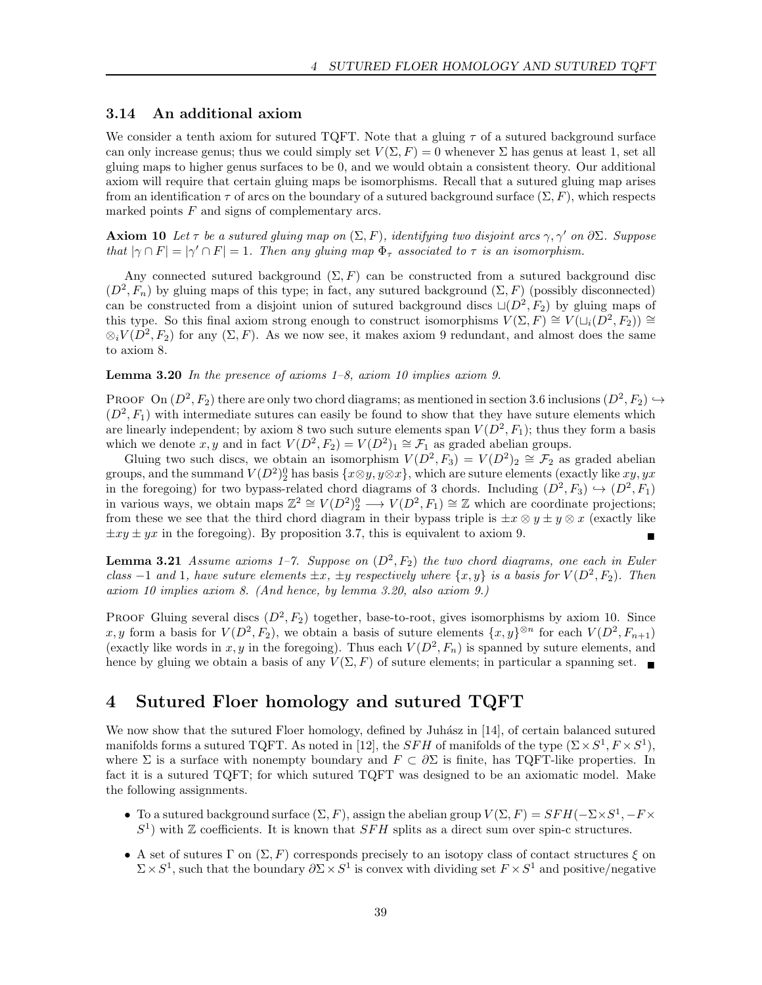## 3.14 An additional axiom

We consider a tenth axiom for sutured TQFT. Note that a gluing  $\tau$  of a sutured background surface can only increase genus; thus we could simply set  $V(\Sigma, F) = 0$  whenever  $\Sigma$  has genus at least 1, set all gluing maps to higher genus surfaces to be 0, and we would obtain a consistent theory. Our additional axiom will require that certain gluing maps be isomorphisms. Recall that a sutured gluing map arises from an identification  $\tau$  of arcs on the boundary of a sutured background surface  $(\Sigma, F)$ , which respects marked points  $F$  and signs of complementary arcs.

**Axiom 10** Let  $\tau$  be a sutured gluing map on  $(\Sigma, F)$ , identifying two disjoint arcs  $\gamma$ ,  $\gamma'$  on  $\partial \Sigma$ . Suppose that  $|\gamma \cap F| = |\gamma' \cap F| = 1$ . Then any gluing map  $\Phi_{\tau}$  associated to  $\tau$  is an isomorphism.

Any connected sutured background  $(\Sigma, F)$  can be constructed from a sutured background disc  $(D^2, F_n)$  by gluing maps of this type; in fact, any sutured background  $(\Sigma, F)$  (possibly disconnected) can be constructed from a disjoint union of sutured background discs  $\sqcup(D^2, F_2)$  by gluing maps of this type. So this final axiom strong enough to construct isomorphisms  $V(\Sigma, F) \cong V(\sqcup_i(\overline{D^2}, F_2)) \cong$  $\otimes_i V(D^2, F_2)$  for any  $(\Sigma, F)$ . As we now see, it makes axiom 9 redundant, and almost does the same to axiom 8.

**Lemma 3.20** In the presence of axioms  $1-\delta$ , axiom 10 implies axiom 9.

PROOF On  $(D^2, F_2)$  there are only two chord diagrams; as mentioned in section 3.6 inclusions  $(D^2, F_2) \hookrightarrow$  $(D^2, F_1)$  with intermediate sutures can easily be found to show that they have suture elements which are linearly independent; by axiom 8 two such suture elements span  $V(D^2, F_1)$ ; thus they form a basis which we denote x, y and in fact  $V(D^2, F_2) = V(D^2)_1 \cong \mathcal{F}_1$  as graded abelian groups.

Gluing two such discs, we obtain an isomorphism  $V(D^2, F_3) = V(D^2)_2 \cong \mathcal{F}_2$  as graded abelian groups, and the summand  $V(D^2)_{2}^0$  has basis  $\{x \otimes y, y \otimes x\}$ , which are suture elements (exactly like  $xy, yx$ in the foregoing) for two bypass-related chord diagrams of 3 chords. Including  $(D^2, F_3) \hookrightarrow (D^2, F_1)$ in various ways, we obtain maps  $\mathbb{Z}^2 \cong V(D^2)_{2}^0 \longrightarrow V(D^2, F_1) \cong \mathbb{Z}$  which are coordinate projections; from these we see that the third chord diagram in their bypass triple is  $\pm x \otimes y \pm y \otimes x$  (exactly like  $\pm xy \pm yx$  in the foregoing). By proposition 3.7, this is equivalent to axiom 9.

**Lemma 3.21** Assume axioms 1-7. Suppose on  $(D^2, F_2)$  the two chord diagrams, one each in Euler class  $-1$  and 1, have suture elements  $\pm x$ ,  $\pm y$  respectively where  $\{x, y\}$  is a basis for  $V(D^2, F_2)$ . Then axiom 10 implies axiom 8. (And hence, by lemma 3.20, also axiom 9.)

PROOF Gluing several discs  $(D^2, F_2)$  together, base-to-root, gives isomorphisms by axiom 10. Since x, y form a basis for  $V(D^2, F_2)$ , we obtain a basis of suture elements  $\{x, y\}^{\otimes n}$  for each  $V(D^2, F_{n+1})$ (exactly like words in x, y in the foregoing). Thus each  $V(D^2, F_n)$  is spanned by suture elements, and hence by gluing we obtain a basis of any  $V(\Sigma, F)$  of suture elements; in particular a spanning set.

# 4 Sutured Floer homology and sutured TQFT

We now show that the sutured Floer homology, defined by Juhász in [14], of certain balanced sutured manifolds forms a sutured TQFT. As noted in [12], the SFH of manifolds of the type  $(\Sigma \times S^1, F \times S^1)$ , where  $\Sigma$  is a surface with nonempty boundary and  $F \subset \partial \Sigma$  is finite, has TQFT-like properties. In fact it is a sutured TQFT; for which sutured TQFT was designed to be an axiomatic model. Make the following assignments.

- To a sutured background surface  $(\Sigma, F)$ , assign the abelian group  $V(\Sigma, F) = SFH(-\Sigma \times S^1, -F \times S^1)$  $S<sup>1</sup>$ ) with Z coefficients. It is known that SFH splits as a direct sum over spin-c structures.
- A set of sutures Γ on  $(\Sigma, F)$  corresponds precisely to an isotopy class of contact structures ξ on  $\Sigma \times S^1$ , such that the boundary  $\partial \Sigma \times S^1$  is convex with dividing set  $F \times S^1$  and positive/negative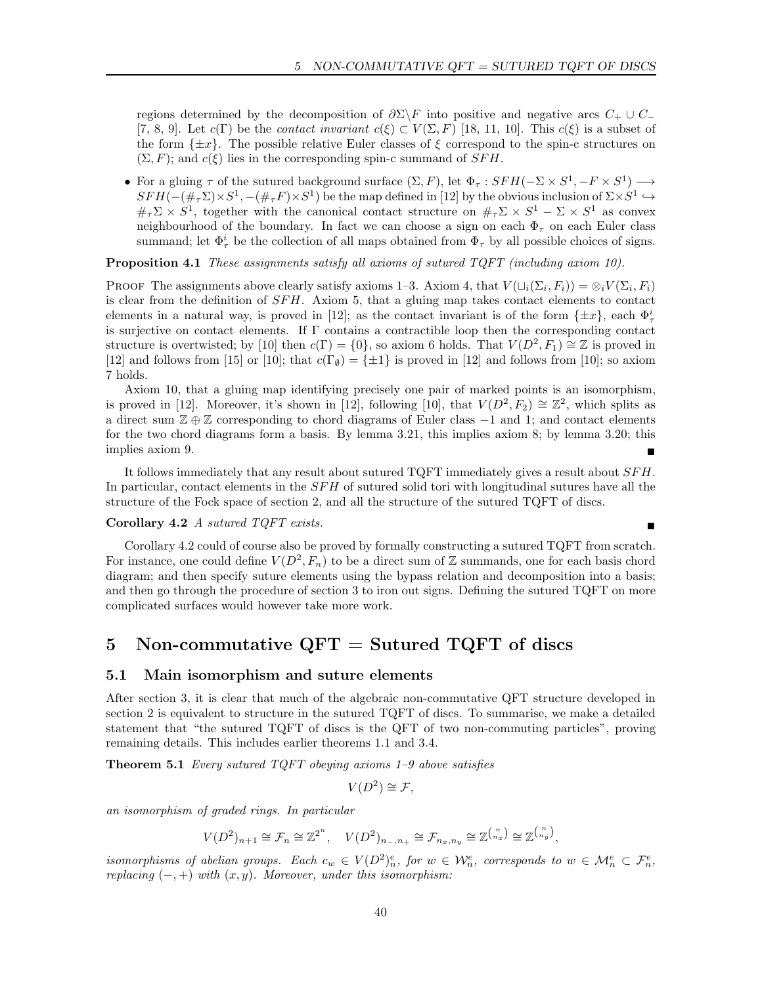regions determined by the decomposition of  $\partial \Sigma \backslash F$  into positive and negative arcs  $C_+ \cup C_-$ [7, 8, 9]. Let  $c(\Gamma)$  be the *contact invariant*  $c(\xi) \subset V(\Sigma, F)$  [18, 11, 10]. This  $c(\xi)$  is a subset of the form  $\{\pm x\}$ . The possible relative Euler classes of  $\xi$  correspond to the spin-c structures on  $(\Sigma, F)$ ; and  $c(\xi)$  lies in the corresponding spin-c summand of SFH.

• For a gluing  $\tau$  of the sutured background surface  $(\Sigma, F)$ , let  $\Phi_{\tau}: SFH(-\Sigma \times S^1, -F \times S^1) \longrightarrow$  $SFH(-(\#_{\tau}\Sigma)\times S^1, -(\#_{\tau}F)\times S^1)$  be the map defined in [12] by the obvious inclusion of  $\Sigma\times S^1\hookrightarrow$  $\#_\tau \Sigma \times S^1$ , together with the canonical contact structure on  $\#_\tau \Sigma \times S^1 - \Sigma \times S^1$  as convex neighbourhood of the boundary. In fact we can choose a sign on each  $\Phi_{\tau}$  on each Euler class summand; let  $\Phi^i_\tau$  be the collection of all maps obtained from  $\Phi_\tau$  by all possible choices of signs.

Proposition 4.1 These assignments satisfy all axioms of sutured TQFT (including axiom 10).

PROOF The assignments above clearly satisfy axioms 1–3. Axiom 4, that  $V(\sqcup_i(\Sigma_i, F_i)) = \otimes_i V(\Sigma_i, F_i)$ is clear from the definition of  $SFH$ . Axiom 5, that a gluing map takes contact elements to contact elements in a natural way, is proved in [12]; as the contact invariant is of the form  $\{\pm x\}$ , each  $\Phi^i_\tau$ is surjective on contact elements. If Γ contains a contractible loop then the corresponding contact structure is overtwisted; by [10] then  $c(\Gamma) = \{0\}$ , so axiom 6 holds. That  $V(D^2, F_1) \cong \mathbb{Z}$  is proved in [12] and follows from [15] or [10]; that  $c(\Gamma_{\emptyset}) = \{\pm 1\}$  is proved in [12] and follows from [10]; so axiom 7 holds.

Axiom 10, that a gluing map identifying precisely one pair of marked points is an isomorphism, is proved in [12]. Moreover, it's shown in [12], following [10], that  $V(D^2, F_2) \cong \mathbb{Z}^2$ , which splits as a direct sum  $\mathbb{Z} \oplus \mathbb{Z}$  corresponding to chord diagrams of Euler class  $-1$  and 1; and contact elements for the two chord diagrams form a basis. By lemma 3.21, this implies axiom 8; by lemma 3.20; this implies axiom 9.

It follows immediately that any result about sutured  $TQFT$  immediately gives a result about  $SFH$ . In particular, contact elements in the SFH of sutured solid tori with longitudinal sutures have all the structure of the Fock space of section 2, and all the structure of the sutured TQFT of discs.

## Corollary 4.2 A sutured TQFT exists.

Corollary 4.2 could of course also be proved by formally constructing a sutured TQFT from scratch. For instance, one could define  $V(D^2, F_n)$  to be a direct sum of Z summands, one for each basis chord diagram; and then specify suture elements using the bypass relation and decomposition into a basis; and then go through the procedure of section 3 to iron out signs. Defining the sutured TQFT on more complicated surfaces would however take more work.

# 5 Non-commutative  $QFT =$  Sutured TQFT of discs

## 5.1 Main isomorphism and suture elements

After section 3, it is clear that much of the algebraic non-commutative QFT structure developed in section 2 is equivalent to structure in the sutured TQFT of discs. To summarise, we make a detailed statement that "the sutured TQFT of discs is the QFT of two non-commuting particles", proving remaining details. This includes earlier theorems 1.1 and 3.4.

**Theorem 5.1** Every sutured TQFT obeying axioms  $1-9$  above satisfies

$$
V(D^2) \cong \mathcal{F},
$$

an isomorphism of graded rings. In particular

$$
V(D^2)_{n+1} \cong \mathcal{F}_n \cong \mathbb{Z}^{2^n}, \quad V(D^2)_{n_-,n_+} \cong \mathcal{F}_{n_x,n_y} \cong \mathbb{Z}^{\binom{n}{n_x}} \cong \mathbb{Z}^{\binom{n}{n_y}},
$$

isomorphisms of abelian groups. Each  $c_w \in V(D^2)_n^e$ , for  $w \in \mathcal{W}_n^e$ , corresponds to  $w \in \mathcal{M}_n^e \subset \mathcal{F}_n^e$ , replacing  $(-, +)$  with  $(x, y)$ . Moreover, under this isomorphism: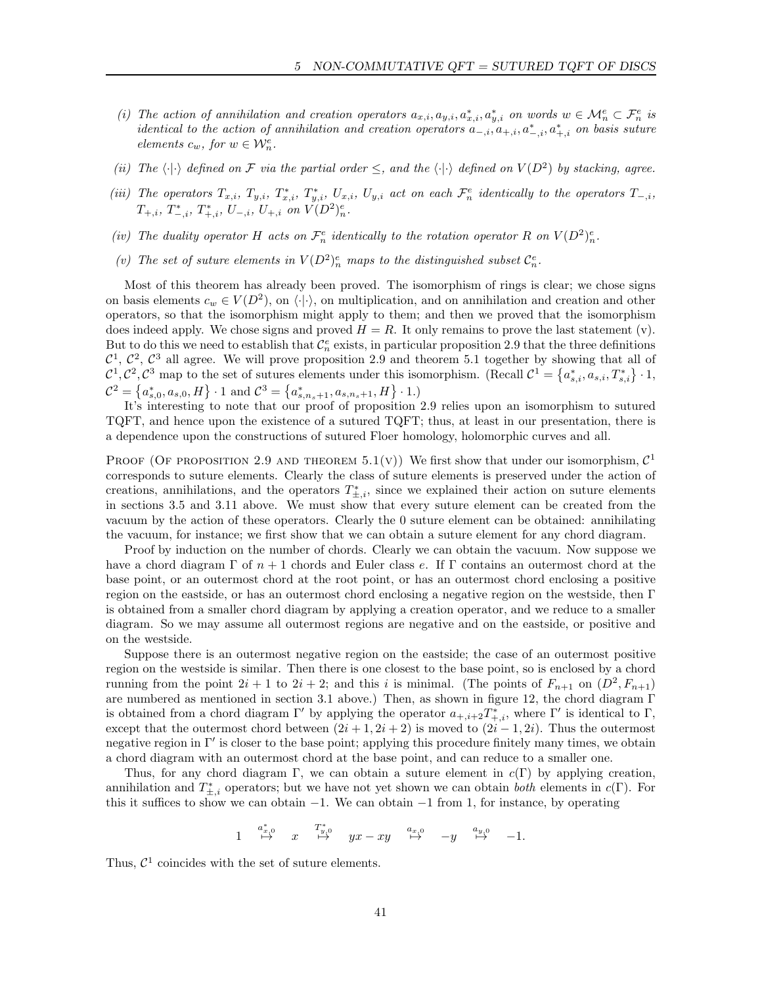- (i) The action of annihilation and creation operators  $a_{x,i}, a_{y,i}, a_{x,i}^*, a_{y,i}^*$  on words  $w \in \mathcal{M}_n^e \subset \mathcal{F}_n^e$  is *identical to the action of annihilation and creation operators*  $a_{-,i}, a_{+,i}, a_{-,i}^*$ ,  $a_{+,i}^*$  *on basis suture* elements  $c_w$ , for  $w \in \mathcal{W}_n^e$ .
- (ii) The  $\langle \cdot | \cdot \rangle$  defined on F via the partial order  $\leq$ , and the  $\langle \cdot | \cdot \rangle$  defined on  $V(D^2)$  by stacking, agree.
- (iii) The operators  $T_{x,i}$ ,  $T_{y,i}$ ,  $T_{x,i}^*$ ,  $T_{y,i}^*$ ,  $U_{x,i}$ ,  $U_{y,i}$  act on each  $\mathcal{F}_n^e$  identically to the operators  $T_{-,i}$ ,  $T_{+,i}, T_{-,i}^*, T_{+,i}^*, U_{-,i}, U_{+,i}$  on  $V(D^2)_n^e$ .
- (iv) The duality operator H acts on  $\mathcal{F}_n^e$  identically to the rotation operator R on  $V(D^2)_n^e$ .
- (v) The set of suture elements in  $V(D^2)_n^e$  maps to the distinguished subset  $\mathcal{C}_n^e$ .

Most of this theorem has already been proved. The isomorphism of rings is clear; we chose signs on basis elements  $c_w \in V(D^2)$ , on  $\langle \cdot | \cdot \rangle$ , on multiplication, and on annihilation and creation and other operators, so that the isomorphism might apply to them; and then we proved that the isomorphism does indeed apply. We chose signs and proved  $H = R$ . It only remains to prove the last statement (v). But to do this we need to establish that  $\mathcal{C}_n^e$  exists, in particular proposition 2.9 that the three definitions  $C^1$ ,  $C^2$ ,  $C^3$  all agree. We will prove proposition 2.9 and theorem 5.1 together by showing that all of  $\mathcal{C}^1, \mathcal{C}^2, \mathcal{C}^3$  map to the set of sutures elements under this isomorphism. (Recall  $\mathcal{C}^1 = \{a_{s,i}^*, a_{s,i}, T_{s,i}^*\}\cdot 1$ ,  $C^2 = \{a_{s,0}^*, a_{s,0}, H\} \cdot 1$  and  $C^3 = \{a_{s,n_s+1}^*, a_{s,n_s+1}, H\} \cdot 1$ .)

It's interesting to note that our proof of proposition 2.9 relies upon an isomorphism to sutured TQFT, and hence upon the existence of a sutured TQFT; thus, at least in our presentation, there is a dependence upon the constructions of sutured Floer homology, holomorphic curves and all.

PROOF (OF PROPOSITION 2.9 AND THEOREM 5.1(V)) We first show that under our isomorphism,  $\mathcal{C}^1$ corresponds to suture elements. Clearly the class of suture elements is preserved under the action of creations, annihilations, and the operators  $T^*_{\pm,i}$ , since we explained their action on suture elements in sections 3.5 and 3.11 above. We must show that every suture element can be created from the vacuum by the action of these operators. Clearly the 0 suture element can be obtained: annihilating the vacuum, for instance; we first show that we can obtain a suture element for any chord diagram.

Proof by induction on the number of chords. Clearly we can obtain the vacuum. Now suppose we have a chord diagram  $\Gamma$  of  $n+1$  chords and Euler class e. If  $\Gamma$  contains an outermost chord at the base point, or an outermost chord at the root point, or has an outermost chord enclosing a positive region on the eastside, or has an outermost chord enclosing a negative region on the westside, then Γ is obtained from a smaller chord diagram by applying a creation operator, and we reduce to a smaller diagram. So we may assume all outermost regions are negative and on the eastside, or positive and on the westside.

Suppose there is an outermost negative region on the eastside; the case of an outermost positive region on the westside is similar. Then there is one closest to the base point, so is enclosed by a chord running from the point  $2i + 1$  to  $2i + 2$ ; and this i is minimal. (The points of  $F_{n+1}$  on  $(D^2, F_{n+1})$ are numbered as mentioned in section 3.1 above.) Then, as shown in figure 12, the chord diagram Γ is obtained from a chord diagram  $\Gamma'$  by applying the operator  $a_{+,i+2}T^*_{+,i}$ , where  $\Gamma'$  is identical to  $\Gamma$ , except that the outermost chord between  $(2i + 1, 2i + 2)$  is moved to  $(2i - 1, 2i)$ . Thus the outermost negative region in Γ′ is closer to the base point; applying this procedure finitely many times, we obtain a chord diagram with an outermost chord at the base point, and can reduce to a smaller one.

Thus, for any chord diagram Γ, we can obtain a suture element in  $c(\Gamma)$  by applying creation, annihilation and  $T^*_{\pm,i}$  operators; but we have not yet shown we can obtain *both* elements in  $c(\Gamma)$ . For this it suffices to show we can obtain  $-1$ . We can obtain  $-1$  from 1, for instance, by operating

$$
1 \quad \overset{a_{x,0}^*}{\mapsto} \quad x \quad \overset{T_{y,0}^*}{\mapsto} \quad yx - xy \quad \overset{a_{x,0}}{\mapsto} \quad -y \quad \overset{a_{y,0}}{\mapsto} \quad -1.
$$

Thus,  $\mathcal{C}^1$  coincides with the set of suture elements.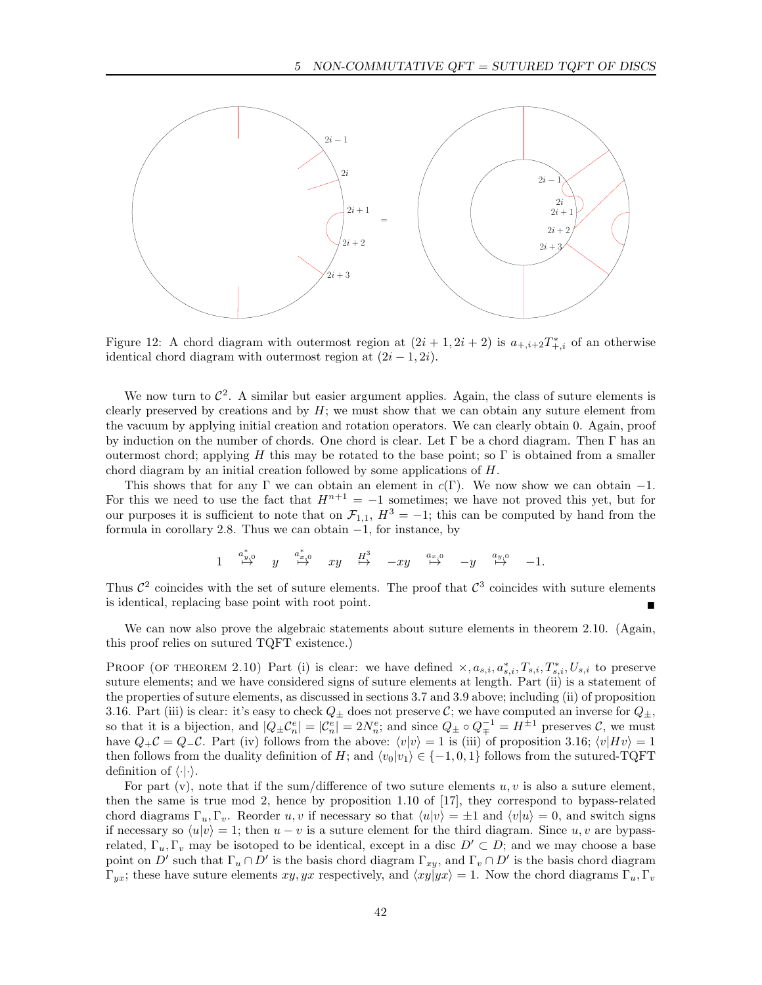

Figure 12: A chord diagram with outermost region at  $(2i + 1, 2i + 2)$  is  $a_{+,i+2}T^*_{+,i}$  of an otherwise identical chord diagram with outermost region at  $(2i - 1, 2i)$ .

We now turn to  $\mathcal{C}^2$ . A similar but easier argument applies. Again, the class of suture elements is clearly preserved by creations and by  $H$ ; we must show that we can obtain any suture element from the vacuum by applying initial creation and rotation operators. We can clearly obtain 0. Again, proof by induction on the number of chords. One chord is clear. Let  $\Gamma$  be a chord diagram. Then  $\Gamma$  has an outermost chord; applying H this may be rotated to the base point; so  $\Gamma$  is obtained from a smaller chord diagram by an initial creation followed by some applications of H.

This shows that for any Γ we can obtain an element in  $c(\Gamma)$ . We now show we can obtain -1. For this we need to use the fact that  $H^{n+1} = -1$  sometimes; we have not proved this yet, but for our purposes it is sufficient to note that on  $\mathcal{F}_{1,1}$ ,  $H^3 = -1$ ; this can be computed by hand from the formula in corollary 2.8. Thus we can obtain −1, for instance, by

$$
1 \quad \overset{a^*_{y,0}}{\mapsto} \quad y \quad \overset{a^*_{x,0}}{\mapsto} \quad xy \quad \overset{H^3}{\mapsto} \quad -xy \quad \overset{a_{x,0}}{\mapsto} \quad -y \quad \overset{a_{y,0}}{\mapsto} \quad -1.
$$

Thus  $\mathcal{C}^2$  coincides with the set of suture elements. The proof that  $\mathcal{C}^3$  coincides with suture elements is identical, replacing base point with root point.

We can now also prove the algebraic statements about suture elements in theorem 2.10. (Again, this proof relies on sutured TQFT existence.)

PROOF (OF THEOREM 2.10) Part (i) is clear: we have defined  $\times$ ,  $a_{s,i}$ ,  $a_{s,i}^*$ ,  $T_{s,i}$ ,  $T_{s,i}$ ,  $U_{s,i}$  to preserve suture elements; and we have considered signs of suture elements at length. Part (ii) is a statement of the properties of suture elements, as discussed in sections 3.7 and 3.9 above; including (ii) of proposition 3.16. Part (iii) is clear: it's easy to check  $Q_{\pm}$  does not preserve C; we have computed an inverse for  $Q_{\pm}$ , so that it is a bijection, and  $|Q_{\pm} \mathcal{C}_n^e| = |\mathcal{C}_n^e| = 2N_n^e$ ; and since  $Q_{\pm} \circ Q_{\mp}^{-1} = H^{\pm 1}$  preserves  $\mathcal{C}$ , we must have  $Q_+C = Q_-C$ . Part (iv) follows from the above:  $\langle v|v\rangle = 1$  is (iii) of proposition 3.16;  $\langle v|Hv\rangle = 1$ then follows from the duality definition of H; and  $\langle v_0|v_1 \rangle \in \{-1, 0, 1\}$  follows from the sutured-TQFT definition of  $\langle \cdot | \cdot \rangle$ .

For part (v), note that if the sum/difference of two suture elements  $u, v$  is also a suture element, then the same is true mod 2, hence by proposition 1.10 of [17], they correspond to bypass-related chord diagrams  $\Gamma_u, \Gamma_v$ . Reorder u, v if necessary so that  $\langle u|v \rangle = \pm 1$  and  $\langle v|u \rangle = 0$ , and switch signs if necessary so  $\langle u|v \rangle = 1$ ; then  $u - v$  is a suture element for the third diagram. Since  $u, v$  are bypassrelated,  $\Gamma_u, \Gamma_v$  may be isotoped to be identical, except in a disc  $D' \subset D$ ; and we may choose a base point on D' such that  $\Gamma_u \cap D'$  is the basis chord diagram  $\Gamma_{xy}$ , and  $\Gamma_v \cap D'$  is the basis chord diagram  $\Gamma_{yx}$ ; these have suture elements  $xy, yx$  respectively, and  $\langle xy|yx \rangle = 1$ . Now the chord diagrams  $\Gamma_u, \Gamma_v$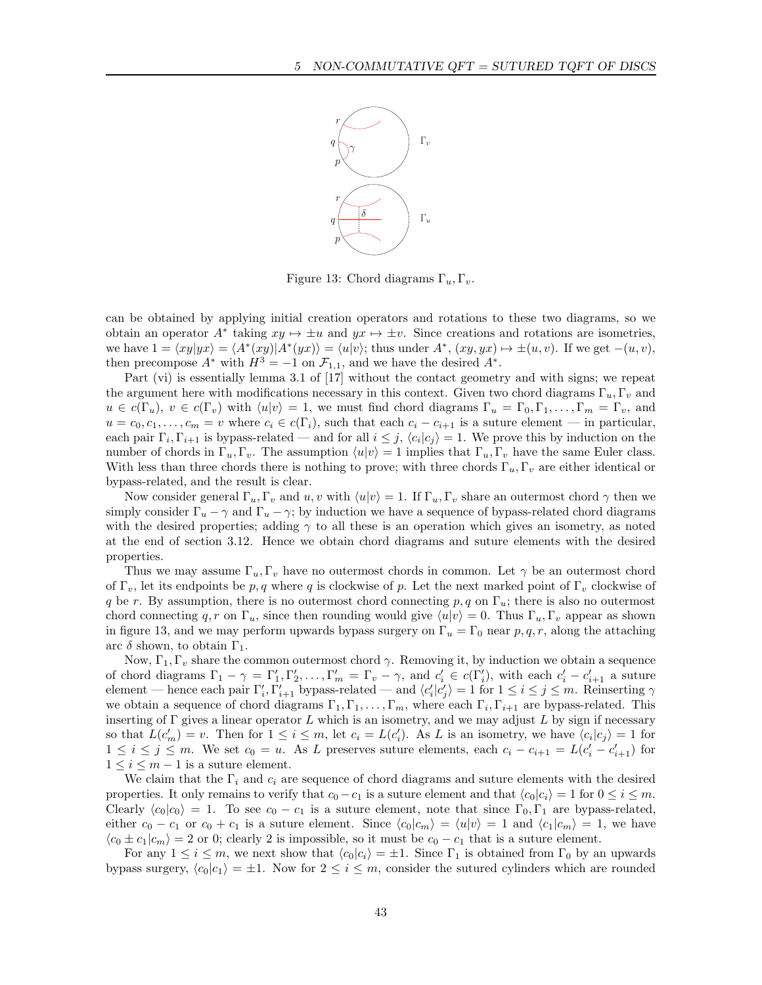

Figure 13: Chord diagrams  $\Gamma_u, \Gamma_u$ .

can be obtained by applying initial creation operators and rotations to these two diagrams, so we obtain an operator  $A^*$  taking  $xy \mapsto \pm u$  and  $yx \mapsto \pm v$ . Since creations and rotations are isometries, we have  $1 = \langle xy|yx \rangle = \langle A^*(xy)|A^*(yx) \rangle = \langle u|v \rangle$ ; thus under  $A^*, (xy, yx) \mapsto \pm(u, v)$ . If we get  $-(u, v)$ , then precompose  $A^*$  with  $H^3 = -1$  on  $\mathcal{F}_{1,1}$ , and we have the desired  $A^*$ .

Part (vi) is essentially lemma 3.1 of [17] without the contact geometry and with signs; we repeat the argument here with modifications necessary in this context. Given two chord diagrams  $\Gamma_u, \Gamma_v$  and  $u \in c(\Gamma_u)$ ,  $v \in c(\Gamma_v)$  with  $\langle u|v \rangle = 1$ , we must find chord diagrams  $\Gamma_u = \Gamma_0, \Gamma_1, \ldots, \Gamma_m = \Gamma_v$ , and  $u = c_0, c_1, \ldots, c_m = v$  where  $c_i \in c(\Gamma_i)$ , such that each  $c_i - c_{i+1}$  is a suture element — in particular, each pair  $\Gamma_i, \Gamma_{i+1}$  is bypass-related — and for all  $i \leq j$ ,  $\langle c_i | c_j \rangle = 1$ . We prove this by induction on the number of chords in  $\Gamma_u, \Gamma_v$ . The assumption  $\langle u|v \rangle = 1$  implies that  $\Gamma_u, \Gamma_v$  have the same Euler class. With less than three chords there is nothing to prove; with three chords  $\Gamma_u, \Gamma_v$  are either identical or bypass-related, and the result is clear.

Now consider general  $\Gamma_u$ ,  $\Gamma_v$  and u, v with  $\langle u|v \rangle = 1$ . If  $\Gamma_u$ ,  $\Gamma_v$  share an outermost chord  $\gamma$  then we simply consider  $\Gamma_u - \gamma$  and  $\Gamma_u - \gamma$ ; by induction we have a sequence of bypass-related chord diagrams with the desired properties; adding  $\gamma$  to all these is an operation which gives an isometry, as noted at the end of section 3.12. Hence we obtain chord diagrams and suture elements with the desired properties.

Thus we may assume  $\Gamma_u, \Gamma_v$  have no outermost chords in common. Let  $\gamma$  be an outermost chord of  $\Gamma_v$ , let its endpoints be p, q where q is clockwise of p. Let the next marked point of  $\Gamma_v$  clockwise of q be r. By assumption, there is no outermost chord connecting p, q on  $\Gamma_u$ ; there is also no outermost chord connecting q, r on  $\Gamma_u$ , since then rounding would give  $\langle u|v \rangle = 0$ . Thus  $\Gamma_u$ ,  $\Gamma_v$  appear as shown in figure 13, and we may perform upwards bypass surgery on  $\Gamma_u = \Gamma_0$  near p, q, r, along the attaching arc  $\delta$  shown, to obtain  $\Gamma_1$ .

Now,  $\Gamma_1, \Gamma_v$  share the common outermost chord  $\gamma$ . Removing it, by induction we obtain a sequence of chord diagrams  $\Gamma_1 - \gamma = \Gamma'_1, \Gamma'_2, \ldots, \Gamma'_m = \Gamma_v - \gamma$ , and  $c'_i \in c(\Gamma'_i)$ , with each  $c'_i - c'_{i+1}$  a suture element — hence each pair  $\Gamma'_i$ ,  $\Gamma'_{i+1}$  bypass-related — and  $\langle c'_i | c'_j \rangle = 1$  for  $1 \le i \le j \le m$ . Reinserting  $\gamma$ we obtain a sequence of chord diagrams  $\Gamma_1, \Gamma_1, \ldots, \Gamma_m$ , where each  $\Gamma_i, \Gamma_{i+1}$  are bypass-related. This inserting of  $\Gamma$  gives a linear operator L which is an isometry, and we may adjust L by sign if necessary so that  $L(c'_m) = v$ . Then for  $1 \le i \le m$ , let  $c_i = L(c'_i)$ . As L is an isometry, we have  $\langle c_i | c_j \rangle = 1$  for  $1 \leq i \leq j \leq m$ . We set  $c_0 = u$ . As L preserves suture elements, each  $c_i - c_{i+1} = L(c'_i - c'_{i+1})$  for  $1 \leq i \leq m-1$  is a suture element.

We claim that the  $\Gamma_i$  and  $c_i$  are sequence of chord diagrams and suture elements with the desired properties. It only remains to verify that  $c_0 - c_1$  is a suture element and that  $\langle c_0 | c_i \rangle = 1$  for  $0 \le i \le m$ . Clearly  $\langle c_0 | c_0 \rangle = 1$ . To see  $c_0 - c_1$  is a suture element, note that since  $\Gamma_0, \Gamma_1$  are bypass-related, either  $c_0 - c_1$  or  $c_0 + c_1$  is a suture element. Since  $\langle c_0 | c_m \rangle = \langle u | v \rangle = 1$  and  $\langle c_1 | c_m \rangle = 1$ , we have  $\langle c_0 \pm c_1 | c_m \rangle = 2$  or 0; clearly 2 is impossible, so it must be  $c_0 - c_1$  that is a suture element.

For any  $1 \leq i \leq m$ , we next show that  $\langle c_0 | c_i \rangle = \pm 1$ . Since  $\Gamma_1$  is obtained from  $\Gamma_0$  by an upwards bypass surgery,  $\langle c_0|c_1\rangle = \pm 1$ . Now for  $2 \le i \le m$ , consider the sutured cylinders which are rounded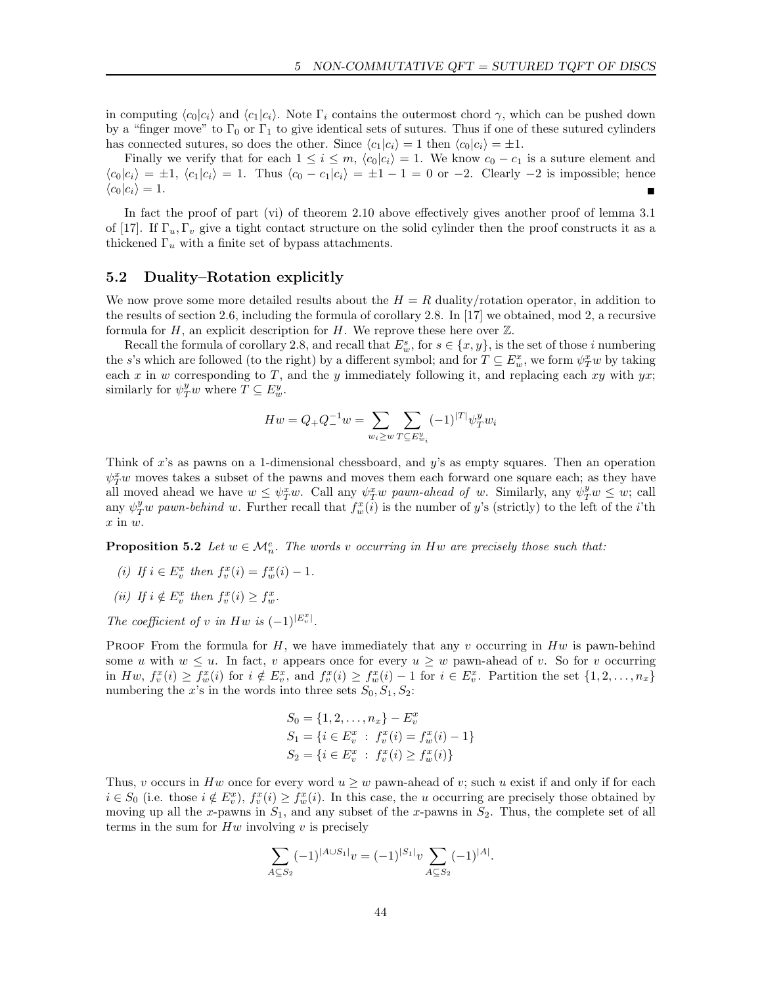in computing  $\langle c_0|c_i\rangle$  and  $\langle c_1|c_i\rangle$ . Note  $\Gamma_i$  contains the outermost chord  $\gamma$ , which can be pushed down by a "finger move" to  $\Gamma_0$  or  $\Gamma_1$  to give identical sets of sutures. Thus if one of these sutured cylinders has connected sutures, so does the other. Since  $\langle c_1|c_i\rangle = 1$  then  $\langle c_0|c_i\rangle = \pm 1$ .

Finally we verify that for each  $1 \leq i \leq m$ ,  $\langle c_0 | c_i \rangle = 1$ . We know  $c_0 - c_1$  is a suture element and  $\langle c_0|c_i\rangle = \pm 1, \langle c_1|c_i\rangle = 1.$  Thus  $\langle c_0 - c_1|c_i\rangle = \pm 1 - 1 = 0$  or  $-2.$  Clearly  $-2$  is impossible; hence  $\langle c_0 | c_i \rangle = 1.$ 

In fact the proof of part (vi) of theorem 2.10 above effectively gives another proof of lemma 3.1 of [17]. If  $\Gamma_u$ ,  $\Gamma_v$  give a tight contact structure on the solid cylinder then the proof constructs it as a thickened  $\Gamma_u$  with a finite set of bypass attachments.

## 5.2 Duality–Rotation explicitly

We now prove some more detailed results about the  $H = R$  duality/rotation operator, in addition to the results of section 2.6, including the formula of corollary 2.8. In [17] we obtained, mod 2, a recursive formula for H, an explicit description for H. We reprove these here over  $\mathbb{Z}$ .

Recall the formula of corollary 2.8, and recall that  $E_w^s$ , for  $s \in \{x, y\}$ , is the set of those *i* numbering the s's which are followed (to the right) by a different symbol; and for  $T \subseteq E_w^x$ , we form  $\psi_T^x w$  by taking each x in w corresponding to T, and the y immediately following it, and replacing each xy with  $yx$ ; similarly for  $\psi_T^y w$  where  $T \subseteq E_w^y$ .

$$
Hw = Q_{+}Q_{-}^{-1}w = \sum_{w_{i} \geq w} \sum_{T \subseteq E_{w_{i}}^{y}} (-1)^{|T|} \psi_{T}^{y} w_{i}
$$

Think of x's as pawns on a 1-dimensional chessboard, and  $y$ 's as empty squares. Then an operation  $\psi_T^x w$  moves takes a subset of the pawns and moves them each forward one square each; as they have all moved ahead we have  $w \leq \psi_T^x w$ . Call any  $\psi_T^x w$  pawn-ahead of w. Similarly, any  $\psi_T^y w \leq w$ ; call any  $\psi_T^y w$  pawn-behind w. Further recall that  $f_w^x(i)$  is the number of y's (strictly) to the left of the *i*'th  $x$  in  $w$ .

**Proposition 5.2** Let  $w \in \mathcal{M}_n^e$ . The words v occurring in Hw are precisely those such that:

- (i) If  $i \in E_v^x$  then  $f_v^x(i) = f_w^x(i) 1$ .
- (ii) If  $i \notin E_v^x$  then  $f_v^x(i) \geq f_w^x$ .
- The coefficient of v in Hw is  $(-1)^{|E_v^x|}$ .

PROOF From the formula for H, we have immediately that any v occurring in  $Hw$  is pawn-behind some u with  $w \leq u$ . In fact, v appears once for every  $u \geq w$  pawn-ahead of v. So for v occurring in  $H_w$ ,  $f_v^x(i) \geq f_w^x(i)$  for  $i \notin E_v^x$ , and  $f_v^x(i) \geq f_w^x(i) - 1$  for  $i \in E_v^x$ . Partition the set  $\{1, 2, ..., n_x\}$ numbering the x's in the words into three sets  $S_0, S_1, S_2$ :

$$
S_0 = \{1, 2, ..., n_x\} - E_v^x
$$
  
\n
$$
S_1 = \{i \in E_v^x : f_v^x(i) = f_w^x(i) - 1\}
$$
  
\n
$$
S_2 = \{i \in E_v^x : f_v^x(i) \ge f_w^x(i)\}
$$

Thus, v occurs in Hw once for every word  $u \geq w$  pawn-ahead of v; such u exist if and only if for each  $i \in S_0$  (i.e. those  $i \notin E_v^x$ ),  $f_v^x(i) \ge f_w^x(i)$ . In this case, the u occurring are precisely those obtained by moving up all the x-pawns in  $S_1$ , and any subset of the x-pawns in  $S_2$ . Thus, the complete set of all terms in the sum for  $Hw$  involving  $v$  is precisely

$$
\sum_{A \subseteq S_2} (-1)^{|A \cup S_1|} v = (-1)^{|S_1|} v \sum_{A \subseteq S_2} (-1)^{|A|}.
$$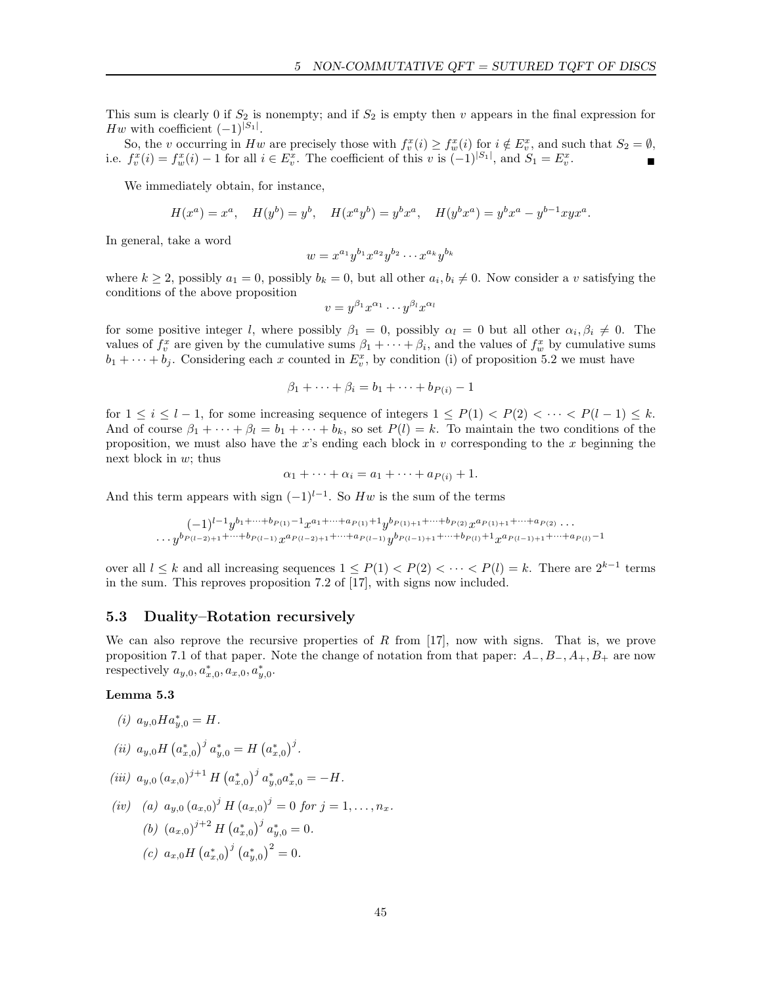This sum is clearly 0 if  $S_2$  is nonempty; and if  $S_2$  is empty then v appears in the final expression for Hw with coefficient  $(-1)^{|S_1|}$ .

So, the v occurring in Hw are precisely those with  $f_v^x(i) \ge f_w^x(i)$  for  $i \notin E_v^x$ , and such that  $S_2 = \emptyset$ , i.e.  $f_v^x(i) = f_w^x(i) - 1$  for all  $i \in E_v^x$ . The coefficient of this v is  $(-1)^{|S_1|}$ , and  $S_1 = E_v^x$ .

We immediately obtain, for instance,

$$
H(x^{a}) = x^{a}, \quad H(y^{b}) = y^{b}, \quad H(x^{a}y^{b}) = y^{b}x^{a}, \quad H(y^{b}x^{a}) = y^{b}x^{a} - y^{b-1}xyx^{a}.
$$

In general, take a word

$$
w = x^{a_1} y^{b_1} x^{a_2} y^{b_2} \cdots x^{a_k} y^{b_k}
$$

where  $k \geq 2$ , possibly  $a_1 = 0$ , possibly  $b_k = 0$ , but all other  $a_i, b_i \neq 0$ . Now consider a v satisfying the conditions of the above proposition

$$
v=y^{\beta_1}x^{\alpha_1}\cdots y^{\beta_l}x^{\alpha_l}
$$

for some positive integer l, where possibly  $\beta_1 = 0$ , possibly  $\alpha_l = 0$  but all other  $\alpha_i, \beta_i \neq 0$ . The values of  $f_v^x$  are given by the cumulative sums  $\beta_1 + \cdots + \beta_i$ , and the values of  $f_w^x$  by cumulative sums  $b_1 + \cdots + b_j$ . Considering each x counted in  $E_v^x$ , by condition (i) of proposition 5.2 we must have

$$
\beta_1 + \cdots + \beta_i = b_1 + \cdots + b_{P(i)} - 1
$$

for  $1 \leq i \leq l-1$ , for some increasing sequence of integers  $1 \leq P(1) < P(2) < \cdots < P(l-1) \leq k$ . And of course  $\beta_1 + \cdots + \beta_l = b_1 + \cdots + b_k$ , so set  $P(l) = k$ . To maintain the two conditions of the proposition, we must also have the  $x$ 's ending each block in  $v$  corresponding to the  $x$  beginning the next block in  $w$ ; thus

$$
\alpha_1 + \cdots + \alpha_i = a_1 + \cdots + a_{P(i)} + 1.
$$

And this term appears with sign  $(-1)^{l-1}$ . So Hw is the sum of the terms

$$
(-1)^{l-1}y^{b_1+\cdots+b_{P(1)}-1}x^{a_1+\cdots+a_{P(1)}+1}y^{b_{P(1)+1}+\cdots+b_{P(2)}}x^{a_{P(1)+1}+\cdots+a_{P(2)}}\cdots
$$
  

$$
\cdots y^{b_{P(l-2)+1}+\cdots+b_{P(l-1)}}x^{a_{P(l-2)+1}+\cdots+a_{P(l-1)}}y^{b_{P(l-1)+1}+\cdots+b_{P(l)}+1}x^{a_{P(l-1)+1}+\cdots+a_{P(l)}-1}
$$

over all  $l \leq k$  and all increasing sequences  $1 \leq P(1) < P(2) < \cdots < P(l) = k$ . There are  $2^{k-1}$  terms in the sum. This reproves proposition 7.2 of [17], with signs now included.

## 5.3 Duality–Rotation recursively

We can also reprove the recursive properties of  $R$  from [17], now with signs. That is, we prove proposition 7.1 of that paper. Note the change of notation from that paper:  $A_-, B_-, A_+, B_+$  are now respectively  $a_{y,0}, a_{x,0}^*, a_{x,0}, a_{y,0}^*$ .

#### Lemma 5.3

(i)  $a_{y,0}Ha_{y,0}^* = H$ .

(*ii*)  $a_{y,0}H(a_{x,0}^*)^j a_{y,0}^* = H(a_{x,0}^*)^j$ .

$$
(iii) a_{y,0} (a_{x,0})^{j+1} H (a_{x,0}^*)^j a_{y,0}^* a_{x,0}^* = -H.
$$

$$
(iv) \quad (a) \ a_{y,0} (a_{x,0})^j H (a_{x,0})^j = 0 \text{ for } j = 1, \dots, n_x.
$$
\n
$$
(b) \ (a_{x,0})^{j+2} H (a_{x,0}^*)^j a_{y,0}^* = 0.
$$
\n
$$
(c) \ a_{x,0} H (a_{x,0}^*)^j (a_{y,0}^*)^2 = 0.
$$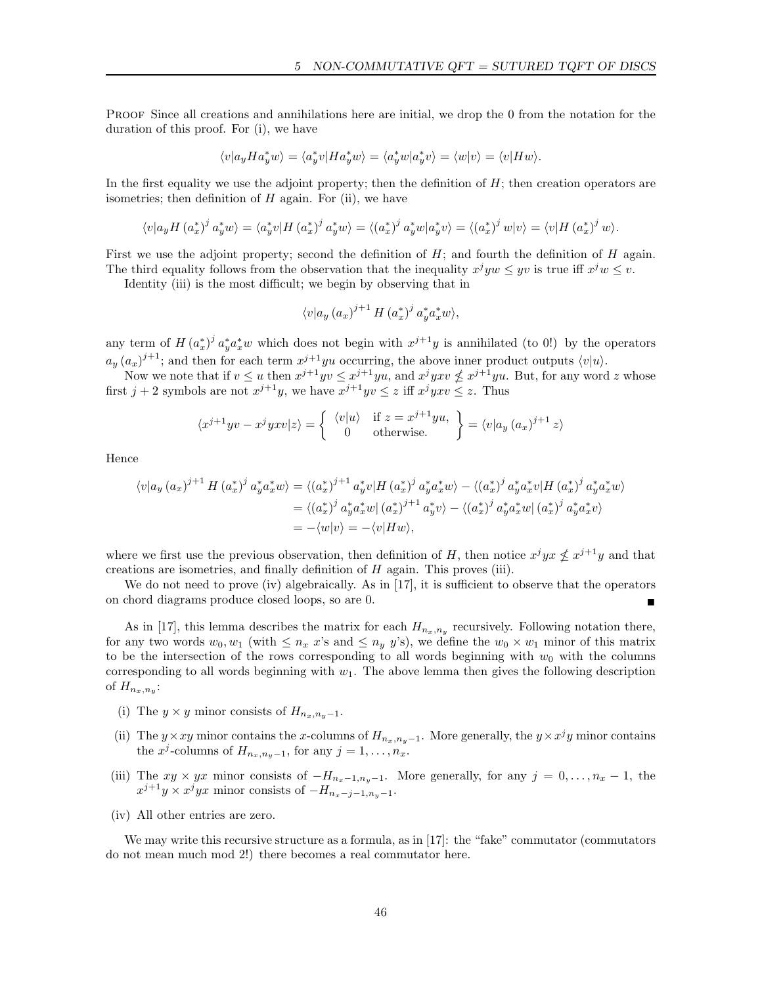PROOF Since all creations and annihilations here are initial, we drop the 0 from the notation for the duration of this proof. For (i), we have

$$
\langle v|a_yHa_y^*w\rangle = \langle a_y^*v|Ha_y^*w\rangle = \langle a_y^*w|a_y^*v\rangle = \langle w|v\rangle = \langle v|Hw\rangle.
$$

In the first equality we use the adjoint property; then the definition of  $H$ ; then creation operators are isometries; then definition of  $H$  again. For (ii), we have

$$
\langle v|a_yH(a_x^*)^j a_y^* w\rangle = \langle a_y^* v|H(a_x^*)^j a_y^* w\rangle = \langle (a_x^*)^j a_y^* w|a_y^* v\rangle = \langle (a_x^*)^j w|v\rangle = \langle v|H(a_x^*)^j w\rangle.
$$

First we use the adjoint property; second the definition of  $H$ ; and fourth the definition of  $H$  again. The third equality follows from the observation that the inequality  $x^j y w \leq yv$  is true iff  $x^j w \leq v$ .

Identity (iii) is the most difficult; we begin by observing that in

$$
\langle v | a_y (a_x)^{j+1} H (a_x^*)^j a_y^* a_x^* w \rangle,
$$

any term of  $H(a_x^*)^j a_y^* a_x^* w$  which does not begin with  $x^{j+1}y$  is annihilated (to 0!) by the operators  $a_y (a_x)^{j+1}$ ; and then for each term  $x^{j+1}$ yu occurring, the above inner product outputs  $\langle v | u \rangle$ .

Now we note that if  $v \le u$  then  $x^{j+1}yv \le x^{j+1}yu$ , and  $x^jyxv \nle x^{j+1}yu$ . But, for any word z whose first  $j + 2$  symbols are not  $x^{j+1}y$ , we have  $x^{j+1}yv \leq z$  iff  $x^jyxv \leq z$ . Thus

$$
\langle x^{j+1} yv - x^j yxv | z \rangle = \begin{cases} \langle v | u \rangle & \text{if } z = x^{j+1} yu, \\ 0 & \text{otherwise.} \end{cases} = \langle v | a_y (a_x)^{j+1} z \rangle
$$

Hence

$$
\langle v|a_y (a_x)^{j+1} H (a_x^*)^j a_y^* a_x^* w \rangle = \langle (a_x^*)^{j+1} a_y^* v | H (a_x^*)^j a_y^* a_x^* w \rangle - \langle (a_x^*)^j a_y^* a_x^* v | H (a_x^*)^j a_y^* a_x^* w \rangle
$$
  

$$
= \langle (a_x^*)^j a_y^* a_x^* w | (a_x^*)^{j+1} a_y^* v \rangle - \langle (a_x^*)^j a_y^* a_x^* w | (a_x^*)^j a_y^* a_x^* v \rangle
$$
  

$$
= -\langle w|v \rangle = -\langle v|Hw \rangle,
$$

where we first use the previous observation, then definition of H, then notice  $x^j y x \nleq x^{j+1} y$  and that creations are isometries, and finally definition of  $H$  again. This proves (iii).

We do not need to prove (iv) algebraically. As in [17], it is sufficient to observe that the operators on chord diagrams produce closed loops, so are 0.

As in [17], this lemma describes the matrix for each  $H_{n_x,n_y}$  recursively. Following notation there, for any two words  $w_0, w_1$  (with  $\leq n_x x$ 's and  $\leq n_y y$ 's), we define the  $w_0 \times w_1$  minor of this matrix to be the intersection of the rows corresponding to all words beginning with  $w_0$  with the columns corresponding to all words beginning with  $w_1$ . The above lemma then gives the following description of  $H_{n_x,n_y}$ :

- (i) The  $y \times y$  minor consists of  $H_{n_x,n_y-1}$ .
- (ii) The y × xy minor contains the x-columns of  $H_{n_x,n_y-1}$ . More generally, the  $y \times x^j y$  minor contains the x<sup>j</sup>-columns of  $H_{n_x,n_y-1}$ , for any  $j=1,\ldots,n_x$ .
- (iii) The  $xy \times yx$  minor consists of  $-H_{n_x-1,n_y-1}$ . More generally, for any  $j = 0, \ldots, n_x 1$ , the  $x^{j+1}y \times x^j yx$  minor consists of  $-H_{n_x-j-1,n_y-1}.$
- (iv) All other entries are zero.

We may write this recursive structure as a formula, as in [17]: the "fake" commutator (commutators do not mean much mod 2!) there becomes a real commutator here.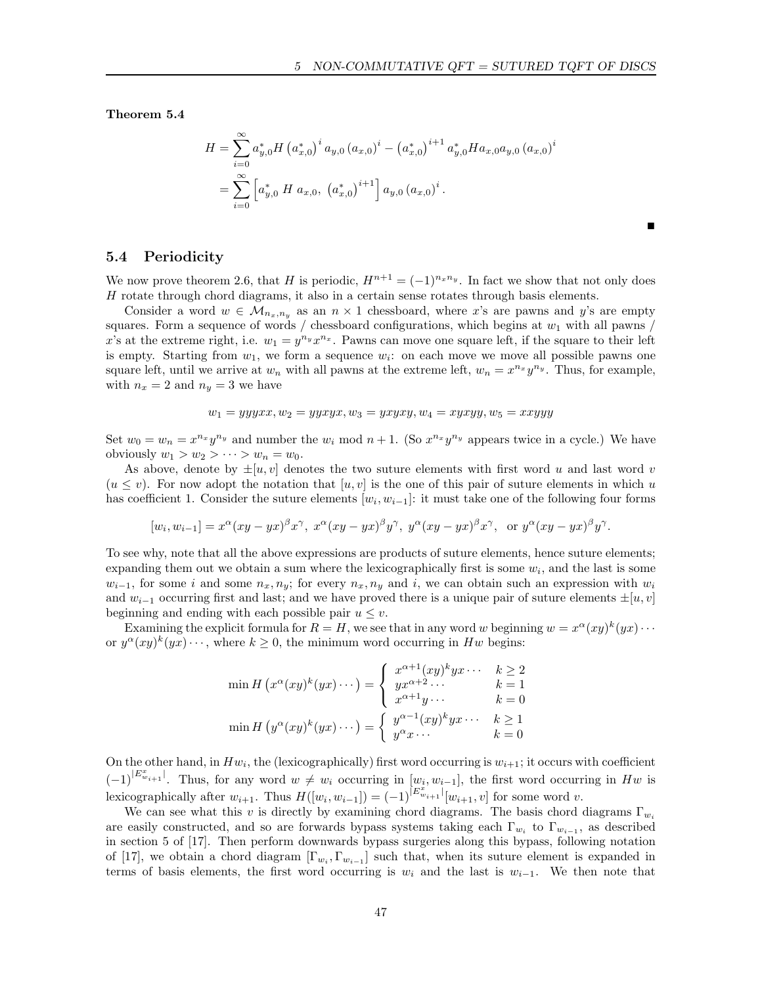Ë

Theorem 5.4

$$
H = \sum_{i=0}^{\infty} a_{y,0}^* H (a_{x,0}^*)^i a_{y,0} (a_{x,0})^i - (a_{x,0}^*)^{i+1} a_{y,0}^* H a_{x,0} a_{y,0} (a_{x,0})^i
$$
  
= 
$$
\sum_{i=0}^{\infty} \left[ a_{y,0}^* H a_{x,0}, (a_{x,0}^*)^{i+1} \right] a_{y,0} (a_{x,0})^i.
$$

## 5.4 Periodicity

We now prove theorem 2.6, that H is periodic,  $H^{n+1} = (-1)^{n_x n_y}$ . In fact we show that not only does  $H$  rotate through chord diagrams, it also in a certain sense rotates through basis elements.

Consider a word  $w \in \mathcal{M}_{n_x,n_y}$  as an  $n \times 1$  chessboard, where x's are pawns and y's are empty squares. Form a sequence of words / chessboard configurations, which begins at  $w_1$  with all pawns / x's at the extreme right, i.e.  $w_1 = y^{n_y} x^{n_x}$ . Pawns can move one square left, if the square to their left is empty. Starting from  $w_1$ , we form a sequence  $w_i$ : on each move we move all possible pawns one square left, until we arrive at  $w_n$  with all pawns at the extreme left,  $w_n = x^{n_x} y^{n_y}$ . Thus, for example, with  $n_x = 2$  and  $n_y = 3$  we have

$$
w_1 = yyyxx, w_2 = yyxyx, w_3 = yxyxy, w_4 = xyxyy, w_5 = xxyyy
$$

Set  $w_0 = w_n = x^{n_x} y^{n_y}$  and number the  $w_i$  mod  $n + 1$ . (So  $x^{n_x} y^{n_y}$  appears twice in a cycle.) We have obviously  $w_1 > w_2 > \cdots > w_n = w_0$ .

As above, denote by  $\pm[u, v]$  denotes the two suture elements with first word u and last word v  $(u \leq v)$ . For now adopt the notation that  $[u, v]$  is the one of this pair of suture elements in which u has coefficient 1. Consider the suture elements  $[w_i, w_{i-1}]$ : it must take one of the following four forms

$$
[w_i, w_{i-1}] = x^{\alpha} (xy - yx)^{\beta} x^{\gamma}, \ x^{\alpha} (xy - yx)^{\beta} y^{\gamma}, \ y^{\alpha} (xy - yx)^{\beta} x^{\gamma}, \text{ or } y^{\alpha} (xy - yx)^{\beta} y^{\gamma}.
$$

To see why, note that all the above expressions are products of suture elements, hence suture elements; expanding them out we obtain a sum where the lexicographically first is some  $w_i$ , and the last is some  $w_{i-1}$ , for some i and some  $n_x, n_y$ ; for every  $n_x, n_y$  and i, we can obtain such an expression with  $w_i$ and  $w_{i-1}$  occurring first and last; and we have proved there is a unique pair of suture elements  $\pm[u, v]$ beginning and ending with each possible pair  $u \leq v$ .

Examining the explicit formula for  $R = H$ , we see that in any word w beginning  $w = x^{\alpha}(xy)^k(yx) \cdots$ or  $y^{\alpha}(xy)^k(yx)\cdots$ , where  $k\geq 0$ , the minimum word occurring in Hw begins:

$$
\min H\left(x^{\alpha}(xy)^k(yx)\cdots\right) = \begin{cases} x^{\alpha+1}(xy)^k yx \cdots & k \ge 2\\ yx^{\alpha+2}\cdots & k = 1\\ x^{\alpha+1}y \cdots & k = 0 \end{cases}
$$

$$
\min H\left(y^{\alpha}(xy)^k(yx)\cdots\right) = \begin{cases} y^{\alpha-1}(xy)^k yx \cdots & k \ge 1\\ y^{\alpha}x \cdots & k = 0 \end{cases}
$$

On the other hand, in  $Hw_i$ , the (lexicographically) first word occurring is  $w_{i+1}$ ; it occurs with coefficient  $(-1)^{|E^x_{w_{i+1}}|}$ . Thus, for any word  $w \neq w_i$  occurring in  $[w_i, w_{i-1}]$ , the first word occurring in Hw is lexicographically after  $w_{i+1}$ . Thus  $H([w_i, w_{i-1}]) = (-1)^{|E_{w_{i+1}}^{x}|}[w_{i+1}, v]$  for some word v.

We can see what this v is directly by examining chord diagrams. The basis chord diagrams  $\Gamma_{w_i}$ are easily constructed, and so are forwards bypass systems taking each  $\Gamma_{w_i}$  to  $\Gamma_{w_{i-1}}$ , as described in section 5 of [17]. Then perform downwards bypass surgeries along this bypass, following notation of [17], we obtain a chord diagram  $[\Gamma_{w_i}, \Gamma_{w_{i-1}}]$  such that, when its suture element is expanded in terms of basis elements, the first word occurring is  $w_i$  and the last is  $w_{i-1}$ . We then note that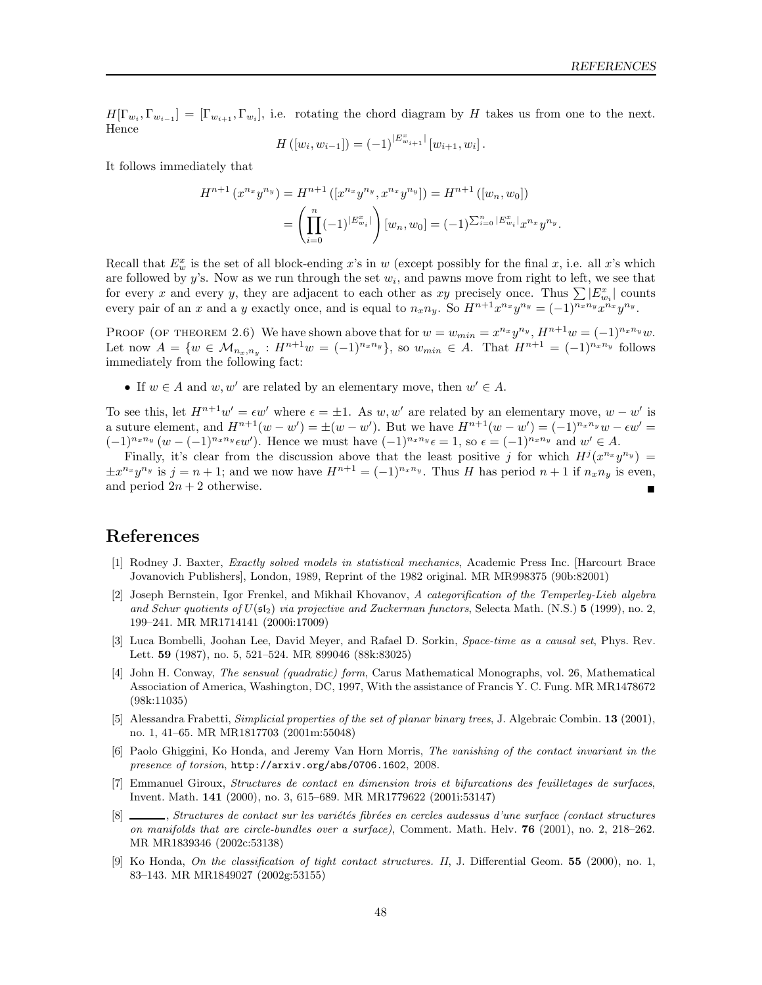$H[\Gamma_{w_i}, \Gamma_{w_{i-1}}] = [\Gamma_{w_{i+1}}, \Gamma_{w_i}],$  i.e. rotating the chord diagram by H takes us from one to the next. Hence

$$
H([w_i, w_{i-1}]) = (-1)^{|E^x_{w_{i+1}}|} [w_{i+1}, w_i].
$$

It follows immediately that

$$
H^{n+1}(x^{n_x}y^{n_y}) = H^{n+1}([x^{n_x}y^{n_y}, x^{n_x}y^{n_y}]) = H^{n+1}([w_n, w_0])
$$
  
= 
$$
\left(\prod_{i=0}^n (-1)^{|E_{w_i}^x|}\right)[w_n, w_0] = (-1)^{\sum_{i=0}^n |E_{w_i}^x|}x^{n_x}y^{n_y}.
$$

Recall that  $E_w^x$  is the set of all block-ending x's in w (except possibly for the final x, i.e. all x's which are followed by y's. Now as we run through the set  $w_i$ , and pawns move from right to left, we see that for every x and every y, they are adjacent to each other as xy precisely once. Thus  $\sum |E^x_{w_i}|$  counts every pair of an x and a y exactly once, and is equal to  $n_x n_y$ . So  $H^{n+1} x^{n_x} y^{n_y} = (-1)^{n_x n_y} x^{n_x} y^{n_y}$ .

PROOF (OF THEOREM 2.6) We have shown above that for  $w = w_{min} = x^{n_x}y^{n_y}$ ,  $H^{n+1}w = (-1)^{n_x n_y}w$ . Let now  $A = \{w \in M_{n_x,n_y} : H^{n+1}w = (-1)^{n_x n_y}\}$ , so  $w_{min} \in A$ . That  $H^{n+1} = (-1)^{n_x n_y}$  follows immediately from the following fact:

• If  $w \in A$  and  $w, w'$  are related by an elementary move, then  $w' \in A$ .

To see this, let  $H^{n+1}w' = \epsilon w'$  where  $\epsilon = \pm 1$ . As w, w' are related by an elementary move,  $w - w'$  is a suture element, and  $H^{n+1}(w - w') = \pm (w - w')$ . But we have  $H^{n+1}(w - w') = (-1)^{n_x n_y} w - \epsilon w' =$  $(-1)^{n_x n_y} (w - (-1)^{n_x n_y} \epsilon w')$ . Hence we must have  $(-1)^{n_x n_y} \epsilon = 1$ , so  $\epsilon = (-1)^{n_x n_y}$  and  $w' \in A$ .

Finally, it's clear from the discussion above that the least positive j for which  $H^j(x^{n_x}y^{n_y}) =$  $\pm x^{n_x}y^{n_y}$  is  $j = n + 1$ ; and we now have  $H^{n+1} = (-1)^{n_x n_y}$ . Thus H has period  $n+1$  if  $n_x n_y$  is even, and period  $2n + 2$  otherwise.

# References

- [1] Rodney J. Baxter, *Exactly solved models in statistical mechanics*, Academic Press Inc. [Harcourt Brace Jovanovich Publishers], London, 1989, Reprint of the 1982 original. MR MR998375 (90b:82001)
- [2] Joseph Bernstein, Igor Frenkel, and Mikhail Khovanov, *A categorification of the Temperley-Lieb algebra* and Schur quotients of  $U(\mathfrak{sl}_2)$  *via projective and Zuckerman functors*, Selecta Math. (N.S.) **5** (1999), no. 2, 199–241. MR MR1714141 (2000i:17009)
- [3] Luca Bombelli, Joohan Lee, David Meyer, and Rafael D. Sorkin, *Space-time as a causal set*, Phys. Rev. Lett. 59 (1987), no. 5, 521–524. MR 899046 (88k:83025)
- [4] John H. Conway, *The sensual (quadratic) form*, Carus Mathematical Monographs, vol. 26, Mathematical Association of America, Washington, DC, 1997, With the assistance of Francis Y. C. Fung. MR MR1478672 (98k:11035)
- [5] Alessandra Frabetti, *Simplicial properties of the set of planar binary trees*, J. Algebraic Combin. 13 (2001), no. 1, 41–65. MR MR1817703 (2001m:55048)
- [6] Paolo Ghiggini, Ko Honda, and Jeremy Van Horn Morris, *The vanishing of the contact invariant in the presence of torsion*, http://arxiv.org/abs/0706.1602, 2008.
- [7] Emmanuel Giroux, *Structures de contact en dimension trois et bifurcations des feuilletages de surfaces*, Invent. Math. 141 (2000), no. 3, 615–689. MR MR1779622 (2001i:53147)
- [8] , *Structures de contact sur les variétés fibrées en cercles audessus d'une surface (contact structures on manifolds that are circle-bundles over a surface)*, Comment. Math. Helv. 76 (2001), no. 2, 218–262. MR MR1839346 (2002c:53138)
- [9] Ko Honda, *On the classification of tight contact structures. II*, J. Differential Geom. 55 (2000), no. 1, 83–143. MR MR1849027 (2002g:53155)